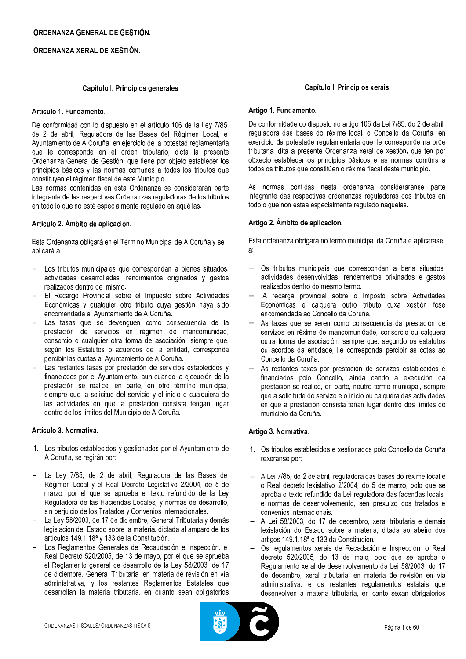### Capítulo I. Principios generales

### Artículo 1. Fundamento.

De conformidad con lo dispuesto en el artículo 106 de la Ley 7/85. de 2 de abril. Reguladora de las Bases del Régimen Local, el Avuntamiento de A Coruña, en ejercicio de la potestad reglamentaria que le corresponde en el orden tributario, dicta la presente Ordenanza General de Gestión, que tiene por objeto establecer los principios básicos y las normas comunes a todos los tributos que constituyen el régimen fiscal de este Municipio.

Las normas contenidas en esta Ordenanza se considerarán parte integrante de las respectivas Ordenanzas reguladoras de los tributos en todo lo que no esté especialmente regulado en aquéllas.

### Artículo 2. Ámbito de aplicación.

Esta Ordenanza obligará en el Término Municipal de A Coruña y se aplicará a:

- Los tributos municipales que correspondan a bienes situados, actividades desarrolladas, rendimientos originados y gastos realizados dentro del mismo.
- El Recargo Provincial sobre el Impuesto sobre Actividades Económicas y cualquier otro tributo cuya gestión haya sido encomendada al Ayuntamiento de A Coruña.
- Las tasas que se devenquen como consecuencia de la prestación de servicios en régimen de mancomunidad, consorcio o cualquier otra forma de asociación, siempre que, según los Estatutos o acuerdos de la entidad, corresponda percibir las cuotas al Ayuntamiento de A Coruña.
- Las restantes tasas por prestación de servicios establecidos y financiados por el Ayuntamiento, aun cuando la ejecución de la prestación se realice, en parte, en otro término municipal, siempre que la solicitud del servicio y el inicio o cualquiera de las actividades en que la prestación consista tengan lugar dentro de los límites del Municipio de A Coruña.

### Artículo 3. Normativa.

- 1. Los tributos establecidos y gestionados por el Ayuntamiento de A Coruña, se regirán por:
- La Ley 7/85, de 2 de abril, Reguladora de las Bases del Régimen Local y el Real Decreto Legislativo 2/2004, de 5 de marzo, por el que se aprueba el texto refundido de la Ley Reguladora de las Haciendas Locales, y normas de desarrollo, sin perjuicio de los Tratados y Convenios Internacionales.
- La Ley 58/2003, de 17 de diciembre, General Tributaria y demás legislación del Estado sobre la materia, dictada al amparo de los artículos 149.1.18<sup>ª</sup> y 133 de la Constitución.
- Los Reglamentos Generales de Recaudación e Inspección. el Real Decreto 520/2005, de 13 de mayo, por el que se aprueba el Reglamento general de desarrollo de la Ley 58/2003, de 17 de diciembre, General Tributaria, en materia de revisión en vía administrativa, y los restantes Reglamentos Estatales que desarrollan la materia tributaria, en cuanto sean obligatorios

## Capítulo I. Principios xerais

### Artigo 1. Fundamento.

De conformidade co disposto no artigo 106 da Lei 7/85, do 2 de abril, reguladora das bases do réxime local, o Concello da Coruña, en exercicio da potestade regulamentaria que lle corresponde na orde tributaria, dita a presente Ordenanza xeral de xestión, que ten por obxecto establecer os principios básicos e as normas comúns a todos os tributos que constitúen o réxime fiscal deste municipio.

As normas contidas nesta ordenanza consideraranse parte integrante das respectivas ordenanzas reguladoras dos tributos en todo o que non estea especialmente regulado naquelas.

### Artigo 2. Ámbito de aplicación.

Esta ordenanza obrigará no termo municipal da Coruña e aplicarase a.

- Os tributos municipais que correspondan a bens situados, actividades desenvolvidas, rendementos orixinados e gastos realizados dentro do mesmo termo.
- A recarga provincial sobre o Imposto sobre Actividades Económicas e calquera outro tributo cuxa xestión fose encomendada ao Concello da Coruña.
- As taxas que se xeren como consecuencia da prestación de servizos en réxime de mancomunidade, consorcio ou calquera outra forma de asociación, sempre que, segundo os estatutos ou acordos da entidade, lle corresponda percibir as cotas ao Concello da Coruña.
- As restantes taxas por prestación de servizos establecidos e financiados polo Concello, aínda cando a execución da prestación se realice, en parte, noutro termo municipal, sempre que a solicitude do servizo e o inicio ou calquera das actividades en que a prestación consista teñan lugar dentro dos límites do municipio da Coruña.

### Artigo 3. Normativa.

- 1. Os tributos establecidos e xestionados polo Concello da Coruña rexeranse por:
- A Lei 7/85, do 2 de abril, reguladora das bases do réxime local e o Real decreto lexislativo 2/2004, do 5 de marzo, polo que se aproba o texto refundido da Lei reguladora das facendas locais. e normas de desenvolvemento, sen prexuízo dos tratados e convenios internacionais.
- A Lei 58/2003, do 17 de decembro, xeral tributaria e demais lexislación do Estado sobre a materia, ditada ao abeiro dos artigos 149.1.18ª e 133 da Constitución.
- Os regulamentos xerais de Recadación e Inspección, o Real decreto 520/2005, do 13 de maio, polo que se aproba o Regulamento xeral de desenvolvemento da Lei 58/2003, do 17 de decembro, xeral tributaria, en materia de revisión en vía administrativa, e os restantes regulamentos estatais que desenvolven a materia tributaria, en canto sexan obrigatorios

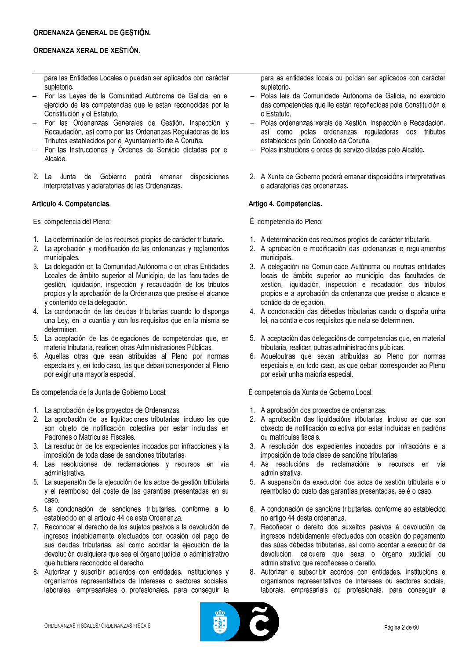para las Entidades Locales o puedan ser aplicados con carácter supletorio.

- Por las Leyes de la Comunidad Autónoma de Galicia, en el ejercicio de las competencias que le están reconocidas por la Constitución y el Estatuto.
- Por las Ordenanzas Generales de Gestión, Inspección y Recaudación, así como por las Ordenanzas Reguladoras de los Tributos establecidos por el Ayuntamiento de A Coruña.
- Por las Instrucciones y Órdenes de Servicio dictadas por el Alcalde.
- 2. La Junta de Gobierno podrá emanar disposiciones interpretativas y aclaratorias de las Ordenanzas.

### Artículo 4. Competencias.

Es competencia del Pleno:

- 1. La determinación de los recursos propios de carácter tributario.
- 2. La aprobación y modificación de las ordenanzas y reglamentos municipales.
- 3. La delegación en la Comunidad Autónoma o en otras Entidades Locales de ámbito superior al Municipio, de las facultades de gestión, liquidación, inspección y recaudación de los tributos propios y la aprobación de la Ordenanza que precise el alcance y contenido de la delegación.
- 4. La condonación de las deudas tributarias cuando lo disponga una Ley, en la cuantía y con los requisitos que en la misma se determinen.
- 5. La aceptación de las delegaciones de competencias que, en materia tributaria, realicen otras Administraciones Públicas.
- 6. Aquellas otras que sean atribuidas al Pleno por normas especiales y, en todo caso, las que deban corresponder al Pleno por exigir una mayoría especial.

Es competencia de la Junta de Gobierno Local:

- 1. La aprobación de los proyectos de Ordenanzas.
- 2. La aprobación de las liquidaciones tributarias, incluso las que son objeto de notificación colectiva por estar incluidas en Padrones o Matrículas Fiscales.
- 3. La resolución de los expedientes incoados por infracciones y la imposición de toda clase de sanciones tributarias.
- 4. Las resoluciones de reclamaciones y recursos en vía administrativa.
- 5. La suspensión de la ejecución de los actos de gestión tributaria y el reembolso del coste de las garantías presentadas en su caso.
- 6. La condonación de sanciones tributarias, conforme a lo establecido en el artículo 44 de esta Ordenanza.
- 7. Reconocer el derecho de los sujetos pasivos a la devolución de ingresos indebidamente efectuados con ocasión del pago de sus deudas tributarias, así como acordar la ejecución de la devolución cualquiera que sea el órgano judicial o administrativo que hubiera reconocido el derecho.
- 8. Autorizar y suscribir acuerdos con entidades, instituciones y organismos representativos de intereses o sectores sociales, laborales, empresariales o profesionales, para conseguir la

para as entidades locais ou poidan ser aplicados con carácter supletorio.

- Polas leis da Comunidade Autónoma de Galicia, no exercicio das competencias que lle están recoñecidas pola Constitución e o Estatuto.
- Polas ordenanzas xerais de Xestión, Inspección e Recadación, así como polas ordenanzas reguladoras dos tributos establecidos polo Concello da Coruña.
- Polas instrucións e ordes de servizo ditadas polo Alcalde.
- 2. A Xunta de Goberno poderá emanar disposicións interpretativas e aclaratorias das ordenanzas

## Artigo 4. Competencias.

- É competencia do Pleno:
- 1. A determinación dos recursos propios de carácter tributario.
- 2. A aprobación e modificación das ordenanzas e regulamentos municipais.
- 3. A delegación na Comunidade Autónoma ou noutras entidades locais de ámbito superior ao municipio, das facultades de xestión, liquidación, inspección e recadación dos tributos propios e a aprobación da ordenanza que precise o alcance e contido da delegación.
- 4. A condonación das débedas tributarias cando o dispoña unha lei, na contía e cos requisitos que nela se determinen.
- 5. A aceptación das delegacións de competencias que, en material tributaria, realicen outras administracións públicas.
- 6. Aqueloutras que sexan atribuídas ao Pleno por normas especiais e, en todo caso, as que deban corresponder ao Pleno por esixir unha maioría especial.

É competencia da Xunta de Goberno Local:

- 1. A aprobación dos proxectos de ordenanzas.
- 2. A aprobación das liquidacións tributarias, incluso as que son obxecto de notificación colectiva por estar incluídas en padróns ou matrículas fiscais.
- 3. A resolución dos expedientes incoados por infraccións e a imposición de toda clase de sancións tributarias.
- 4. As resolucións de reclamacións e recursos en vía administrativa.
- 5. A suspensión da execución dos actos de xestión tributaria e o reembolso do custo das garantías presentadas, se é o caso.
- 6. A condonación de sancións tributarias, conforme ao establecido no artigo 44 desta ordenanza.
- 7. Recoñecer o dereito dos suxeitos pasivos á devolución de ingresos indebidamente efectuados con ocasión do pagamento das súas débedas tributarias, así como acordar a execución da devolución, calquera que sexa o órgano xudicial ou administrativo que recoñecese o dereito.
- 8. Autorizar e subscribir acordos con entidades, institucións e organismos representativos de intereses ou sectores sociais, laborais, empresariais ou profesionais, para conseguir a

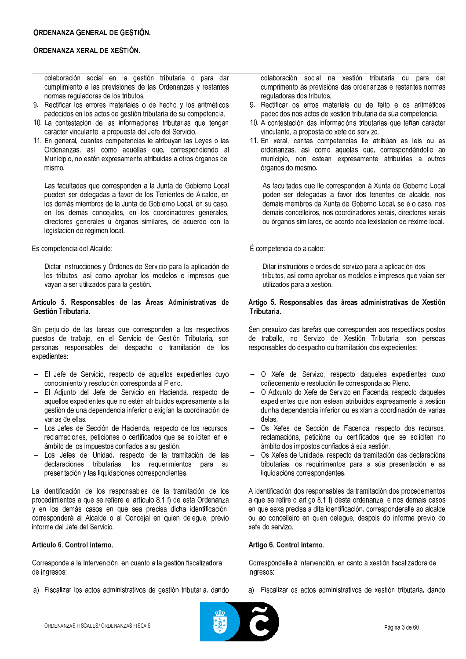colaboración social en la gestión tributaria o para dar cumplimiento a las previsiones de las Ordenanzas y restantes normas reguladoras de los tributos.

- 9. Rectificar los errores materiales o de hecho y los aritméticos padecidos en los actos de gestión tributaria de su competencia.
- 10. La contestación de las informaciones tributarias que tengan carácter vinculante, a propuesta del Jefe del Servicio.
- 11. En general, cuantas competencias le atribuyan las Leyes o las Ordenanzas, así como aquéllas que, correspondiendo al Municipio, no estén expresamente atribuidas a otros órganos del mismo.

Las facultades que corresponden a la Junta de Gobierno Local pueden ser delegadas a favor de los Tenientes de Alcalde, en los demás miembros de la Junta de Gobierno Local, en su caso, en los demás concejales, en los coordinadores generales, directores generales u órganos similares, de acuerdo con la legislación de régimen local.

### Es competencia del Alcalde:

Dictar Instrucciones y Órdenes de Servicio para la aplicación de los tributos, así como aprobar los modelos e impresos que vayan a ser utilizados para la gestión.

### Artículo 5. Responsables de las Áreas Administrativas de Gestión Tributaria.

Sin perjuicio de las tareas que corresponden a los respectivos puestos de trabajo, en el Servicio de Gestión Tributaria, son personas responsables del despacho o tramitación de los expedientes:

- El Jefe de Servicio, respecto de aquellos expedientes cuyo conocimiento y resolución corresponda al Pleno.
- El Adjunto del Jefe de Servicio en Hacienda, respecto de aquellos expedientes que no estén atribuidos expresamente a la gestión de una dependencia inferior o exigían la coordinación de varias de ellas.
- Los Jefes de Sección de Hacienda, respecto de los recursos, reclamaciones, peticiones o certificados que se soliciten en el ámbito de los impuestos confiados a su gestión.
- Los Jefes de Unidad, respecto de la tramitación de las declaraciones tributarias, los requerimientos para su presentación y las liquidaciones correspondientes.

La identificación de los responsables de la tramitación de los procedimientos a que se refiere el artículo 8.1 f) de esta Ordenanza y en los demás casos en que sea precisa dicha identificación, corresponderá al Alcalde o al Conceial en quien delegue, previo informe del Jefe del Servicio.

## Artículo 6. Control interno.

Corresponde a la Intervención, en cuanto a la gestión fiscalizadora de ingresos:

a) Fiscalizar los actos administrativos de gestión tributaria, dando

colaboración social na xestión tributaria ou para  $\overline{d}$ ar cumprimento ás previsións das ordenanzas e restantes normas reguladoras dos tributos.

- 9. Rectificar os erros materiais ou de feito e os aritméticos padecidos nos actos de xestión tributaria da súa competencia.
- 10. A contestación das informacións tributarias que teñan carácter vinculante, a proposta do xefe do servizo.
- 11. En xeral, cantas competencias lle atribúan as leis ou as ordenanzas, así como aquelas que, correspondéndolle ao municipio, non estean expresamente atribuídas a outros órganos do mesmo.

As facultades que lle corresponden à Xunta de Goberno Local poden ser delegadas a favor dos tenentes de alcalde, nos demais membros da Xunta de Goberno Local, se é o caso, nos demais concelleiros, nos coordinadores xerais, directores xerais ou órganos similares, de acordo coa lexislación de réxime local.

É competencia do alcalde:

Ditar instrucións e ordes de servizo para a aplicación dos tributos, así como aprobar os modelos e impresos que vaian ser utilizados para a xestión.

### Artigo 5. Responsables das áreas administrativas de Xestión Tributaria.

Sen prexuízo das tarefas que corresponden aos respectivos postos de traballo, no Servizo de Xestión Tributaria, son persoas responsables do despacho ou tramitación dos expedientes:

- O Xefe de Servizo, respecto daqueles expedientes cuxo coñecemento e resolución lle corresponda ao Pleno.
- O Adxunto do Xefe de Servizo en Facenda, respecto daqueles  $\equiv$ expedientes que non estean atribuídos expresamente á xestión dunha dependencia inferior ou esixían a coordinación de varias delas.
- Os Xefes de Sección de Facenda, respecto dos recursos,  $\mathbf{r}$ reclamacións, peticións ou certificados que se soliciten no ámbito dos impostos confiados á súa xestión.
- Os Xefes de Unidade, respecto da tramitación das declaracións tributarias, os requirimentos para a súa presentación e as liquidacións correspondentes.

A identificación dos responsables da tramitación dos procedementos a que se refire o artigo 8.1 f) desta ordenanza, e nos demais casos en que sexa precisa a dita identificación, corresponderalle ao alcalde ou ao concelleiro en quen delegue, despois do informe previo do xefe do servizo.

### Artigo 6. Control interno.

Correspóndelle á Intervención, en canto á xestión fiscalizadora de ingresos:

a) Fiscalizar os actos administrativos de xestión tributaria, dando

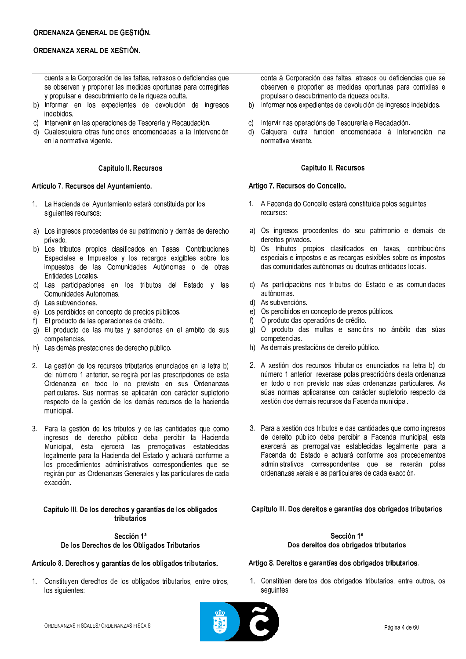cuenta a la Corporación de las faltas, retrasos o deficiencias que se observen y proponer las medidas oportunas para corregirlas y propulsar el descubrimiento de la rigueza oculta.

- b) Informar en los expedientes de devolución de ingresos indebidos.
- c) Intervenir en las operaciones de Tesorería y Recaudación.
- d) Cualesquiera otras funciones encomendadas a la Intervención en la normativa vigente.

## Capítulo II. Recursos

## Artículo 7. Recursos del Ayuntamiento.

- 1. La Hacienda del Ayuntamiento estará constituida por los siguientes recursos:
- a) Los ingresos procedentes de su patrimonio y demás de derecho privado.
- b) Los tributos propios clasificados en Tasas, Contribuciones Especiales e Impuestos y los recargos exigibles sobre los impuestos de las Comunidades Autónomas o de otras Entidades Locales.
- c) Las participaciones en los tributos del Estado y las Comunidades Autónomas
- d) Las subvenciones.
- e) Los percibidos en concepto de precios públicos.
- f) El producto de las operaciones de crédito.
- g) El producto de las multas y sanciones en el ámbito de sus competencias.
- h) Las demás prestaciones de derecho público.
- 2. La gestión de los recursos tributarios enunciados en la letra b) del número 1 anterior, se regirá por las prescripciones de esta Ordenanza en todo lo no previsto en sus Ordenanzas particulares. Sus normas se aplicarán con carácter supletorio respecto de la gestión de los demás recursos de la hacienda municipal.
- 3. Para la gestión de los tributos y de las cantidades que como ingresos de derecho público deba percibir la Hacienda Municipal, ésta ejercerá las prerrogativas establecidas legalmente para la Hacienda del Estado y actuará conforme a los procedimientos administrativos correspondientes que se regirán por las Ordenanzas Generales y las particulares de cada exacción.

#### Capítulo III. De los derechos y garantías de los obligados tributarios

## Sección 1ª De los Derechos de los Obligados Tributarios

### Artículo 8. Derechos y garantías de los obligados tributarios.

1. Constituyen derechos de los obligados tributarios, entre otros, los siguientes:

conta á Corporación das faltas, atrasos ou deficiencias que se observen e propoñer as medidas oportunas para corrixilas e propulsar o descubrimento da riqueza oculta.

- Informar nos expedientes de devolución de ingresos indebidos.  $b)$
- Intervir nas operacións de Tesourería e Recadación.  $\mathcal{C}$
- $d)$ Calquera outra función encomendada á Intervención na normativa vixente.

## Capítulo II. Recursos

## Artigo 7. Recursos do Concello.

- 1. A Facenda do Concello estará constituída polos seguintes recursos:
- a) Os ingresos procedentes do seu patrimonio e demais de dereitos privados.
- b) Os tributos propios clasificados en taxas, contribucións especiais e impostos e as recargas esixibles sobre os impostos das comunidades autónomas ou doutras entidades locais.
- c) As participacións nos tributos do Estado e as comunidades autónomas.
- d) As subvencións.
- e) Os percibidos en concepto de prezos públicos.
- f) O produto das operacións de crédito.
- g) O produto das multas e sancións no ámbito das súas competencias.
- h) As demais prestacións de dereito público.
- 2. A xestión dos recursos tributarios enunciados na letra b) do número 1 anterior rexerase polas prescricións desta ordenanza en todo o non previsto nas súas ordenanzas particulares. As súas normas aplicaranse con carácter supletorio respecto da xestión dos demais recursos da Facenda municipal.
- 3. Para a xestión dos tributos e das cantidades que como ingresos de dereito público deba percibir a Facenda municipal, esta exercerá as prerrogativas establecidas legalmente para a Facenda do Estado e actuará conforme aos procedementos administrativos correspondentes que se rexerán polas ordenanzas xerais e as particulares de cada exacción.

Capítulo III. Dos dereitos e garantías dos obrigados tributarios

## Sección 1ª Dos dereitos dos obrigados tributarios

Artigo 8. Dereitos e garantías dos obrigados tributarios.

1. Constitúen dereitos dos obrigados tributarios, entre outros, os sequintes:

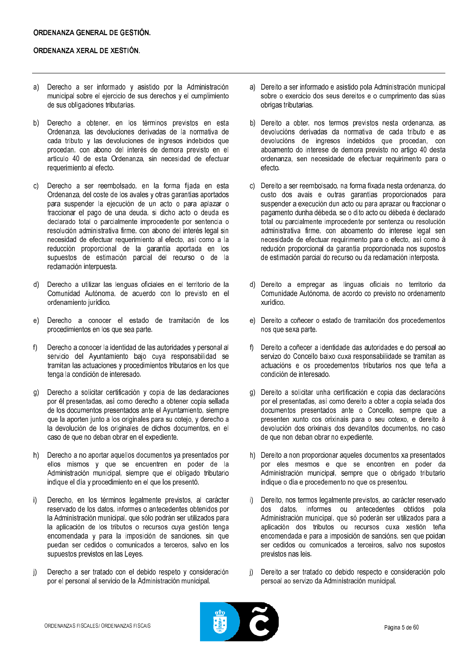- Derecho a ser informado y asistido por la Administración a) municipal sobre el ejercicio de sus derechos y el cumplimiento de sus obligaciones tributarias.
- $b)$ Derecho a obtener, en los términos previstos en esta Ordenanza, las devoluciones derivadas de la normativa de cada tributo y las devoluciones de ingresos indebidos que procedan, con abono del interés de demora previsto en el artículo 40 de esta Ordenanza, sin necesidad de efectuar requerimiento al efecto.
- Derecho a ser reembolsado, en la forma fijada en esta  $\mathcal{C}$ Ordenanza, del coste de los avales y otras garantías aportados para suspender la ejecución de un acto o para aplazar o fraccionar el pago de una deuda, si dicho acto o deuda es declarado total o parcialmente improcedente por sentencia o resolución administrativa firme, con abono del interés legal sin necesidad de efectuar requerimiento al efecto, así como a la reducción proporcional de la garantía aportada en los supuestos de estimación parcial del recurso o de la reclamación interpuesta.
- $d)$ Derecho a utilizar las lenguas oficiales en el territorio de la Comunidad Autónoma, de acuerdo con lo previsto en el ordenamiento jurídico.
- Derecho a conocer el estado de tramitación de los  $e)$ procedimientos en los que sea parte.
- $f$ Derecho a conocer la identidad de las autoridades y personal al servicio del Avuntamiento baio cuva responsabilidad se tramitan las actuaciones y procedimientos tributarios en los que tenga la condición de interesado.
- Derecho a solicitar certificación y copia de las declaraciones  $q)$ por él presentadas, así como derecho a obtener copia sellada de los documentos presentados ante el Ayuntamiento, siempre que la aporten junto a los originales para su cotejo, y derecho a la devolución de los originales de dichos documentos, en el caso de que no deban obrar en el expediente.
- Derecho a no aportar aquellos documentos ya presentados por  $h)$ ellos mismos y que se encuentren en poder de la Administración municipal, siempre que el obligado tributario indique el día y procedimiento en el que los presentó.
- Derecho, en los términos legalmente previstos, al carácter  $i)$ reservado de los datos, informes o antecedentes obtenidos por la Administración municipal, que sólo podrán ser utilizados para la aplicación de los tributos o recursos cuya gestión tenga encomendada y para la imposición de sanciones, sin que puedan ser cedidos o comunicados a terceros, salvo en los supuestos previstos en las Leves.
- Derecho a ser tratado con el debido respeto y consideración  $\mathbf{i}$ por el personal al servicio de la Administración municipal.
- a) Dereito a ser informado e asistido pola Administración municipal sobre o exercicio dos seus dereitos e o cumprimento das súas obrigas tributarias.
- b) Dereito a obter, nos termos previstos nesta ordenanza, as devolucións derivadas da normativa de cada tributo e as devolucións de ingresos indebidos que procedan, con aboamento do interese de demora previsto no artigo 40 desta ordenanza, sen necesidade de efectuar requirimento para o efecto.
- c) Dereito a ser reembolsado, na forma fixada nesta ordenanza, do custo dos avais e outras garantías proporcionados para suspender a execución dun acto ou para aprazar ou fraccionar o pagamento dunha débeda, se o dito acto ou débeda é declarado total ou parcialmente improcedente por sentenza ou resolución administrativa firme, con aboamento do interese legal sen necesidade de efectuar requirimento para o efecto, así como á redución proporcional da garantía proporcionada nos supostos de estimación parcial do recurso ou da reclamación interposta.
- d) Dereito a empregar as linguas oficiais no territorio da Comunidade Autónoma, de acordo co previsto no ordenamento xurídico.
- e) Dereito a coñecer o estado de tramitación dos procedementos nos que sexa parte.
- f) Dereito a coñecer a identidade das autoridades e do persoal ao servizo do Concello baixo cuxa responsabilidade se tramitan as actuacións e os procedementos tributarios nos que teña a condición de interesado.
- g) Dereito a solicitar unha certificación e copia das declaracións por el presentadas, así como dereito a obter a copia selada dos documentos presentados ante o Concello, sempre que a presenten xunto cos orixinais para o seu cotexo, e dereito á devolución dos orixinais dos devanditos documentos, no caso de que non deban obrar no expediente.
- h) Dereito a non proporcionar aqueles documentos xa presentados por eles mesmos e que se encontren en poder da Administración municipal, sempre que o obrigado tributario indique o día e procedemento no que os presentou.
- Dereito, nos termos legalmente previstos, ao carácter reservado  $i$ dos datos, informes ou antecedentes obtidos pola Administración municipal, que só poderán ser utilizados para a aplicación dos tributos ou recursos cuxa xestión teña encomendada e para a imposición de sancións, sen que poidan ser cedidos ou comunicados a terceiros, salvo nos supostos previstos nas leis.
- $\mathbf{i}$ Dereito a ser tratado co debido respecto e consideración polo persoal ao servizo da Administración municipal.

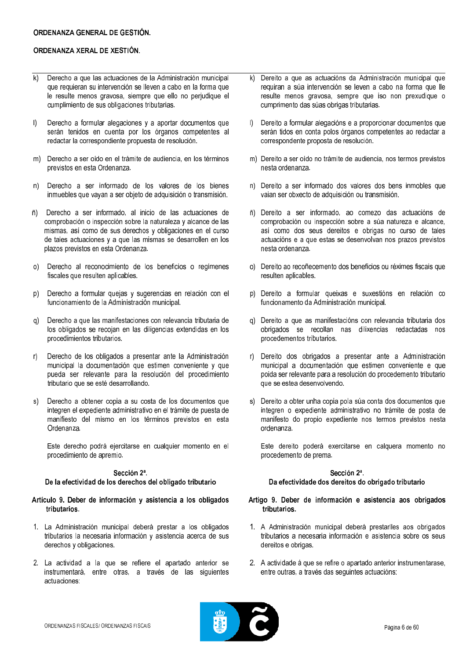- Derecho a que las actuaciones de la Administración municipal  $\overline{k}$ que requieran su intervención se lleven a cabo en la forma que le resulte menos gravosa, siempre que ello no perjudique el cumplimiento de sus obligaciones tributarias.
- $\mathsf{I}$ Derecho a formular alegaciones y a aportar documentos que serán tenidos en cuenta por los órganos competentes al redactar la correspondiente propuesta de resolución.
- Derecho a ser oído en el trámite de audiencia, en los términos  $m$ previstos en esta Ordenanza.
- Derecho a ser informado de los valores de los bienes  $n)$ inmuebles que vayan a ser objeto de adquisición o transmisión.
- Derecho a ser informado, al inicio de las actuaciones de  $\tilde{n}$ ) comprobación o inspección sobre la naturaleza y alcance de las mismas, así como de sus derechos y obligaciones en el curso de tales actuaciones y a que las mismas se desarrollen en los plazos previstos en esta Ordenanza.
- $O$ Derecho al reconocimiento de los beneficios o regímenes fiscales que resulten aplicables.
- $p)$ Derecho a formular quejas y sugerencias en relación con el funcionamiento de la Administración municipal.
- Derecho a que las manifestaciones con relevancia tributaria de  $q)$ los obligados se recojan en las diligencias extendidas en los procedimientos tributarios.
- Derecho de los obligados a presentar ante la Administración  $\mathsf{r}$ municipal la documentación que estimen conveniente y que pueda ser relevante para la resolución del procedimiento tributario que se esté desarrollando.
- Derecho a obtener copia a su costa de los documentos que  $s)$ integren el expediente administrativo en el trámite de puesta de manifiesto del mismo en los términos previstos en esta Ordenanza.

Este derecho podrá ejercitarse en cualquier momento en el procedimiento de apremio.

### Sección 2ª.

### De la efectividad de los derechos del obligado tributario

### Artículo 9. Deber de información y asistencia a los obligados tributarios.

- 1. La Administración municipal deberá prestar a los obligados tributarios la necesaria información y asistencia acerca de sus derechos y obligaciones.
- 2. La actividad a la que se refiere el apartado anterior se instrumentará, entre otras, a través de las siguientes actuaciones
- Dereito a que as actuacións da Administración municipal que  $\mathsf{k}$ requiran a súa intervención se leven a cabo na forma que lle resulte menos gravosa, sempre que iso non prexudique o cumprimento das súas obrigas tributarias.
- $\mathbb{D}$ Dereito a formular alegacións e a proporcionar documentos que serán tidos en conta polos órganos competentes ao redactar a correspondente proposta de resolución.
- m) Dereito a ser oído no trámite de audiencia, nos termos previstos nesta ordenanza.
- n) Dereito a ser informado dos valores dos bens inmobles que vaian ser obxecto de adquisición ou transmisión.
- ñ) Dereito a ser informado, ao comezo das actuacións de comprobación ou inspección sobre a súa natureza e alcance. así como dos seus dereitos e obrigas no curso de tales actuacións e a que estas se desenvolvan nos prazos previstos nesta ordenanza.
- o) Dereito ao recoñecemento dos beneficios ou réximes fiscais que resulten aplicables.
- p) Dereito a formular queixas e suxestións en relación co funcionamento da Administración municipal.
- q) Dereito a que as manifestacións con relevancia tributaria dos obrigados se recollan nas dilixencias redactadas nos procedementos tributarios.
- r) Dereito dos obrigados a presentar ante a Administración municipal a documentación que estimen conveniente e que poida ser relevante para a resolución do procedemento tributario que se estea desenvolvendo.
- s) Dereito a obter unha copia pola súa conta dos documentos que integren o expediente administrativo no trámite de posta de manifesto do propio expediente nos termos previstos nesta ordenanza.

Este dereito poderá exercitarse en calquera momento no procedemento de prema.

### Sección 2ª

Da efectividade dos dereitos do obrigado tributario

- Artigo 9. Deber de información e asistencia aos obrigados tributarios.
- 1. A Administración municipal deberá prestarlles aos obrigados tributarios a necesaria información e asistencia sobre os seus dereitos e obrigas.
- 2. A actividade á que se refire o apartado anterior instrumentarase, entre outras, a través das sequintes actuacións:

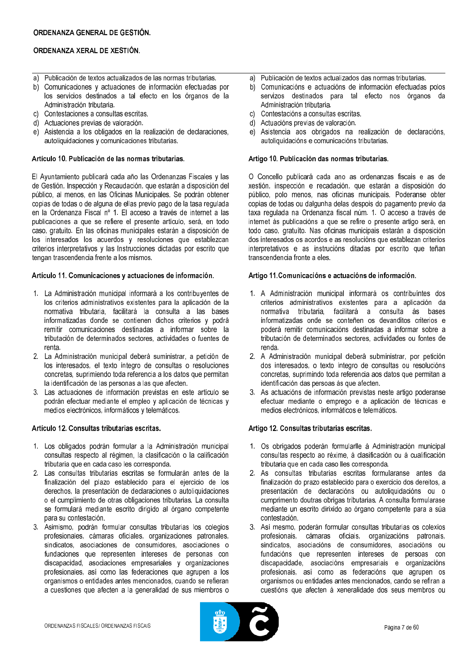- a) Publicación de textos actualizados de las normas tributarias.
- b) Comunicaciones y actuaciones de información efectuadas por los servicios destinados a tal efecto en los órganos de la Administración tributaria.
- c) Contestaciones a consultas escritas.
- d) Actuaciones previas de valoración.
- e) Asistencia a los obligados en la realización de declaraciones, autoliquidaciones y comunicaciones tributarias.

## Artículo 10. Publicación de las normas tributarias.

El Ayuntamiento publicará cada año las Ordenanzas Fiscales y las de Gestión, Inspección y Recaudación, que estarán a disposición del público, al menos, en las Oficinas Municipales. Se podrán obtener copias de todas o de alguna de ellas previo pago de la tasa regulada en la Ordenanza Fiscal nº 1. El acceso a través de internet a las publicaciones a que se refiere el presente artículo, será, en todo caso, gratuito. En las oficinas municipales estarán a disposición de los interesados los acuerdos y resoluciones que establezcan criterios interpretativos y las Instrucciones dictadas por escrito que tengan trascendencia frente a los mismos.

## Artículo 11. Comunicaciones y actuaciones de información.

- 1. La Administración municipal informará a los contribuyentes de los criterios administrativos existentes para la aplicación de la normativa tributaria, facilitará la consulta a las bases informatizadas donde se contienen dichos criterios y podrá remitir comunicaciones destinadas a informar sobre la tributación de determinados sectores, actividades o fuentes de renta
- 2. La Administración municipal deberá suministrar, a petición de los interesados, el texto íntegro de consultas o resoluciones concretas, suprimiendo toda referencia a los datos que permitan la identificación de las personas a las que afecten.
- 3. Las actuaciones de información previstas en este artículo se podrán efectuar mediante el empleo y aplicación de técnicas y medios electrónicos, informáticos y telemáticos.

## Artículo 12. Consultas tributarias escritas.

- 1. Los obligados podrán formular a la Administración municipal consultas respecto al régimen, la clasificación o la calificación tributaria que en cada caso les corresponda.
- 2. Las consultas tributarias escritas se formularán antes de la finalización del plazo establecido para el ejercicio de los derechos, la presentación de declaraciones o autoliquidaciones o el cumplimiento de otras obligaciones tributarias. La consulta se formulará mediante escrito dirigido al órgano competente para su contestación.
- 3. Asimismo, podrán formular consultas tributarias los colegios profesionales cámaras oficiales organizaciones patronales. sindicatos asociaciones de consumidores asociaciones o fundaciones que representen intereses de personas con discapacidad, asociaciones empresariales y organizaciones profesionales, así como las federaciones que agrupen a los organismos o entidades antes mencionados, cuando se refieran a cuestiones que afecten a la generalidad de sus miembros o
- a) Publicación de textos actualizados das normas tributarias.
- b) Comunicacións e actuacións de información efectuadas polos servizos destinados para tal efecto nos órganos da Administración tributaria.
- c) Contestacións a consultas escritas.
- d) Actuacións previas de valoración.
- e) Asistencia aos obrigados na realización de declaracións, autoliquidacións e comunicacións tributarias.

## Artigo 10. Publicación das normas tributarias.

O Concello publicará cada ano as ordenanzas fiscais e as de xestión, inspección e recadación, que estarán a disposición do público, polo menos, nas oficinas municipais. Poderanse obter copias de todas ou dalgunha delas despois do pagamento previo da taxa regulada na Ordenanza fiscal núm. 1. O acceso a través de internet ás publicacións a que se refire o presente artigo será, en todo caso, gratuíto. Nas oficinas municipais estarán a disposición dos interesados os acordos e as resolucións que establezan criterios interpretativos e as instrucións ditadas por escrito que teñan transcendencia fronte a eles

### Artigo 11. Comunicacións e actuacións de información.

- 1. A Administración municipal informará os contribuíntes dos criterios administrativos existentes para a aplicación da normativa tributaria, facilitará a consulta ás bases informatizadas onde se conteñen os devanditos criterios e poderá remitir comunicacións destinadas a informar sobre a tributación de determinados sectores, actividades ou fontes de renda.
- 2. A Administración municipal deberá subministrar, por petición dos interesados, o texto íntegro de consultas ou resolucións concretas, suprimindo toda referencia aos datos que permitan a identificación das persoas ás que afecten.
- 3. As actuacións de información previstas neste artigo poderanse efectuar mediante o emprego e a aplicación de técnicas e medios electrónicos, informáticos e telemáticos.

## Artigo 12. Consultas tributarias escritas.

- 1. Os obrigados poderán formularlle á Administración municipal consultas respecto ao réxime, á clasificación ou á cualificación tributaria que en cada caso lles corresponda.
- 2. As consultas tributarias escritas formularanse antes da finalización do prazo establecido para o exercicio dos dereitos, a presentación de declaracións ou autoliquidacións ou o cumprimento doutras obrigas tributarias. A consulta formularase mediante un escrito dirixido ao órgano competente para a súa contestación.
- 3. Así mesmo, poderán formular consultas tributarias os colexios profesionais, cámaras oficiais, organizacións patronais, sindicatos, asociacións de consumidores, asociacións ou fundacións que representen intereses de persoas con discapacidade, asociacións empresariais e organizacións profesionais, así como as federacións que agrupen os organismos ou entidades antes mencionados, cando se refiran a cuestións que afecten á xeneralidade dos seus membros ou

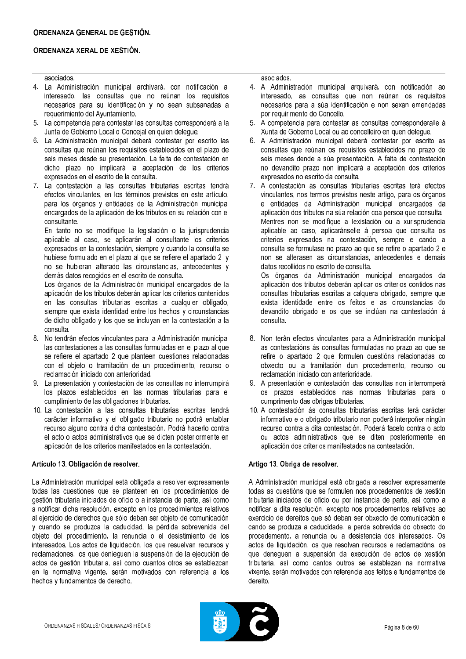## asociados.

- 4. La Administración municipal archivará, con notificación al interesado, las consultas que no reúnan los requisitos necesarios para su identificación y no sean subsanadas a requerimiento del Ayuntamiento.
- 5. La competencia para contestar las consultas corresponderá a la Junta de Gobierno Local o Concejal en quien delegue.
- 6. La Administración municipal deberá contestar por escrito las consultas que reúnan los requisitos establecidos en el plazo de seis meses desde su presentación. La falta de contestación en dicho plazo no implicará la aceptación de los criterios expresados en el escrito de la consulta.
- 7. La contestación a las consultas tributarias escritas tendrá efectos vinculantes, en los términos previstos en este artículo, para los órganos y entidades de la Administración municipal encargados de la aplicación de los tributos en su relación con el consultante.

En tanto no se modifique la legislación o la jurisprudencia aplicable al caso, se aplicarán al consultante los criterios expresados en la contestación, siempre y cuando la consulta se hubiese formulado en el plazo al que se refiere el apartado 2 y no se hubieran alterado las circunstancias, antecedentes y demás datos recogidos en el escrito de consulta.

Los órganos de la Administración municipal encargados de la aplicación de los tributos deberán aplicar los criterios contenidos en las consultas tributarias escritas a cualquier obligado, siempre que exista identidad entre los hechos y circunstancias de dicho obligado y los que se incluyan en la contestación a la consulta.

- 8. No tendrán efectos vinculantes para la Administración municipal las contestaciones a las consultas formuladas en el plazo al que se refiere el apartado 2 que planteen cuestiones relacionadas con el objeto o tramitación de un procedimiento, recurso o reclamación iniciado con anterioridad.
- 9. La presentación y contestación de las consultas no interrumpirá los plazos establecidos en las normas tributarias para el cumplimiento de las obligaciones tributarias.
- 10. La contestación a las consultas tributarias escritas tendrá carácter informativo y el obligado tributario no podrá entablar recurso alguno contra dicha contestación. Podrá hacerlo contra el acto o actos administrativos que se dicten posteriormente en aplicación de los criterios manifestados en la contestación.

### Artículo 13. Obligación de resolver.

La Administración municipal está obligada a resolver expresamente todas las cuestiones que se planteen en los procedimientos de gestión tributaria iniciados de oficio o a instancia de parte, así como a notificar dicha resolución, excepto en los procedimientos relativos al ejercicio de derechos que sólo deban ser objeto de comunicación y cuando se produzca la caducidad, la pérdida sobrevenida del obieto del procedimiento. La renuncia o el desistimiento de los interesados. Los actos de liquidación, los que resuelvan recursos y reclamaciones, los que deniequen la suspensión de la ejecución de actos de gestión tributaria, así como cuantos otros se establezcan en la normativa vigente, serán motivados con referencia a los hechos y fundamentos de derecho.

asociados.

- 4. A Administración municipal arquivará, con notificación ao interesado, as consultas que non reúnan os requisitos necesarios para a súa identificación e non sexan emendadas por requirimento do Concello.
- 5. A competencia para contestar as consultas corresponderalle á Xunta de Goberno Local ou ao concelleiro en quen delegue.
- 6. A Administración municipal deberá contestar por escrito as consultas que reúnan os requisitos establecidos no prazo de seis meses dende a súa presentación. A falta de contestación no devandito prazo non implicará a aceptación dos criterios expresados no escrito da consulta.
- 7. A contestación ás consultas tributarias escritas terá efectos vinculantes, nos termos previstos neste artigo, para os órganos e entidades da Administración municipal encargados da aplicación dos tributos na súa relación coa persoa que consulta. Mentres non se modifique a lexislación ou a xurisprudencia aplicable ao caso, aplicaránselle á persoa que consulta os criterios expresados na contestación, sempre e cando a consulta se formulase no prazo ao que se refire o apartado 2 e non se alterasen as circunstancias, antecedentes e demais datos recollidos no escrito de consulta.

Os órganos da Administración municipal encargados da aplicación dos tributos deberán aplicar os criterios contidos nas consultas tributarias escritas a calquera obrigado, sempre que exista identidade entre os feitos e as circunstancias do devandito obrigado e os que se inclúan na contestación á consulta.

- 8. Non terán efectos vinculantes para a Administración municipal as contestacións ás consultas formuladas no prazo ao que se refire o apartado 2 que formulen cuestións relacionadas co obxecto ou a tramitación dun procedemento, recurso ou reclamación iniciado con anterioridade.
- 9. A presentación e contestación das consultas non interromperá os prazos establecidos nas normas tributarias para o cumprimento das obrigas tributarias.
- 10. A contestación ás consultas tributarias escritas terá carácter informativo e o obrigado tributario non poderá interpoñer ningún recurso contra a dita contestación. Poderá facelo contra o acto ou actos administrativos que se diten posteriormente en aplicación dos criterios manifestados na contestación.

## Artigo 13. Obriga de resolver.

A Administración municipal está obrigada a resolver expresamente todas as cuestións que se formulen nos procedementos de xestión tributaria iniciados de oficio ou por instancia de parte, así como a notificar a dita resolución, excepto nos procedementos relativos ao exercicio de dereitos que só deban ser obxecto de comunicación e cando se produza a caducidade, a perda sobrevida do obxecto do procedemento, a renuncia ou a desistencia dos interesados. Os actos de liquidación, os que resolvan recursos e reclamacións, os que denequen a suspensión da execución de actos de xestión tributaria, así como cantos outros se establezan na normativa vixente, serán motivados con referencia aos feitos e fundamentos de dereito

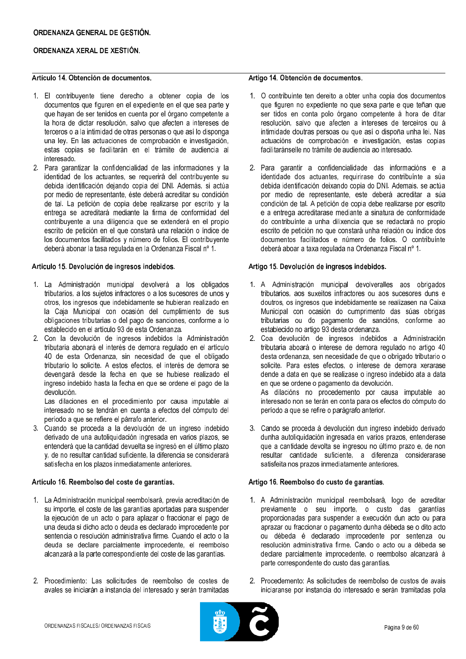## ORDENANZA GENERAL DE GESTIÓN.

## ORDENANZA XERAL DE XESTIÓN.

## Artículo 14 Obtención de documentos

- 1. El contribuyente tiene derecho a obtener copia de los documentos que figuren en el expediente en el que sea parte y que hayan de ser tenidos en cuenta por el órgano competente a la hora de dictar resolución, salvo que afecten a intereses de terceros o a la intimidad de otras personas o que así lo disponga una ley. En las actuaciones de comprobación e investigación. estas copias se facilitarán en el trámite de audiencia al interesado.
- 2. Para garantizar la confidencialidad de las informaciones y la identidad de los actuantes, se requerirá del contribuyente su debida identificación dejando copia del DNI. Además, si actúa por medio de representante, éste deberá acreditar su condición de tal. La petición de copia debe realizarse por escrito y la entrega se acreditará mediante la firma de conformidad del contribuyente a una diligencia que se extenderá en el propio escrito de petición en el que constará una relación o índice de los documentos facilitados y número de folios. El contribuyente deberá abonar la tasa regulada en la Ordenanza Fiscal nº 1.

## Articulo 15. Devolución de ingresos indebidos.

- 1. La Administración municipal devolverá a los obligados tributarios, a los sujetos infractores o a los sucesores de unos y otros, los ingresos que indebidamente se hubieran realizado en la Caja Municipal con ocasión del cumplimiento de sus obligaciones tributarias o del pago de sanciones, conforme a lo establecido en el artículo 93 de esta Ordenanza.
- 2. Con la devolución de ingresos indebidos la Administración tributaria abonará el interés de demora regulado en el artículo 40 de esta Ordenanza, sin necesidad de que el obligado tributario lo solicite. A estos efectos, el interés de demora se devengará desde la fecha en que se hubiese realizado el ingreso indebido hasta la fecha en que se ordene el pago de la devolución.

Las dilaciones en el procedimiento por causa imputable al interesado no se tendrán en cuenta a efectos del cómputo del período a que se refiere el párrafo anterior.

3. Cuando se proceda a la devolución de un ingreso indebido derivado de una autoliquidación ingresada en varios plazos, se entenderá que la cantidad devuelta se ingresó en el último plazo y, de no resultar cantidad suficiente, la diferencia se considerará satisfecha en los plazos inmediatamente anteriores.

### Artículo 16. Reembolso del coste de garantías.

- 1. La Administración municipal reembolsará, previa acreditación de su importe, el coste de las garantías aportadas para suspender la ejecución de un acto o para aplazar o fraccionar el pago de una deuda si dicho acto o deuda es declarado improcedente por sentencia o resolución administrativa firme. Cuando el acto o la deuda se declare parcialmente improcedente, el reembolso alcanzará a la parte correspondiente del coste de las garantías.
- 2. Procedimiento: Las solicitudes de reembolso de costes de avales se iniciarán a instancia del interesado y serán tramitadas

## Artigo 14. Obtención de documentos.

- 1. O contribuínte ten dereito a obter unha copia dos documentos que figuren no expediente no que sexa parte e que teñan que ser tidos en conta polo órgano competente á hora de ditar resolución, salvo que afecten a intereses de terceiros ou á intimidade doutras persoas ou que así o dispoña unha lei. Nas actuacións de comprobación e investigación, estas copias facilitaránselle no trámite de audiencia ao interesado.
- 2. Para garantir a confidencialidade das informacións e a identidade dos actuantes, requirirase do contribuínte a súa debida identificación deixando copia do DNI. Ademais, se actúa por medio de representante, este deberá acreditar a súa condición de tal. A petición de copia debe realizarse por escrito e a entrega acreditarase mediante a sinatura de conformidade do contribuínte a unha dilixencia que se redactará no propio escrito de petición no que constará unha relación ou índice dos documentos facilitados e número de folios. O contribuínte deberá aboar a taxa regulada na Ordenanza Fiscal nº 1.

## Artigo 15. Devolución de ingresos indebidos.

- 1. A Administración municipal devolveralles aos obrigados tributarios, aos suxeitos infractores ou aos sucesores duns e doutros, os ingresos que indebidamente se realizasen na Caixa Municipal con ocasión do cumprimento das súas obrigas tributarias ou do pagamento de sancións, conforme ao establecido no artigo 93 desta ordenanza.
- 2. Coa devolución de ingresos indebidos a Administración tributaria aboará o interese de demora regulado no artigo 40 desta ordenanza, sen necesidade de que o obrigado tributario o solicite. Para estes efectos, o interese de demora xerarase dende a data en que se realizase o ingreso indebido ata a data en que se ordene o pagamento da devolución. As dilacións no procedemento por causa imputable ao

interesado non se terán en conta para os efectos do cómputo do período a que se refire o parágrafo anterior.

3. Cando se proceda á devolución dun ingreso indebido derivado dunha autoliquidación ingresada en varios prazos, entenderase que a cantidade devolta se ingresou no último prazo e, de non resultar cantidade suficiente, a diferenza considerarase satisfeita nos prazos inmediatamente anteriores.

## Artigo 16. Reembolso do custo de garantías.

- 1. A Administración municipal reembolsará, logo de acreditar previamente o seu importe, o custo das garantías proporcionadas para suspender a execución dun acto ou para aprazar ou fraccionar o pagamento dunha débeda se o dito acto ou débeda é declarado improcedente por sentenza ou resolución administrativa firme. Cando o acto ou a débeda se declare parcialmente improcedente, o reembolso alcanzará á parte correspondente do custo das garantías.
- 2. Procedemento: As solicitudes de reembolso de custos de avais iniciaranse por instancia do interesado e serán tramitadas pola

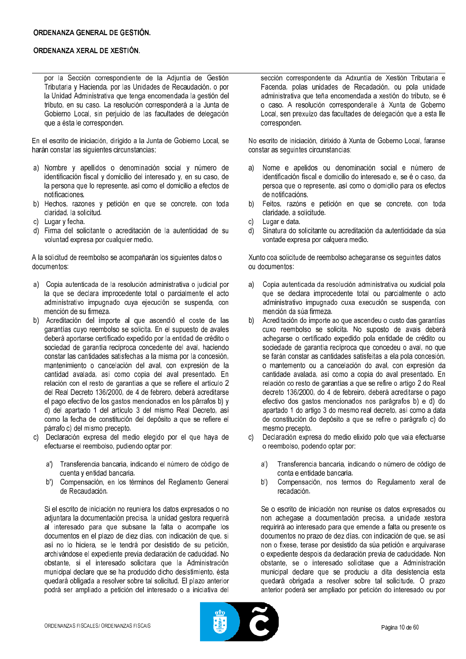por la Sección correspondiente de la Adjuntía de Gestión Tributaria y Hacienda, por las Unidades de Recaudación, o por la Unidad Administrativa que tenga encomendada la gestión del tributo, en su caso. La resolución corresponderá a la Junta de Gobierno Local, sin perjuicio de las facultades de delegación que a ésta le corresponden.

En el escrito de iniciación, dirigido a la Junta de Gobierno Local, se harán constar las siguientes circunstancias:

- a) Nombre y apellidos o denominación social y número de identificación fiscal y domicilio del interesado y, en su caso, de la persona que lo represente, así como el domicilio a efectos de notificaciones.
- b) Hechos, razones y petición en que se concrete, con toda claridad, la solicitud.
- c) Lugar y fecha.
- d) Firma del solicitante o acreditación de la autenticidad de su voluntad expresa por cualquier medio.

A la solicitud de reembolso se acompañarán los siguientes datos o documentos:

- a) Copia autenticada de la resolución administrativa o judicial por la que se declara improcedente total o parcialmente el acto administrativo impugnado cuya ejecución se suspenda, con mención de su firmeza.
- b) Acreditación del importe al que ascendió el coste de las garantías cuyo reembolso se solicita. En el supuesto de avales deberá aportarse certificado expedido por la entidad de crédito o sociedad de garantía recíproca concedente del aval, haciendo constar las cantidades satisfechas a la misma por la concesión. mantenimiento o cancelación del aval, con expresión de la cantidad avalada, así como copia del aval presentado. En relación con el resto de garantías a que se refiere el artículo 2 del Real Decreto 136/2000, de 4 de febrero, deberá acreditarse el pago efectivo de los gastos mencionados en los párrafos b) y d) del apartado 1 del artículo 3 del mismo Real Decreto, así como la fecha de constitución del depósito a que se refiere el párrafo c) del mismo precepto.
- Declaración expresa del medio elegido por el que hava de efectuarse el reembolso, pudiendo optar por:
	- a') Transferencia bancaria, indicando el número de código de cuenta y entidad bancaria.
	- Compensación, en los términos del Reglamento General  $b'$ de Recaudación.

Si el escrito de iniciación no reuniera los datos expresados o no adjuntara la documentación precisa, la unidad gestora requerirá al interesado para que subsane la falta o acompañe los documentos en el plazo de diez días, con indicación de que, si así no lo hiciera, se le tendrá por desistido de su petición, archivándose el expediente previa declaración de caducidad. No obstante, si el interesado solicitara que la Administración municipal declare que se ha producido dicho desistimiento, ésta quedará obligada a resolver sobre tal solicitud. El plazo anterior podrá ser ampliado a petición del interesado o a iniciativa del

sección correspondente da Adxuntía de Xestión Tributaria e Facenda, polas unidades de Recadación, ou pola unidade administrativa que teña encomendada a xestión do tributo, se é o caso. A resolución corresponderalle á Xunta de Goberno Local, sen prexuízo das facultades de delegación que a esta lle corresponden.

No escrito de iniciación, dirixido á Xunta de Goberno Local, faranse constar as seguintes circunstancias:

- Nome e apelidos ou denominación social e número de  $a)$ identificación fiscal e domicilio do interesado e, se é o caso, da persoa que o represente, así como o domicilio para os efectos de notificacións.
- Feitos, razóns e petición en que se concrete, con toda  $b)$ claridade, a solicitude.
- Lugar e data.  $\Omega$
- Sinatura do solicitante ou acreditación da autenticidade da súa d) vontade expresa por calquera medio.

Xunto coa solicitude de reembolso achegaranse os sequintes datos ou documentos:

- a) Copia autenticada da resolución administrativa ou xudicial pola que se declara improcedente total ou parcialmente o acto administrativo impugnado cuxa execución se suspenda, con mención da súa firmeza.
- Acreditación do importe ao que ascendeu o custo das garantías  $b)$ cuxo reembolso se solicita. No suposto de avais deberá achegarse o certificado expedido pola entidade de crédito ou sociedade de garantía recíproca que concedeu o aval, no que se farán constar as cantidades satisfeitas a ela pola concesión. o mantemento ou a cancelación do aval, con expresión da cantidade avalada, así como a copia do aval presentado. En relación co resto de garantías a que se refire o artigo 2 do Real decreto 136/2000, do 4 de febreiro, deberá acreditarse o pago efectivo dos gastos mencionados nos parágrafos b) e d) do apartado 1 do artigo 3 do mesmo real decreto, así como a data de constitución do depósito a que se refire o parágrafo c) do mesmo precepto.
- Declaración expresa do medio elixido polo que vaja efectuarse o reembolso, podendo optar por:
	- Transferencia bancaria, indicando o número de código de  $a'$ conta e entidade bancaria.
	- Compensación, nos termos do Regulamento xeral de  $b'$ recadación.

Se o escrito de iniciación non reunise os datos expresados ou non achegase a documentación precisa, a unidade xestora requirirá ao interesado para que emende a falta ou presente os documentos no prazo de dez días, con indicación de que, se así non o fixese, terase por desistido da súa petición e arquivarase o expediente despois da declaración previa de caducidade. Non obstante, se o interesado solicitase que a Administración municipal declare que se produciu a dita desistencia esta quedará obrigada a resolver sobre tal solicitude. O prazo anterior poderá ser ampliado por petición do interesado ou por

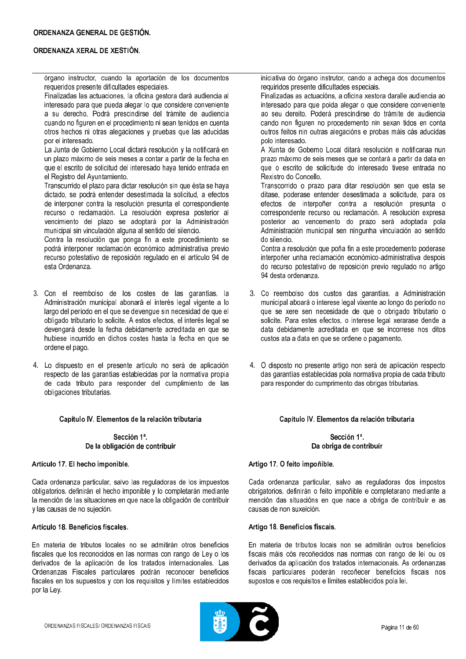órgano instructor, cuando la aportación de los documentos requeridos presente dificultades especiales.

Finalizadas las actuaciones, la oficina gestora dará audiencia al interesado para que pueda alegar lo que considere conveniente a su derecho. Podrá prescindirse del trámite de audiencia cuando no figuren en el procedimiento ni sean tenidos en cuenta otros hechos ni otras alegaciones y pruebas que las aducidas por el interesado.

La Junta de Gobierno Local dictará resolución y la notificará en un plazo máximo de seis meses a contar a partir de la fecha en que el escrito de solicitud del interesado hava tenido entrada en el Registro del Avuntamiento.

Transcurrido el plazo para dictar resolución sin que ésta se haya dictado, se podrá entender desestimada la solicitud, a efectos de interponer contra la resolución presunta el correspondiente recurso o reclamación. La resolución expresa posterior al vencimiento del plazo se adoptará por la Administración municipal sin vinculación alguna al sentido del silencio.

Contra la resolución que ponga fin a este procedimiento se podrá interponer reclamación económico administrativa previo recurso potestativo de reposición regulado en el artículo 94 de esta Ordenanza

- 3. Con el reembolso de los costes de las garantías, la Administración municipal abonará el interés legal vigente a lo largo del período en el que se devengue sin necesidad de que el obligado tributario lo solicite. A estos efectos, el interés legal se devengará desde la fecha debidamente acreditada en que se hubiese incurrido en dichos costes hasta la fecha en que se ordene el pago.
- 4. Lo dispuesto en el presente artículo no será de aplicación respecto de las garantías establecidas por la normativa propia de cada tributo para responder del cumplimiento de las obligaciones tributarias.

### Capítulo IV. Elementos de la relación tributaria

Sección 1ª. De la obligación de contribuir

### Artículo 17. El hecho imponible.

Cada ordenanza particular, salvo las reguladoras de los impuestos obligatorios, definirán el hecho imponible y lo completarán mediante la mención de las situaciones en que nace la obligación de contribuir y las causas de no sujeción.

### Artículo 18. Beneficios fiscales.

En materia de tributos locales no se admitirán otros beneficios fiscales que los reconocidos en las normas con rango de Ley o los derivados de la aplicación de los tratados internacionales. Las Ordenanzas Fiscales particulares podrán reconocer beneficios fiscales en los supuestos y con los requisitos y límites establecidos por la Ley.

iniciativa do órgano instrutor, cando a achega dos documentos requiridos presente dificultades especiais.

Finalizadas as actuacións, a oficina xestora daralle audiencia ao interesado para que poida alegar o que considere conveniente ao seu dereito. Poderá prescindirse do trámite de audiencia cando non figuren no procedemento nin sexan tidos en conta outros feitos nin outras alegacións e probas máis cás aducidas polo interesado.

A Xunta de Goberno Local ditará resolución e notificaraa nun prazo máximo de seis meses que se contará a partir da data en que o escrito de solicitude do interesado tivese entrada no Rexistro do Concello.

Transcorrido o prazo para ditar resolución sen que esta se ditase, poderase entender desestimada a solicitude, para os efectos de interpoñer contra a resolución presunta o correspondente recurso ou reclamación. A resolución expresa posterior ao vencemento do prazo será adoptada pola Administración municipal sen ningunha vinculación ao sentido do silencio.

Contra a resolución que poña fin a este procedemento poderase interpoñer unha reclamación económico-administrativa despois do recurso potestativo de reposición previo regulado no artigo 94 desta ordenanza

- 3. Co reembolso dos custos das garantías, a Administración municipal aboará o interese legal vixente ao longo do período no que se xere sen necesidade de que o obrigado tributario o solicite. Para estes efectos, o interese legal xerarase dende a data debidamente acreditada en que se incorrese nos ditos custos ata a data en que se ordene o pagamento.
- 4. O disposto no presente artigo non será de aplicación respecto das garantías establecidas pola normativa propia de cada tributo para responder do cumprimento das obrigas tributarias.

### Capítulo IV. Elementos da relación tributaria

## Sección 1ª. Da obriga de contribuír

### Artigo 17. O feito impoñible.

Cada ordenanza particular, salvo as reguladoras dos impostos obrigatorios, definirán o feito impoñible e completarano mediante a mención das situacións en que nace a obriga de contribuír e as causas de non suxeición.

### Artigo 18. Beneficios fiscais.

En materia de tributos locais non se admitirán outros beneficios fiscais máis cós recoñecidos nas normas con rango de lei ou os derivados da aplicación dos tratados internacionais. As ordenanzas fiscais particulares poderán recoñecer beneficios fiscais nos supostos e cos requisitos e límites establecidos pola lei.

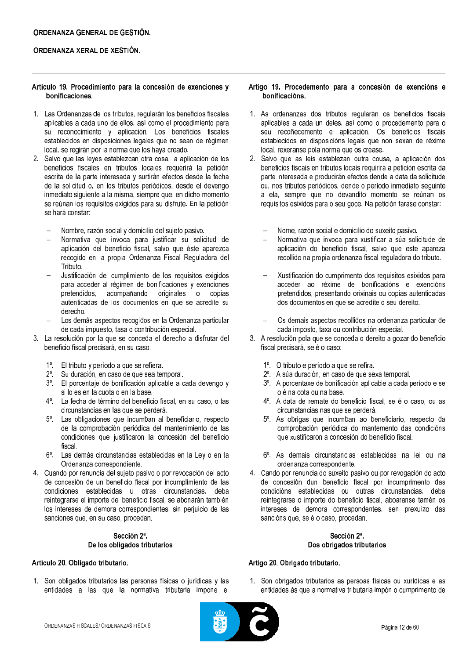## Artículo 19. Procedimiento para la concesión de exenciones y bonificaciones.

- 1. Las Ordenanzas de los tributos, regularán los beneficios fiscales aplicables a cada uno de ellos, así como el procedimiento para su reconocimiento y aplicación. Los beneficios fiscales establecidos en disposiciones legales que no sean de régimen local, se regirán por la norma que los haya creado.
- 2. Salvo que las leyes establezcan otra cosa, la aplicación de los beneficios fiscales en tributos locales requerirá la petición escrita de la parte interesada y surtirán efectos desde la fecha de la solicitud o, en los tributos periódicos, desde el devengo inmediato siguiente a la misma, siempre que, en dicho momento se reúnan los requisitos exigidos para su disfrute. En la petición se hará constar:
	- Nombre, razón social y domicilio del sujeto pasivo.
	- Normativa que invoca para justificar su solicitud de aplicación del beneficio fiscal, salvo que éste aparezca recogido en la propia Ordenanza Fiscal Reguladora del Tributo.
	- Justificación del cumplimiento de los requisitos exigidos para acceder al régimen de bonificaciones y exenciones pretendidos, acompañando originales o copias autenticadas de los documentos en que se acredite su derecho.
	- Los demás aspectos recogidos en la Ordenanza particular de cada impuesto, tasa o contribución especial.
- 3. La resolución por la que se conceda el derecho a disfrutar del beneficio fiscal precisará, en su caso:
	- 1º. El tributo y período a que se refiera.
	- 2<sup>°</sup>. Su duración, en caso de que sea temporal.
	- 3º. El porcentaje de bonificación aplicable a cada devengo y si lo es en la cuota o en la base.
	- 4<sup>°</sup>. La fecha de término del beneficio fiscal, en su caso, o las circunstancias en las que se perderá.
	- Las obligaciones que incumban al beneficiario, respecto  $5^{\circ}$ . de la comprobación periódica del mantenimiento de las condiciones que justificaron la concesión del beneficio fiscal.
	- 6°. Las demás circunstancias establecidas en la Ley o en la Ordenanza correspondiente.
- 4. Cuando por renuncia del sujeto pasivo o por revocación del acto de concesión de un beneficio fiscal por incumplimiento de las condiciones establecidas u otras circunstancias, deba reintegrarse el importe del beneficio fiscal, se abonarán también los intereses de demora correspondientes, sin perjuicio de las sanciones que, en su caso, procedan.

# Sección 2ª. De los obligados tributarios

# Artículo 20. Obligado tributario.

1. Son obligados tributarios las personas físicas o jurídicas y las entidades a las que la normativa tributaria impone el

## Artigo 19. Procedemento para a concesión de exencións e bonificacións.

- 1. As ordenanzas dos tributos regularán os beneficios fiscais aplicables a cada un deles, así como o procedemento para o seu recoñecemento e aplicación. Os beneficios fiscais establecidos en disposicións legais que non sexan de réxime local, rexeranse pola norma que os crease.
- 2. Salvo que as leis establezan outra cousa, a aplicación dos beneficios fiscais en tributos locais requirirá a petición escrita da parte interesada e producirán efectos dende a data da solicitude ou, nos tributos periódicos, dende o período inmediato seguinte a ela, sempre que no devandito momento se reúnan os requisitos esixidos para o seu goce. Na petición farase constar:
	- Nome, razón social e domicilio do suxeito pasivo.
	- Normativa que invoca para xustificar a súa solicitude de aplicación do beneficio fiscal, salvo que este apareza recollido na propia ordenanza fiscal reguladora do tributo.
	- Xustificación do cumprimento dos requisitos esixidos para acceder ao réxime de bonificacións e exencións pretendidos, presentando orixinais ou copias autenticadas dos documentos en que se acredite o seu dereito.
	- Os demais aspectos recollidos na ordenanza particular de cada imposto, taxa ou contribución especial.
- 3. A resolución pola que se conceda o dereito a gozar do beneficio fiscal precisará, se é o caso:
	- 1º. O tributo e período a que se refira.
	- 2<sup>°</sup>. A súa duración, en caso de que sexa temporal.
	- 3º. A porcentaxe de bonificación aplicable a cada período e se o é na cota ou na base.
	- 4°. A data de remate do beneficio fiscal, se é o caso, ou as circunstancias nas que se perderá.
	- 5°. As obrigas que incumban ao beneficiario, respecto da comprobación periódica do mantemento das condicións que xustificaron a concesión do beneficio fiscal.
	- 6°. As demais circunstancias establecidas na lei ou na ordenanza correspondente.
- 4. Cando por renuncia do suxeito pasivo ou por revogación do acto de concesión dun beneficio fiscal por incumprimento das condicións establecidas ou outras circunstancias, deba reintegrarse o importe do beneficio fiscal, aboaranse tamén os intereses de demora correspondentes, sen prexuízo das sancións que, se é o caso, procedan.

# Sección 2ª. Dos obrigados tributarios

# Artigo 20. Obrigado tributario.

1. Son obrigados tributarios as persoas físicas ou xurídicas e as entidades ás que a normativa tributaria impón o cumprimento de

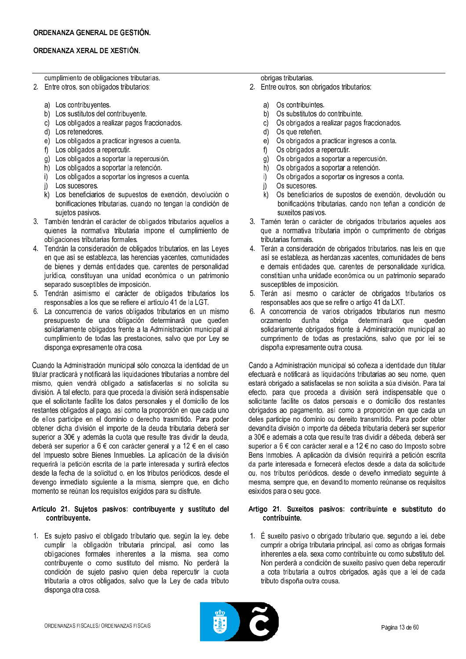cumplimiento de obligaciones tributarias.

- 2. Entre otros, son obligados tributarios:
	- a) Los contribuyentes.
	- b) Los sustitutos del contribuyente.
	- c) Los obligados a realizar pagos fraccionados.
	- d) Los retenedores.
	- e) Los obligados a practicar ingresos a cuenta.
	- f) Los obligados a repercutir.
	- g) Los obligados a soportar la repercusión.
	- h) Los obligados a soportar la retención.
	- i) Los obligados a soportar los ingresos a cuenta.
	- i) Los sucesores.
	- k) Los beneficiarios de supuestos de exención, devolución o bonificaciones tributarias, cuando no tengan la condición de sujetos pasivos.
- 3. También tendrán el carácter de obligados tributarios aquellos a quienes la normativa tributaria impone el cumplimiento de obligaciones tributarias formales.
- 4. Tendrán la consideración de obligados tributarios, en las Leyes en que así se establezca, las herencias vacentes, comunidades de bienes y demás entidades que, carentes de personalidad jurídica, constituyan una unidad económica o un patrimonio separado susceptibles de imposición.
- 5. Tendrán asimismo el carácter de obligados tributarios los responsables a los que se refiere el artículo 41 de la LGT.
- 6. La concurrencia de varios obligados tributarios en un mismo presupuesto de una obligación determinará que queden solidariamente obligados frente a la Administración municipal al cumplimiento de todas las prestaciones, salvo que por Ley se disponga expresamente otra cosa.

Cuando la Administración municipal sólo conozca la identidad de un titular practicará y notificará las liquidaciones tributarias a nombre del mismo, quien vendrá obligado a satisfacerlas si no solicita su división. A tal efecto, para que proceda la división será indispensable que el solicitante facilite los datos personales y el domicilio de los restantes obligados al pago, así como la proporción en que cada uno de ellos participe en el dominio o derecho trasmitido. Para poder obtener dicha división el importe de la deuda tributaria deberá ser superior a 30€ y además la cuota que resulte tras dividir la deuda. deberá ser superior a 6 € con carácter general y a 12 € en el caso del Impuesto sobre Bienes Inmuebles. La aplicación de la división requerirá la petición escrita de la parte interesada y surtirá efectos desde la fecha de la solicitud o, en los tributos periódicos, desde el devengo inmediato siguiente a la misma, siempre que, en dicho momento se reúnan los requisitos exigidos para su disfrute.

### Artículo 21. Sujetos pasivos: contribuyente y sustituto del contribuyente.

1. Es sujeto pasivo el obligado tributario que, según la ley, debe cumplir la obligación tributaria principal, así como las obligaciones formales inherentes a la misma, sea como contribuyente o como sustituto del mismo. No perderá la condición de sujeto pasivo quien deba repercutir la cuota tributaria a otros obligados, salvo que la Ley de cada tributo disponga otra cosa.

# obrigas tributarias.

- 2. Entre outros, son obrigados tributarios:
	- a) Os contribuíntes.
	- $h)$ Os substitutos do contribuínte.
	- $c)$ Os obrigados a realizar pagos fraccionados.
	- $\mathsf{d}$ Os que reteñen.
	- $e)$ Os obrigados a practicar ingresos a conta.
	- $f)$ Os obrigados a repercutir.
	- Os obrigados a soportar a repercusión.  $g)$
	- $h)$ Os obrigados a soportar a retención.
	- $\mathbf{a}$ Os obrigados a soportar os ingresos a conta.
	- Os sucesores i)
	- $\mathsf{k}$ Os beneficiarios de supostos de exención, devolución ou bonificacións tributarias, cando non teñan a condición de suxeitos pasivos.
- 3. Tamén terán o carácter de obrigados tributarios aqueles aos que a normativa tributaria impón o cumprimento de obrigas tributarias formais.
- 4. Terán a consideración de obrigados tributarios, nas leis en que así se estableza, as herdanzas xacentes, comunidades de bens e demais entidades que, carentes de personalidade xurídica, constitúan unha unidade económica ou un patrimonio separado susceptibles de imposición.
- 5. Terán así mesmo o carácter de obrigados tributarios os responsables aos que se refire o artigo 41 da LXT.
- 6. A concorrencia de varios obrigados tributarios nun mesmo orzamento dunha obriga determinará que queden solidariamente obrigados fronte á Administración municipal ao cumprimento de todas as prestacións, salvo que por lei se dispoña expresamente outra cousa.

Cando a Administración municipal só coñeza a identidade dun titular efectuará e notificará as liquidacións tributarias ao seu nome, quen estará obrigado a satisfacelas se non solicita a súa división. Para tal efecto, para que proceda a división será indispensable que o solicitante facilite os datos persoais e o domicilio dos restantes obrigados ao pagamento, así como a proporción en que cada un deles participe no dominio ou dereito transmitido. Para poder obter devandita división o importe da débeda tributaria deberá ser superior a 30€ e ademais a cota que resulte tras dividir a débeda, deberá ser superior a 6 € con carácter xeral e a 12 € no caso do Imposto sobre Bens Inmobles. A aplicación da división requirirá a petición escrita da parte interesada e fornecerá efectos desde a data da solicitude ou, nos tributos periódicos, desde o deveño inmediato seguinte á mesma, sempre que, en devandito momento reúnanse os requisitos esixidos para o seu goce.

## Artigo 21. Suxeitos pasivos: contribuínte e substituto do contribuínte.

1. É suxeito pasivo o obrigado tributario que, segundo a lei, debe cumprir a obriga tributaria principal, así como as obrigas formais inherentes a ela, sexa como contribuínte ou como substituto del. Non perderá a condición de suxeito pasivo quen deba repercutir a cota tributaria a outros obrigados, agás que a lei de cada tributo dispoña outra cousa.

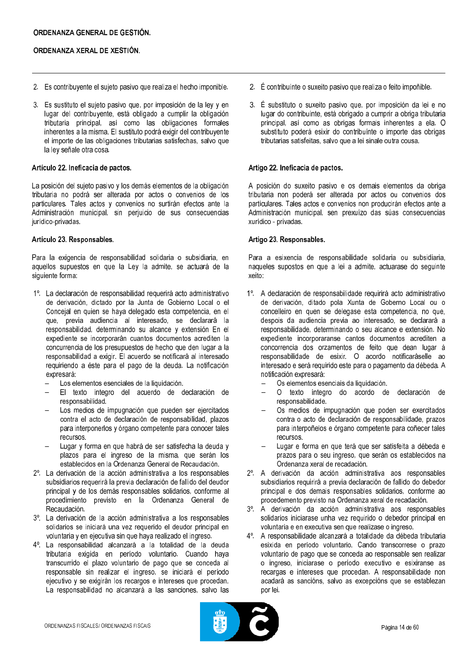- 2. Es contribuyente el sujeto pasivo que realiza el hecho imponible.
- 3. Es sustituto el sujeto pasivo que, por imposición de la ley y en lugar del contribuyente, está obligado a cumplir la obligación tributaria principal, así como las obligaciones formales inherentes a la misma. El sustituto podrá exigir del contribuyente el importe de las obligaciones tributarias satisfechas, salvo que la ley señale otra cosa.

### Artículo 22. Ineficacia de pactos.

La posición del sujeto pasivo y los demás elementos de la obligación tributaria no podrá ser alterada por actos o convenios de los particulares. Tales actos y convenios no surtirán efectos ante la Administración municipal, sin perjuicio de sus consecuencias jurídico-privadas.

### Artículo 23. Responsables.

Para la exigencia de responsabilidad solidaria o subsidiaria, en aquellos supuestos en que la Ley la admite, se actuará de la siquiente forma:

- 1º. La declaración de responsabilidad requerirá acto administrativo de derivación, dictado por la Junta de Gobierno Local o el Concejal en quien se haya delegado esta competencia, en el que, previa audiencia al interesado, se declarará la responsabilidad, determinando su alcance y extensión En el expediente se incorporarán cuantos documentos acrediten la concurrencia de los presupuestos de hecho que den lugar a la responsabilidad a exigir. El acuerdo se notificará al interesado requiriendo a éste para el pago de la deuda. La notificación expresará:
	- Los elementos esenciales de la liquidación.
	- El texto íntegro del acuerdo de declaración de responsabilidad.
	- Los medios de impugnación que pueden ser ejercitados contra el acto de declaración de responsabilidad, plazos para interponerlos y órgano competente para conocer tales recursos.
	- Lugar y forma en que habrá de ser satisfecha la deuda y plazos para el ingreso de la misma, que serán los establecidos en la Ordenanza General de Recaudación.
- 2<sup>°</sup>. La derivación de la acción administrativa a los responsables subsidiarios requerirá la previa declaración de fallido del deudor principal y de los demás responsables solidarios, conforme al procedimiento previsto en la Ordenanza General de Recaudación.
- 3<sup>°</sup>. La derivación de la acción administrativa a los responsables solidarios se iniciará una vez requerido el deudor principal en voluntaria y en ejecutiva sin que hava realizado el ingreso.
- 4º. La responsabilidad alcanzará a la totalidad de la deuda tributaria exigida en período voluntario. Cuando haya transcurrido el plazo voluntario de pago que se conceda al responsable sin realizar el ingreso, se iniciará el período ejecutivo y se exigirán los recargos e intereses que procedan. La responsabilidad no alcanzará a las sanciones, salvo las
- 2. É contribuínte o suxeito pasivo que realiza o feito impoñible.
- 3. É substituto o suxeito pasivo que, por imposición da lei e no lugar do contribuínte, está obrigado a cumprir a obriga tributaria principal, así como as obrigas formais inherentes a ela. O substituto poderá esixir do contribuínte o importe das obrigas tributarias satisfeitas, salvo que a lei sinale outra cousa.

## Artigo 22. Ineficacia de pactos.

A posición do suxeito pasivo e os demais elementos da obriga tributaria non poderá ser alterada por actos ou convenios dos particulares. Tales actos e convenios non producirán efectos ante a Administración municipal, sen prexuízo das súas consecuencias xurídico - privadas.

## Artigo 23. Responsables.

Para a esixencia de responsabilidade solidaria ou subsidiaria. naqueles supostos en que a lei a admite, actuarase do seguinte xeito:

- 1º. A declaración de responsabilidade requirirá acto administrativo de derivación, ditado pola Xunta de Goberno Local ou o concelleiro en quen se delegase esta competencia, no que, despois da audiencia previa ao interesado, se declarará a responsabilidade, determinando o seu alcance e extensión. No expediente incorporaranse cantos documentos acrediten a concorrencia dos orzamentos de feito que dean lugar á responsabilidade de esixir. O acordo notificaráselle ao interesado e será requirido este para o pagamento da débeda. A notificación expresará:
	- Os elementos esenciais da liquidación.
	- O texto íntegro do acordo de declaración  $de$ responsabilidade.
	- Os medios de impugnación que poden ser exercitados contra o acto de declaración de responsabilidade, prazos para interpoñelos e órgano competente para coñecer tales recursos.
	- Lugar e forma en que terá que ser satisfeita a débeda e prazos para o seu ingreso, que serán os establecidos na Ordenanza xeral de recadación.
- 2<sup>°</sup>. A derivación da acción administrativa aos responsables subsidiarios requirirá a previa declaración de fallido do debedor principal e dos demais responsables solidarios, conforme ao procedemento previsto na Ordenanza xeral de recadación.
- 3<sup>°</sup>. A derivación da acción administrativa aos responsables solidarios iniciarase unha vez requirido o debedor principal en voluntaria e en executiva sen que realizase o ingreso.
- 4<sup>°</sup>. A responsabilidade alcanzará a totalidade da débeda tributaria esixida en período voluntario. Cando transcorrese o prazo voluntario de pago que se conceda ao responsable sen realizar o ingreso, iniciarase o período executivo e esixiranse as recargas e intereses que procedan. A responsabilidade non acadará as sancións, salvo as excepcións que se establezan por lei.

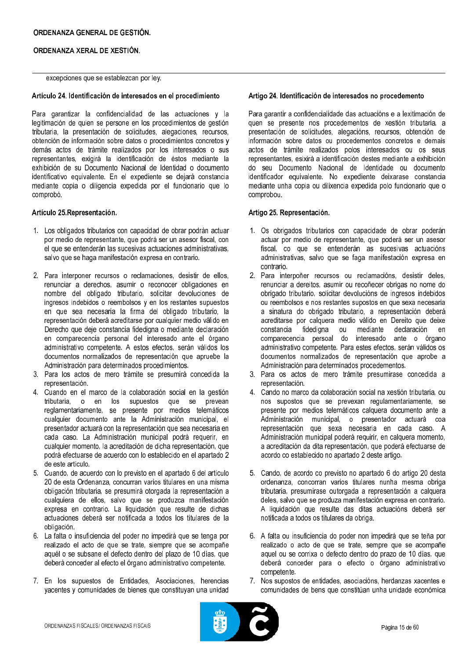## excepciones que se establezcan por ley.

## Artículo 24. Identificación de interesados en el procedimiento

Para garantizar la confidencialidad de las actuaciones y la legitimación de quien se persone en los procedimientos de gestión tributaria, la presentación de solicitudes, alegaciones, recursos, obtención de información sobre datos o procedimientos concretos y demás actos de trámite realizados por los interesados o sus representantes, exigirá la identificación de éstos mediante la exhibición de su Documento Nacional de Identidad o documento identificativo equivalente. En el expediente se dejará constancia mediante copia o diligencia expedida por el funcionario que lo comprobó.

### Artículo 25 Representación.

- 1. Los obligados tributarios con capacidad de obrar podrán actuar por medio de representante, que podrá ser un asesor fiscal, con el que se entenderán las sucesivas actuaciones administrativas, salvo que se haga manifestación expresa en contrario.
- 2. Para interponer recursos o reclamaciones, desistir de ellos, renunciar a derechos, asumir o reconocer obligaciones en nombre del obligado tributario, solicitar devoluciones de ingresos indebidos o reembolsos y en los restantes supuestos en que sea necesaria la firma del obligado tributario, la representación deberá acreditarse por cualquier medio válido en Derecho que deje constancia fidedigna o mediante declaración en comparecencia personal del interesado ante el órgano administrativo competente. A estos efectos, serán válidos los documentos normalizados de representación que apruebe la Administración para determinados procedimientos.
- 3. Para los actos de mero trámite se presumirá concedida la representación.
- 4. Cuando en el marco de la colaboración social en la gestión tributaria, o en los supuestos que se prevean reglamentariamente, se presente por medios telemáticos cualquier documento ante la Administración municipal, el presentador actuará con la representación que sea necesaria en cada caso. La Administración municipal podrá requerir, en cualquier momento, la acreditación de dicha representación, que podrá efectuarse de acuerdo con lo establecido en el apartado 2 de este artículo.
- 5. Cuando, de acuerdo con lo previsto en el apartado 6 del artículo 20 de esta Ordenanza, concurran varios titulares en una misma obligación tributaria, se presumirá otorgada la representación a cualquiera de ellos, salvo que se produzca manifestación expresa en contrario. La liquidación que resulte de dichas actuaciones deberá ser notificada a todos los titulares de la obligación.
- 6. La falta o insuficiencia del poder no impedirá que se tenga por realizado el acto de que se trate, siempre que se acompañe aquél o se subsane el defecto dentro del plazo de 10 días, que deberá conceder al efecto el órgano administrativo competente.
- 7. En los supuestos de Entidades, Asociaciones, herencias yacentes y comunidades de bienes que constituyan una unidad

### Artigo 24. Identificación de interesados no procedemento

Para garantir a confidencialidade das actuacións e a lexitimación de quen se presente nos procedementos de xestión tributaria, a presentación de solicitudes, alegacións, recursos, obtención de información sobre datos ou procedementos concretos e demais actos de trámite realizados polos interesados ou os seus representantes, esixirá a identificación destes mediante a exhibición do seu Documento Nacional de Identidade ou documento identificador equivalente. No expediente deixarase constancia mediante unha copia ou dilixencia expedida polo funcionario que o comprobou.

## Artigo 25. Representación.

- 1. Os obrigados tributarios con capacidade de obrar poderán actuar por medio de representante, que poderá ser un asesor fiscal, co que se entenderán as sucesivas actuacións administrativas, salvo que se faga manifestación expresa en contrario.
- 2. Para interpoñer recursos ou reclamacións, desistir deles, renunciar a dereitos, asumir ou recoñecer obrigas no nome do obrigado tributario, solicitar devolucións de ingresos indebidos ou reembolsos e nos restantes supostos en que sexa necesaria a sinatura do obrigado tributario, a representación deberá acreditarse por calquera medio válido en Dereito que deixe constancia fidedigna ou mediante declaración  $en$ comparecencia persoal do interesado ante o órgano administrativo competente. Para estes efectos, serán válidos os documentos normalizados de representación que aprobe a Administración para determinados procedementos.
- 3. Para os actos de mero trámite presumirase concedida a representación.
- 4. Cando no marco da colaboración social na xestión tributaria, ou nos supostos que se prevexan regulamentariamente, se presente por medios telemáticos calquera documento ante a Administración municipal, o presentador actuará coa representación que sexa necesaria en cada caso. A Administración municipal poderá requirir, en calquera momento. a acreditación da dita representación, que poderá efectuarse de acordo co establecido no apartado 2 deste artigo.
- 5. Cando, de acordo co previsto no apartado 6 do artigo 20 desta ordenanza, concorran varios titulares nunha mesma obriga tributaria, presumirase outorgada a representación a calquera deles, salvo que se produza manifestación expresa en contrario. A liquidación que resulte das ditas actuacións deberá ser notificada a todos os titulares da obriga
- 6. A falta ou insuficiencia do poder non impedirá que se teña por realizado o acto de que se trate, sempre que se acompañe aquel ou se corrixa o defecto dentro do prazo de 10 días, que deberá conceder para o efecto o órgano administrativo competente.
- 7. Nos supostos de entidades, asociacións, herdanzas xacentes e comunidades de bens que constitúan unha unidade económica

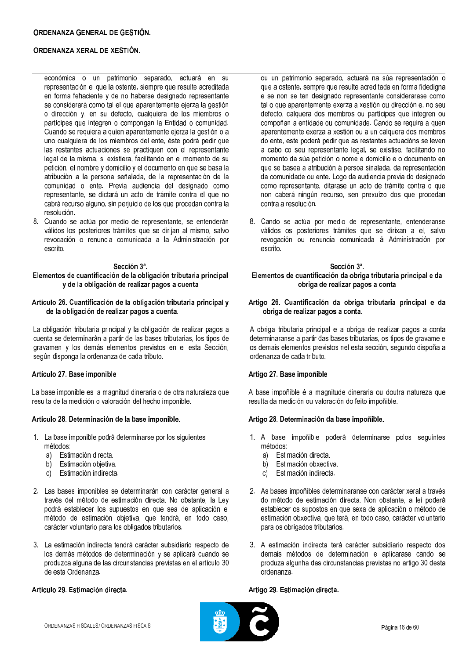económica o un patrimonio separado, actuará en representación el que la ostente, siempre que resulte acreditada en forma fehaciente y de no haberse designado representante se considerará como tal el que aparentemente ejerza la gestión o dirección y, en su defecto, cualquiera de los miembros o partícipes que integren o compongan la Entidad o comunidad. Cuando se requiera a quien aparentemente ejerza la gestión o a uno cualquiera de los miembros del ente, éste podrá pedir que las restantes actuaciones se practiquen con el representante legal de la misma, si existiera, facilitando en el momento de su petición, el nombre y domicilio y el documento en que se basa la atribución a la persona señalada, de la representación de la comunidad o ente. Previa audiencia del designado como representante, se dictará un acto de trámite contra el que no cabrá recurso alguno, sin perjuicio de los que procedan contra la resolución.

8. Cuando se actúa por medio de representante, se entenderán válidos los posteriores trámites que se dirijan al mismo, salvo revocación o renuncia comunicada a la Administración por escrito.

#### Sección 3ª.

## Elementos de cuantificación de la obligación tributaria principal y de la obligación de realizar pagos a cuenta

### Artículo 26. Cuantificación de la obligación tributaria principal y de la obligación de realizar pagos a cuenta.

La obligación tributaria principal y la obligación de realizar pagos a cuenta se determinarán a partir de las bases tributarias, los tipos de gravamen y los demás elementos previstos en el esta Sección, según disponga la ordenanza de cada tributo.

### Artículo 27. Base imponible

La base imponible es la magnitud dineraria o de otra naturaleza que resulta de la medición o valoración del hecho imponible.

### Artículo 28. Determinación de la base imponible.

- 1. La base imponible podrá determinarse por los siguientes métodos:
	- Estimación directa. a)
	- Estimación obietiva.  $b)$
	- Estimación indirecta.  $\mathsf{C}$
- 2. Las bases imponibles se determinarán con carácter general a través del método de estimación directa. No obstante, la Ley podrá establecer los supuestos en que sea de aplicación el método de estimación objetiva, que tendrá, en todo caso, carácter voluntario para los obligados tributarios.
- 3. La estimación indirecta tendrá carácter subsidiario respecto de los demás métodos de determinación y se aplicará cuando se produzca alguna de las circunstancias previstas en el artículo 30 de esta Ordenanza

## Artículo 29. Estimación directa.

ou un patrimonio separado, actuará na súa representación o que a ostente, sempre que resulte acreditada en forma fidedigna e se non se ten designado representante considerarase como tal o que aparentemente exerza a xestión ou dirección e, no seu defecto, calquera dos membros ou partícipes que integren ou compoñan a entidade ou comunidade. Cando se requira a quen aparentemente exerza a xestión ou a un calquera dos membros do ente, este poderá pedir que as restantes actuacións se leven a cabo co seu representante legal, se existise, facilitando no momento da súa petición o nome e domicilio e o documento en que se basea a atribución á persoa sinalada, da representación da comunidade ou ente. Logo da audiencia previa do designado como representante, ditarase un acto de trámite contra o que non caberá ningún recurso, sen prexuízo dos que procedan contra a resolución.

8. Cando se actúa por medio de representante, entenderanse válidos os posteriores trámites que se dirixan a el, salvo revogación ou renuncia comunicada á Administración por escrito.

### Sección 3ª Elementos de cuantificación da obriga tributaria principal e da obriga de realizar pagos a conta

### Artigo 26. Cuantificación da obriga tributaria principal e da obriga de realizar pagos a conta.

A obriga tributaria principal e a obriga de realizar pagos a conta determinaranse a partir das bases tributarias, os tipos de gravame e os demais elementos previstos nel esta sección, segundo dispoña a ordenanza de cada tributo.

## Artigo 27. Base impoñible

A base impoñible é a magnitude dineraria ou doutra natureza que resulta da medición ou valoración do feito impoñible.

### Artigo 28. Determinación da base impoñible.

- 1. A base impoñible poderá determinarse polos seguintes métodos:
	- Estimación directa. a)
	- Estimación obxectiva  $b)$
	- c) Estimación indirecta.
- 2. As bases impoñibles determinaranse con carácter xeral a través do método de estimación directa. Non obstante, a lei poderá establecer os supostos en que sexa de aplicación o método de estimación obxectiva, que terá, en todo caso, carácter voluntario para os obrigados tributarios.
- 3. A estimación indirecta terá carácter subsidiario respecto dos demais métodos de determinación e aplicarase cando se produza algunha das circunstancias previstas no artigo 30 desta ordenanza.

### Artigo 29. Estimación directa.

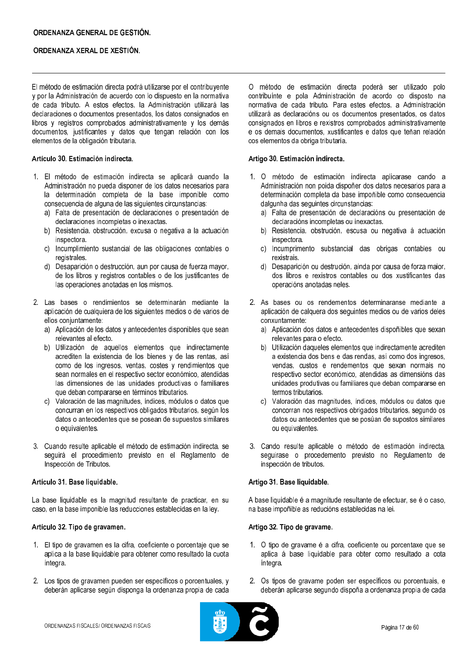El método de estimación directa podrá utilizarse por el contribuyente y por la Administración de acuerdo con lo dispuesto en la normativa de cada tributo. A estos efectos, la Administración utilizará las declaraciones o documentos presentados, los datos consignados en libros y registros comprobados administrativamente y los demás documentos, justificantes y datos que tengan relación con los elementos de la obligación tributaria.

## Artículo 30. Estimación indirecta.

- 1. El método de estimación indirecta se aplicará cuando la Administración no pueda disponer de los datos necesarios para la determinación completa de la base imponible como consecuencia de alguna de las siguientes circunstancias:
	- a) Falta de presentación de declaraciones o presentación de declaraciones incompletas o inexactas.
	- b) Resistencia, obstrucción, excusa o negativa a la actuación inspectora.
	- c) Incumplimiento sustancial de las obligaciones contables o registrales.
	- d) Desaparición o destrucción, aun por causa de fuerza mayor, de los libros y registros contables o de los justificantes de las operaciones anotadas en los mismos.
- 2. Las bases o rendimientos se determinarán mediante la aplicación de cualquiera de los siguientes medios o de varios de ellos conjuntamente:
	- a) Aplicación de los datos y antecedentes disponibles que sean relevantes al efecto.
	- b) Utilización de aquellos elementos que indirectamente acrediten la existencia de los bienes y de las rentas, así como de los ingresos, ventas, costes y rendimientos que sean normales en el respectivo sector económico, atendidas las dimensiones de las unidades productivas o familiares que deban compararse en términos tributarios.
	- c) Valoración de las magnitudes, índices, módulos o datos que concurran en los respectivos obligados tributarios, según los datos o antecedentes que se posean de supuestos similares o equivalentes.
- 3. Cuando resulte aplicable el método de estimación indirecta, se seguirá el procedimiento previsto en el Reglamento de Inspección de Tributos.

### Artículo 31. Base liquidable.

La base liquidable es la magnitud resultante de practicar, en su caso, en la base imponible las reducciones establecidas en la ley.

### Artículo 32. Tipo de gravamen.

- 1. El tipo de gravamen es la cifra, coeficiente o porcentaje que se aplica a la base liquidable para obtener como resultado la cuota íntegra.
- 2. Los tipos de gravamen pueden ser específicos o porcentuales, y deberán aplicarse según disponga la ordenanza propia de cada

O método de estimación directa poderá ser utilizado polo contribuínte e pola Administración de acordo co disposto na normativa de cada tributo. Para estes efectos, a Administración utilizará as declaracións ou os documentos presentados, os datos consignados en libros e rexistros comprobados administrativamente e os demais documentos, xustificantes e datos que teñan relación cos elementos da obriga tributaria.

## Artigo 30. Estimación indirecta.

- 1. O método de estimación indirecta aplicarase cando a Administración non poida dispoñer dos datos necesarios para a determinación completa da base impoñible como consecuencia dalgunha das seguintes circunstancias:
	- a) Falta de presentación de declaracións ou presentación de declaracións incompletas ou inexactas.
	- b) Resistencia, obstrución, escusa ou negativa á actuación inspectora.
	- c) Incumprimento substancial das obrigas contables ou rexistrais.
	- d) Desaparición ou destrución, aínda por causa de forza maior, dos libros e rexistros contables ou dos xustificantes das operacións anotadas neles.
- 2. As bases ou os rendementos determinaranse mediante a aplicación de calquera dos seguintes medios ou de varios deles conxuntamente:
	- a) Aplicación dos datos e antecedentes dispoñibles que sexan relevantes para o efecto.
	- b) Utilización daqueles elementos que indirectamente acrediten a existencia dos bens e das rendas, así como dos ingresos. vendas, custos e rendementos que sexan normais no respectivo sector económico, atendidas as dimensións das unidades produtivas ou familiares que deban compararse en termos tributarios.
	- c) Valoración das magnitudes, índices, módulos ou datos que concorran nos respectivos obrigados tributarios, segundo os datos ou antecedentes que se posúan de supostos similares ou equivalentes.
- 3. Cando resulte aplicable o método de estimación indirecta, sequirase o procedemento previsto no Regulamento de inspección de tributos.

#### Artigo 31. Base liquidable.

A base liquidable é a magnitude resultante de efectuar, se é o caso, na base impoñible as reducións establecidas na lei.

### Artigo 32. Tipo de gravame.

- 1. O tipo de gravame é a cifra, coeficiente ou porcentaxe que se aplica á base liquidable para obter como resultado a cota íntegra.
- 2. Os tipos de gravame poden ser específicos ou porcentuais, e deberán aplicarse segundo dispoña a ordenanza propia de cada

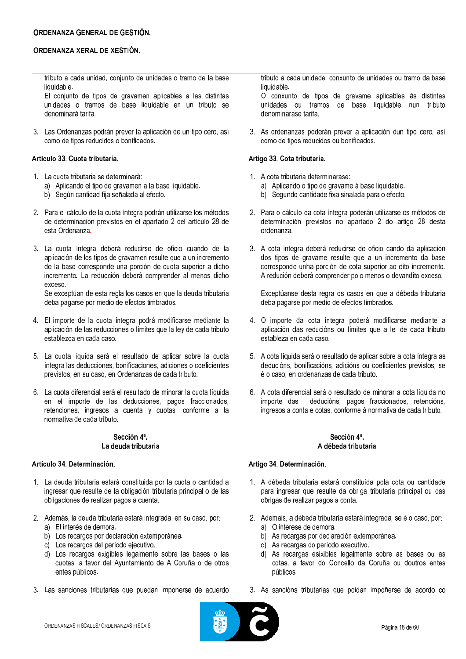tributo a cada unidad, conjunto de unidades o tramo de la base liquidable.

El conjunto de tipos de gravamen aplicables a las distintas unidades o tramos de base liquidable en un tributo se denominará tarifa.

3. Las Ordenanzas podrán prever la aplicación de un tipo cero, así como de tipos reducidos o bonificados.

## Artículo 33. Cuota tributaria.

- 1. La cuota tributaria se determinará:
	- a) Aplicando el tipo de gravamen a la base liquidable.
	- b) Según cantidad fija señalada al efecto.
- 2. Para el cálculo de la cuota íntegra podrán utilizarse los métodos de determinación previstos en el apartado 2 del artículo 28 de esta Ordenanza.
- 3. La cuota íntegra deberá reducirse de oficio cuando de la aplicación de los tipos de gravamen resulte que a un incremento de la base corresponde una porción de cuota superior a dicho incremento. La reducción deberá comprender al menos dicho **AXCASO**

Se exceptúan de esta regla los casos en que la deuda tributaria deba pagarse por medio de efectos timbrados.

- 4. El importe de la cuota íntegra podrá modificarse mediante la aplicación de las reducciones o límites que la ley de cada tributo establezca en cada caso.
- 5. La cuota líquida será el resultado de aplicar sobre la cuota íntegra las deducciones, bonificaciones, adiciones o coeficientes previstos, en su caso, en Ordenanzas de cada tributo.
- 6. La cuota diferencial será el resultado de minorar la cuota líquida en el importe de las deducciones, pagos fraccionados, retenciones, ingresos a cuenta y cuotas, conforme a la normativa de cada tributo.

#### Sección 4ª. La deuda tributaria

### Artículo 34. Determinación.

- 1. La deuda tributaria estará constituida por la cuota o cantidad a ingresar que resulte de la obligación tributaria principal o de las obligaciones de realizar pagos a cuenta.
- 2. Además, la deuda tributaria estará integrada, en su caso, por:
	- a) El interés de demora.
	- b) Los recargos por declaración extemporánea.
	- c) Los recargos del período ejecutivo.
	- d) Los recargos exigibles legalmente sobre las bases o las cuotas, a favor del Ayuntamiento de A Coruña o de otros entes públicos.
- 3. Las sanciones tributarias que puedan imponerse de acuerdo

tributo a cada unidade, conxunto de unidades ou tramo da base liquidable.

O conxunto de tipos de gravame aplicables ás distintas unidades ou tramos de base liquidable nun tributo denominarase tarifa.

3. As ordenanzas poderán prever a aplicación dun tipo cero, así como de tipos reducidos ou bonificados.

## Artigo 33. Cota tributaria.

- 1. A cota tributaria determinarase:
	- a) Aplicando o tipo de gravame á base liquidable.
	- b) Segundo cantidade fixa sinalada para o efecto.
- 2. Para o cálculo da cota íntegra poderán utilizarse os métodos de determinación previstos no apartado 2 do artigo 28 desta ordenanza.
- 3. A cota íntegra deberá reducirse de oficio cando da aplicación dos tipos de gravame resulte que a un incremento da base corresponde unha porción de cota superior ao dito incremento. A redución deberá comprender polo menos o devandito exceso.

Exceptúanse desta regra os casos en que a débeda tributaria deba pagarse por medio de efectos timbrados.

- 4. O importe da cota íntegra poderá modificarse mediante a aplicación das reducións ou límites que a lei de cada tributo estableza en cada caso.
- 5. A cota líquida será o resultado de aplicar sobre a cota íntegra as deducións, bonificacións, adicións ou coeficientes previstos, se é o caso, en ordenanzas de cada tributo.
- 6. A cota diferencial será o resultado de minorar a cota líquida no deducións, pagos fraccionados, retencións, importe das ingresos a conta e cotas, conforme á normativa de cada tributo.

## Sección 4ª. A débeda tributaria

### Artigo 34, Determinación.

- 1. A débeda tributaria estará constituída pola cota ou cantidade para ingresar que resulte da obriga tributaria principal ou das obrigas de realizar pagos a conta.
- 2. Ademais, a débeda tributaria estará integrada, se é o caso, por:
	- a) O interese de demora.
	- b) As recargas por declaración extemporánea.
	- c) As recargas do período executivo.
	- d) As recargas esixibles legalmente sobre as bases ou as cotas, a favor do Concello da Coruña ou doutros entes públicos.
- 3. As sancións tributarias que poidan impoñerse de acordo co

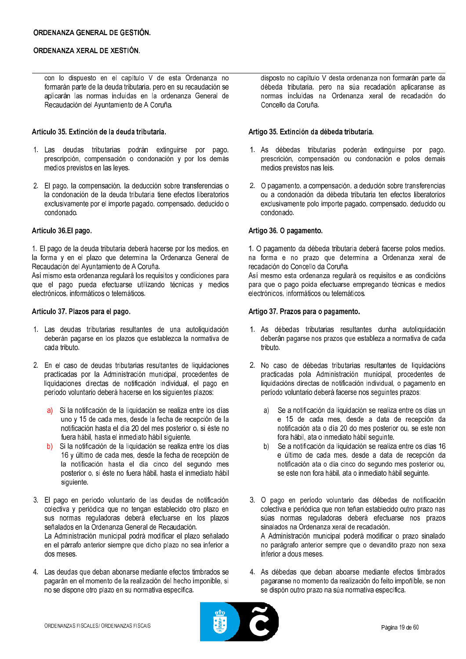con lo dispuesto en el capítulo V de esta Ordenanza no formarán parte de la deuda tributaria, pero en su recaudación se aplicarán las normas incluidas en la ordenanza General de Recaudación del Ayuntamiento de A Coruña.

## Artículo 35. Extinción de la deuda tributaria.

- 1. Las deudas tributarias podrán extinguirse por pago, prescripción, compensación o condonación y por los demás medios previstos en las leves
- 2. El pago, la compensación, la deducción sobre transferencias o la condonación de la deuda tributaria tiene efectos liberatorios exclusivamente por el importe pagado, compensado, deducido o condonado.

#### Artículo 36.El pago.

1. El pago de la deuda tributaria deberá hacerse por los medios, en la forma y en el plazo que determina la Ordenanza General de Recaudación del Ayuntamiento de A Coruña.

Así mismo esta ordenanza regulará los requisitos y condiciones para que el pago pueda efectuarse utilizando técnicas y medios electrónicos, informáticos o telemáticos.

### Artículo 37. Plazos para el pago.

- 1. Las deudas tributarias resultantes de una autoliquidación deberán pagarse en los plazos que establezca la normativa de cada tributo.
- 2. En el caso de deudas tributarias resultantes de liquidaciones practicadas por la Administración municipal, procedentes de liquidaciones directas de notificación individual, el pago en período voluntario deberá hacerse en los siguientes plazos:
	- Si la notificación de la liquidación se realiza entre los días a) uno y 15 de cada mes, desde la fecha de recepción de la notificación hasta el día 20 del mes posterior o, si éste no fuera hábil, hasta el inmediato hábil siguiente.
	- Si la notificación de la liquidación se realiza entre los días  $b)$ 16 y último de cada mes, desde la fecha de recepción de la notificación hasta el día cinco del segundo mes posterior o, si éste no fuera hábil, hasta el inmediato hábil siguiente.
- 3. El pago en período voluntario de las deudas de notificación colectiva y periódica que no tengan establecido otro plazo en sus normas reguladoras deberá efectuarse en los plazos señalados en la Ordenanza General de Recaudación. La Administración municipal podrá modificar el plazo señalado

en el párrafo anterior siempre que dicho plazo no sea inferior a dos meses

4. Las deudas que deban abonarse mediante efectos timbrados se pagarán en el momento de la realización del hecho imponible, si no se dispone otro plazo en su normativa específica.

disposto no capítulo V desta ordenanza non formarán parte da débeda tributaria, pero na súa recadación aplicaranse as normas incluídas na Ordenanza xeral de recadación do Concello da Coruña.

### Artigo 35. Extinción da débeda tributaria.

- 1. As débedas tributarias poderán extinguirse por pago, prescrición, compensación ou condonación e polos demais medios previstos nas leis.
- 2. O pagamento, a compensación, a dedución sobre transferencias ou a condonación da débeda tributaria ten efectos liberatorios exclusivamente polo importe pagado, compensado, deducido ou condonado.

### Artigo 36. O pagamento.

1. O pagamento da débeda tributaria deberá facerse polos medios, na forma e no prazo que determina a Ordenanza xeral de recadación do Concello da Coruña.

Así mesmo esta ordenanza regulará os requisitos e as condicións para que o pago poida efectuarse empregando técnicas e medios electrónicos, informáticos ou telemáticos.

### Artigo 37. Prazos para o pagamento.

- 1. As débedas tributarias resultantes dunha autoliquidación deberán pagarse nos prazos que estableza a normativa de cada tributo.
- 2. No caso de débedas tributarias resultantes de liquidacións practicadas pola Administración municipal, procedentes de liquidacións directas de notificación individual, o pagamento en período voluntario deberá facerse nos seguintes prazos:
	- Se a notificación da liquidación se realiza entre os días un al e 15 de cada mes, desde a data de recepción da notificación ata o día 20 do mes posterior ou, se este non fora hábil, ata o inmediato hábil sequinte.
	- Se a notificación da liquidación se realiza entre os días 16 e último de cada mes, desde a data de recepción da notificación ata o día cinco do segundo mes posterior ou. se este non fora hábil, ata o inmediato hábil seguinte.
- 3. O pago en período voluntario das débedas de notificación colectiva e periódica que non teñan establecido outro prazo nas súas normas reguladoras deberá efectuarse nos prazos sinalados na Ordenanza xeral de recadación. A Administración municipal poderá modificar o prazo sinalado no parágrafo anterior sempre que o devandito prazo non sexa inferior a dous meses
- 4. As débedas que deban aboarse mediante efectos timbrados pagaranse no momento da realización do feito impoñible, se non se dispón outro prazo na súa normativa específica.

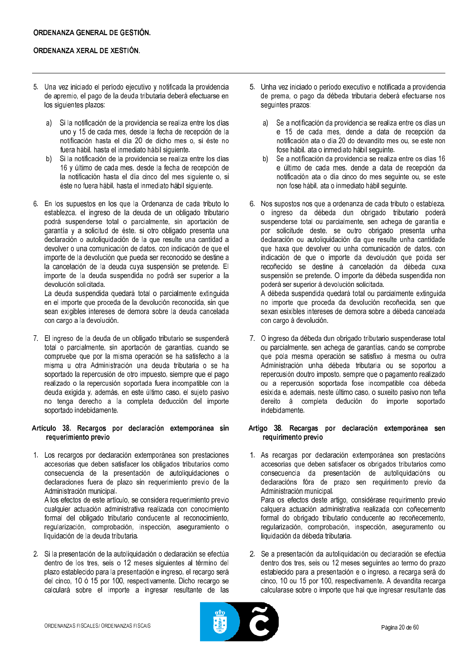- 5. Una vez iniciado el período ejecutivo y notificada la providencia de apremio, el pago de la deuda tributaria deberá efectuarse en los siguientes plazos:
	- $\mathsf{a}$ Si la notificación de la providencia se realiza entre los días uno y 15 de cada mes, desde la fecha de recepción de la notificación hasta el día 20 de dicho mes o, si éste no fuera hábil, hasta el inmediato hábil siguiente.
	- $b)$ Si la notificación de la providencia se realiza entre los días 16 y último de cada mes, desde la fecha de recepción de la notificación hasta el día cinco del mes siguiente o, si éste no fuera hábil, hasta el inmediato hábil siguiente.
- 6. En los supuestos en los que la Ordenanza de cada tributo lo establezca, el ingreso de la deuda de un obligado tributario podrá suspenderse total o parcialmente, sin aportación de garantía y a solicitud de éste, si otro obligado presenta una declaración o autoliquidación de la que resulte una cantidad a devolver o una comunicación de datos, con indicación de que el importe de la devolución que pueda ser reconocido se destine a la cancelación de la deuda cuya suspensión se pretende. El importe de la deuda suspendida no podrá ser superior a la devolución solicitada.

La deuda suspendida quedará total o parcialmente extinguida en el importe que proceda de la devolución reconocida, sin que sean exigibles intereses de demora sobre la deuda cancelada con cargo a la devolución.

7. El ingreso de la deuda de un obligado tributario se suspenderá total o parcialmente, sin aportación de garantías, cuando se compruebe que por la misma operación se ha satisfecho a la misma u otra Administración una deuda tributaria o se ha soportado la repercusión de otro impuesto, siempre que el pago realizado o la repercusión soportada fuera incompatible con la deuda exigida y, además, en este último caso, el sujeto pasivo no tenga derecho a la completa deducción del importe soportado indebidamente.

#### Artículo 38. Recargos por declaración extemporánea sin requerimiento previo

1. Los recargos por declaración extemporánea son prestaciones accesorias que deben satisfacer los obligados tributarios como consecuencia de la presentación de autoliquidaciones o declaraciones fuera de plazo sin requerimiento previo de la Administración municipal.

A los efectos de este artículo, se considera requerimiento previo cualquier actuación administrativa realizada con conocimiento formal del obligado tributario conducente al reconocimiento, regularización, comprobación, inspección, aseguramiento o liquidación de la deuda tributaria.

2. Si la presentación de la autoliquidación o declaración se efectúa dentro de los tres, seis o 12 meses siguientes al término del plazo establecido para la presentación e ingreso, el recargo será del cinco, 10 ó 15 por 100, respectivamente. Dicho recargo se calculará sobre el importe a ingresar resultante de las

- 5. Unha vez iniciado o período executivo e notificada a providencia de prema, o pago da débeda tributaria deberá efectuarse nos seguintes prazos:
	- $a)$ Se a notificación da providencia se realiza entre os días un e 15 de cada mes, dende a data de recepción da notificación ata o día 20 do devandito mes ou, se este non fose hábil, ata o inmediato hábil seguinte.
	- $b)$ Se a notificación da providencia se realiza entre os días 16 e último de cada mes, dende a data de recepción da notificación ata o día cinco do mes seguinte ou, se este non fose hábil, ata o inmediato hábil seguinte.
- 6. Nos supostos nos que a ordenanza de cada tributo o estableza, o ingreso da débeda dun obrigado tributario poderá suspenderse total ou parcialmente, sen achega de garantía e por solicitude deste, se outro obrigado presenta unha declaración ou autoliquidación da que resulte unha cantidade que haxa que devolver ou unha comunicación de datos, con indicación de que o importe da devolución que poida ser recoñecido se destine á cancelación da débeda cuxa suspensión se pretende. O importe da débeda suspendida non poderá ser superior á devolución solicitada.

A débeda suspendida quedará total ou parcialmente extinguida no importe que proceda da devolución recoñecida, sen que sexan esixibles intereses de demora sobre a débeda cancelada con cargo á devolución.

7. O ingreso da débeda dun obrigado tributario suspenderase total ou parcialmente, sen achega de garantías, cando se comprobe que pola mesma operación se satisfixo á mesma ou outra Administración unha débeda tributaria ou se soportou a repercusión doutro imposto, sempre que o pagamento realizado ou a repercusión soportada fose incompatible coa débeda esixida e, ademais, neste último caso, o suxeito pasivo non teña dereito á completa dedución do importe soportado indebidamente.

#### Artigo 38. Recargas por declaración extemporánea sen requirimento previo

- 1. As recargas por declaración extemporánea son prestacións accesorias que deben satisfacer os obrigados tributarios como consecuencia da presentación de autoliquidacións ou declaracións fóra de prazo sen requirimento previo da Administración municipal. Para os efectos deste artigo, considérase requirimento previo calquera actuación administrativa realizada con coñecemento formal do obrigado tributario conducente ao recoñecemento, regularización, comprobación, inspección, aseguramento ou liquidación da débeda tributaria.
- 2. Se a presentación da autoliquidación ou declaración se efectúa dentro dos tres, seis ou 12 meses seguintes ao termo do prazo establecido para a presentación e o ingreso, a recarga será do cinco, 10 ou 15 por 100, respectivamente. A devandita recarga calcularase sobre o importe que hai que ingresar resultante das

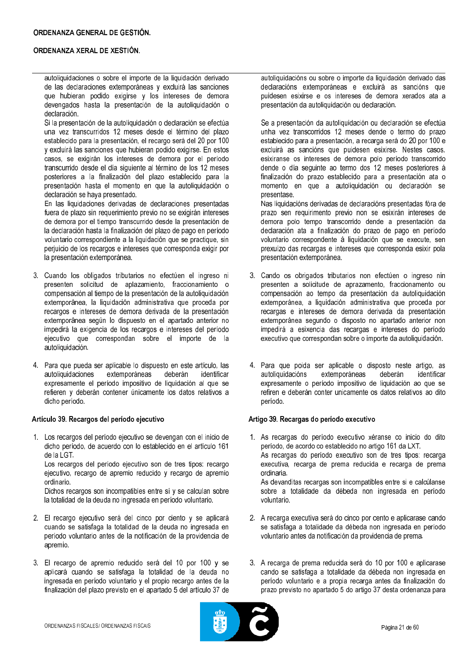autoliquidaciones o sobre el importe de la liquidación derivado de las declaraciones extemporáneas y excluirá las sanciones que hubieran podido exigirse y los intereses de demora devengados hasta la presentación de la autoliquidación o declaración.

Si la presentación de la autoliquidación o declaración se efectúa una vez transcurridos 12 meses desde el término del plazo establecido para la presentación, el recargo será del 20 por 100 y excluirá las sanciones que hubieran podido exigirse. En estos casos, se exigirán los intereses de demora por el período transcurrido desde el día siguiente al término de los 12 meses posteriores a la finalización del plazo establecido para la presentación hasta el momento en que la autoliquidación o declaración se haya presentado.

En las liquidaciones derivadas de declaraciones presentadas fuera de plazo sin requerimiento previo no se exigirán intereses de demora por el tiempo transcurrido desde la presentación de la declaración hasta la finalización del plazo de pago en período voluntario correspondiente a la liquidación que se practique, sin perjuicio de los recargos e intereses que corresponda exigir por la presentación extemporánea.

- 3. Cuando los obligados tributarios no efectúen el ingreso ni presenten solicitud de aplazamiento, fraccionamiento o compensación al tiempo de la presentación de la autoliquidación extemporánea, la liquidación administrativa que proceda por recargos e intereses de demora derivada de la presentación extemporánea según lo dispuesto en el apartado anterior no impedirá la exigencia de los recargos e intereses del período ejecutivo que correspondan sobre el importe de la autoliquidación.
- 4. Para que pueda ser aplicable lo dispuesto en este artículo, las autoliquidaciones extemporáneas deberán identificar expresamente el período impositivo de liquidación al que se refieren y deberán contener únicamente los datos relativos a dicho período.

### Artículo 39. Recargos del período ejecutivo

1. Los recargos del período ejecutivo se devengan con el inicio de dicho período, de acuerdo con lo establecido en el artículo 161 de la LGT. Los recargos del período ejecutivo son de tres tipos: recargo

ejecutivo, recargo de apremio reducido y recargo de apremio ordinario.

Dichos recargos son incompatibles entre sí y se calculan sobre la totalidad de la deuda no ingresada en período voluntario.

- 2. El recargo ejecutivo será del cinco por ciento y se aplicará cuando se satisfaga la totalidad de la deuda no ingresada en período voluntario antes de la notificación de la providencia de apremio.
- 3. El recargo de apremio reducido será del 10 por 100 y se aplicará cuando se satisfaga la totalidad de la deuda no ingresada en período voluntario y el propio recargo antes de la finalización del plazo previsto en el apartado 5 del artículo 37 de

autoliquidacións ou sobre o importe da liquidación derivado das declaracións extemporáneas e excluirá as sancións que puidesen esixirse e os intereses de demora xerados ata a presentación da autoliquidación ou declaración.

Se a presentación da autoliquidación ou declaración se efectúa unha vez transcorridos 12 meses dende o termo do prazo establecido para a presentación, a recarga será do 20 por 100 e excluirá as sancións que puidesen esixirse. Nestes casos, esixiranse os intereses de demora polo período transcorrido dende o día seguinte ao termo dos 12 meses posteriores á finalización do prazo establecido para a presentación ata o momento en que a autoliquidación ou declaración se presentase.

Nas liquidacións derivadas de declaracións presentadas fóra de prazo sen requirimento previo non se esixirán intereses de demora polo tempo transcorrido dende a presentación da declaración ata a finalización do prazo de pago en período voluntario correspondente á liquidación que se execute, sen prexuízo das recargas e intereses que corresponda esixir pola presentación extemporánea.

- 3. Cando os obrigados tributarios non efectúen o ingreso nin presenten a solicitude de aprazamento, fraccionamento ou compensación ao tempo da presentación da autoliquidación extemporánea, a liquidación administrativa que proceda por recargas e intereses de demora derivada da presentación extemporánea segundo o disposto no apartado anterior non impedirá a esixencia das recargas e intereses do período executivo que correspondan sobre o importe da autoliquidación.
- 4. Para que poida ser aplicable o disposto neste artigo, as autoliquidacións extemporáneas deberán identificar expresamente o período impositivo de liquidación ao que se refiren e deberán conter unicamente os datos relativos ao dito período.

### Artigo 39. Recargas do período executivo

1. As recargas do período executivo xéranse co inicio do dito período, de acordo co establecido no artigo 161 da LXT. As recargas do período executivo son de tres tipos: recarga executiva, recarga de prema reducida e recarga de prema ordinaria. As devanditas recargas son incompatibles entre si e calcúlanse sobre a totalidade da débeda non ingresada en período voluntario.

- 2. A recarga executiva será do cinco por cento e aplicarase cando se satisfaga a totalidade da débeda non ingresada en período voluntario antes da notificación da providencia de prema.
- 3. A recarga de prema reducida será do 10 por 100 e aplicarase cando se satisfaga a totalidade da débeda non ingresada en período voluntario e a propia recarga antes da finalización do prazo previsto no apartado 5 do artigo 37 desta ordenanza para

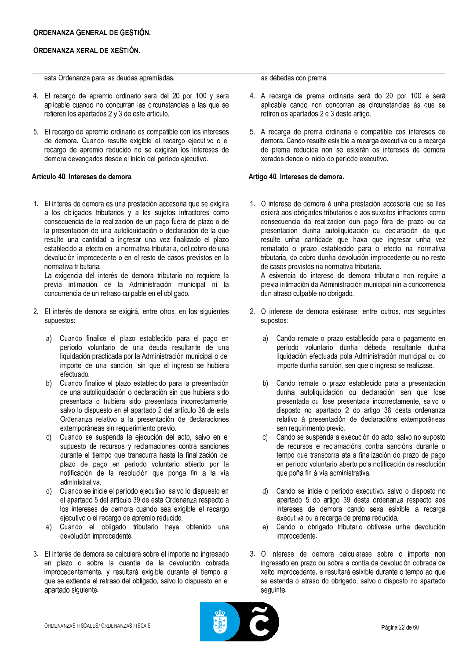## ORDENANZA GENERAL DE GESTIÓN.

## ORDENANZA XERAL DE XESTIÓN.

esta Ordenanza para las deudas apremiadas.

- 4. El recargo de apremio ordinario será del 20 por 100 y será aplicable cuando no concurran las circunstancias a las que se refieren los apartados 2 y 3 de este artículo.
- 5. El recargo de apremio ordinario es compatible con los intereses de demora. Cuando resulte exigible el recargo ejecutivo o el recargo de apremio reducido no se exigirán los intereses de demora devengados desde el inicio del período ejecutivo.

## Artículo 40. Intereses de demora.

1. El interés de demora es una prestación accesoria que se exigirá a los obligados tributarios y a los sujetos infractores como consecuencia de la realización de un pago fuera de plazo o de la presentación de una autoliquidación o declaración de la que resulte una cantidad a ingresar una vez finalizado el plazo establecido al efecto en la normativa tributaria, del cobro de una devolución improcedente o en el resto de casos previstos en la normativa tributaria.

La exigencia del interés de demora tributario no requiere la previa intimación de la Administración municipal ni la concurrencia de un retraso culpable en el obligado.

- 2. El interés de demora se exigirá, entre otros, en los siguientes supuestos:
	- Cuando finalice el plazo establecido para el pago en  $a$ período voluntario de una deuda resultante de una liquidación practicada por la Administración municipal o del importe de una sanción, sin que el ingreso se hubiera efectuado
	- Cuando finalice el plazo establecido para la presentación  $b)$ de una autoliquidación o declaración sin que hubiera sido presentada o hubiera sido presentada incorrectamente, salvo lo dispuesto en el apartado 2 del artículo 38 de esta Ordenanza relativo a la presentación de declaraciones extemporáneas sin requerimiento previo.
	- $c)$ Cuando se suspenda la ejecución del acto, salvo en el supuesto de recursos y reclamaciones contra sanciones durante el tiempo que transcurra hasta la finalización del plazo de pago en período voluntario abierto por la notificación de la resolución que ponga fin a la vía administrativa.
	- Cuando se inicie el período ejecutivo, salvo lo dispuesto en  $d$ el apartado 5 del artículo 39 de esta Ordenanza respecto a los intereses de demora cuando sea exigible el recargo ejecutivo o el recargo de apremio reducido.
	- Cuando el obligado tributario haya obtenido una  $e)$ devolución improcedente.
- 3. El interés de demora se calculará sobre el importe no ingresado en plazo o sobre la cuantía de la devolución cobrada improcedentemente, y resultará exigible durante el tiempo al que se extienda el retraso del obligado, salvo lo dispuesto en el apartado siguiente.

as débedas con prema.

- 4. A recarga de prema ordinaria será do 20 por 100 e será aplicable cando non concorran as circunstancias ás que se refiren os apartados 2 e 3 deste artigo.
- 5. A recarga de prema ordinaria é compatible cos intereses de demora. Cando resulte esixible a recarga executiva ou a recarga de prema reducida non se esixirán os intereses de demora xerados dende o inicio do período executivo.

## Artigo 40. Intereses de demora.

1. O interese de demora é unha prestación accesoria que se lles esixirá aos obrigados tributarios e aos suxeitos infractores como consecuencia da realización dun pago fóra de prazo ou da presentación dunha autoliquidación ou declaración da que resulte unha cantidade que haxa que ingresar unha vez rematado o prazo establecido para o efecto na normativa tributaria, do cobro dunha devolución improcedente ou no resto de casos previstos na normativa tributaria.

A esixencia do interese de demora tributario non require a previa intimación da Administración municipal nin a concorrencia dun atraso culpable no obrigado.

- 2. O interese de demora esixirase, entre outros, nos seguintes supostos:
	- Cando remate o prazo establecido para o pagamento en  $a)$ período voluntario dunha débeda resultante dunha liquidación efectuada pola Administración municipal ou do importe dunha sanción, sen que o ingreso se realizase.
	- Cando remate o prazo establecido para a presentación  $h$ dunha autoliquidación ou declaración sen que fose presentada ou fose presentada incorrectamente, salvo o disposto no apartado 2 do artigo 38 desta ordenanza relativo á presentación de declaracións extemporáneas sen requirimento previo.
	- c) Cando se suspenda a execución do acto, salvo no suposto de recursos e reclamacións contra sancións durante o tempo que transcorra ata a finalización do prazo de pago en período voluntario aberto pola notificación da resolución que poña fin á vía administrativa.
	- d) Cando se inicie o período executivo, salvo o disposto no apartado 5 do artigo 39 desta ordenanza respecto aos intereses de demora cando sexa esixible a recarga executiva ou a recarga de prema reducida.
	- Cando o obrigado tributario obtivese unha devolución  $e)$ improcedente.
- 3. O interese de demora calcularase sobre o importe non ingresado en prazo ou sobre a contía da devolución cobrada de xeito improcedente, e resultará esixible durante o tempo ao que se estenda o atraso do obrigado, salvo o disposto no apartado sequinte.

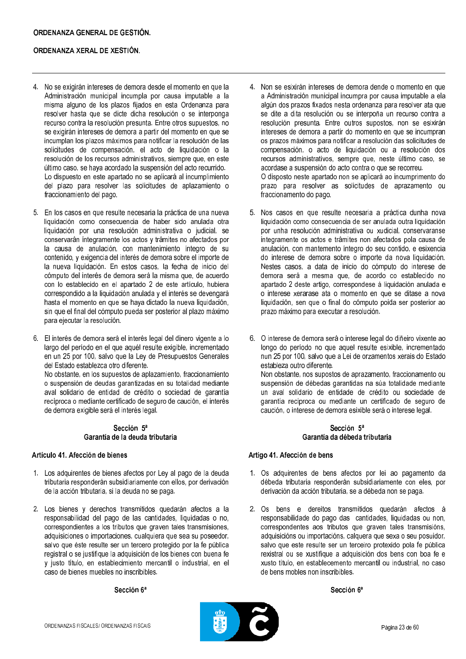- 4. No se exigirán intereses de demora desde el momento en que la Administración municipal incumpla por causa imputable a la misma alguno de los plazos fijados en esta Ordenanza para resolver hasta que se dicte dicha resolución o se interponga recurso contra la resolución presunta. Entre otros supuestos, no se exigirán intereses de demora a partir del momento en que se incumplan los plazos máximos para notificar la resolución de las solicitudes de compensación, el acto de liquidación o la resolución de los recursos administrativos, siempre que, en este último caso, se hava acordado la suspensión del acto recurrido. Lo dispuesto en este apartado no se aplicará al incumplimiento del plazo para resolver las solicitudes de aplazamiento o fraccionamiento del pago.
- 5. En los casos en que resulte necesaria la práctica de una nueva liquidación como consecuencia de haber sido anulada otra liquidación por una resolución administrativa o judicial, se conservarán integramente los actos y trámites no afectados por la causa de anulación, con mantenimiento íntegro de su contenido, y exigencia del interés de demora sobre el importe de la nueva liquidación. En estos casos, la fecha de inicio del cómputo del interés de demora será la misma que, de acuerdo con lo establecido en el apartado 2 de este artículo, hubiera correspondido a la liquidación anulada y el interés se devengará hasta el momento en que se haya dictado la nueva liquidación, sin que el final del cómputo pueda ser posterior al plazo máximo para ejecutar la resolución.
- 6. El interés de demora será el interés legal del dinero vigente a lo largo del período en el que aquél resulte exigible, incrementado en un 25 por 100, salvo que la Lev de Presupuestos Generales del Estado establezca otro diferente.

No obstante, en los supuestos de aplazamiento, fraccionamiento o suspensión de deudas garantizadas en su totalidad mediante aval solidario de entidad de crédito o sociedad de garantía recíproca o mediante certificado de seguro de caución, el interés de demora exigible será el interés legal.

### Sección 5ª Garantía de la deuda tributaria

### Artículo 41. Afección de bienes

- 1. Los adquirentes de bienes afectos por Ley al pago de la deuda tributaria responderán subsidiariamente con ellos, por derivación de la acción tributaria, si la deuda no se paga.
- 2. Los bienes y derechos transmitidos quedarán afectos a la responsabilidad del pago de las cantidades, liquidadas o no, correspondientes a los tributos que graven tales transmisiones, adquisiciones o importaciones, cualquiera que sea su poseedor. salvo que éste resulte ser un tercero protegido por la fe pública registral o se justifique la adquisición de los bienes con buena fe v justo título, en establecimiento mercantil o industrial, en el caso de bienes muebles no inscribibles.

### Sección 6ª

- 4. Non se esixirán intereses de demora dende o momento en que a Administración municipal incumpra por causa imputable a ela algún dos prazos fixados nesta ordenanza para resolver ata que se dite a dita resolución ou se interpoña un recurso contra a resolución presunta. Entre outros supostos, non se esixirán intereses de demora a partir do momento en que se incumpran os prazos máximos para notificar a resolución das solicitudes de compensación, o acto de liquidación ou a resolución dos recursos administrativos, sempre que, neste último caso, se acordase a suspensión do acto contra o que se recorreu. O disposto neste apartado non se aplicará ao incumprimento do prazo para resolver as solicitudes de aprazamento ou fraccionamento do pago.
- 5. Nos casos en que resulte necesaria a práctica dunha nova liquidación como consecuencia de ser anulada outra liquidación por unha resolución administrativa ou xudicial, conservaranse integramente os actos e trámites non afectados pola causa de anulación, con mantemento íntegro do seu contido, e esixencia do interese de demora sobre o importe da nova liquidación. Nestes casos, a data de inicio do cómputo do interese de demora será a mesma que, de acordo co establecido no apartado 2 deste artigo, correspondese á liquidación anulada e o interese xerarase ata o momento en que se ditase a nova liquidación, sen que o final do cómputo poida ser posterior ao prazo máximo para executar a resolución.
- 6. O interese de demora será o interese legal do diñeiro vixente ao longo do período no que aquel resulte esixible, incrementado nun 25 por 100, salvo que a Lei de orzamentos xerais do Estado estableza outro diferente. Non obstante, nos supostos de aprazamento, fraccionamento ou suspensión de débedas garantidas na súa totalidade mediante un aval solidario de entidade de crédito ou sociedade de garantía recíproca ou mediante un certificado de seguro de

### Sección 5ª Garantía da débeda tributaria

caución, o interese de demora esixible será o interese legal.

#### Artigo 41. Afección de bens

- 1. Os adquirentes de bens afectos por lei ao pagamento da débeda tributaria responderán subsidiariamente con eles, por derivación da acción tributaria, se a débeda non se paga.
- 2. Os bens e dereitos transmitidos quedarán afectos á responsabilidade do pago das cantidades, liquidadas ou non, correspondentes aos tributos que graven tales transmisións, adquisicións ou importacións, calquera que sexa o seu posuidor. salvo que este resulte ser un terceiro protexido pola fe pública rexistral ou se xustifique a adquisición dos bens con boa fe e xusto título, en establecemento mercantil ou industrial, no caso de bens mobles non inscribibles

#### Sección 6ª

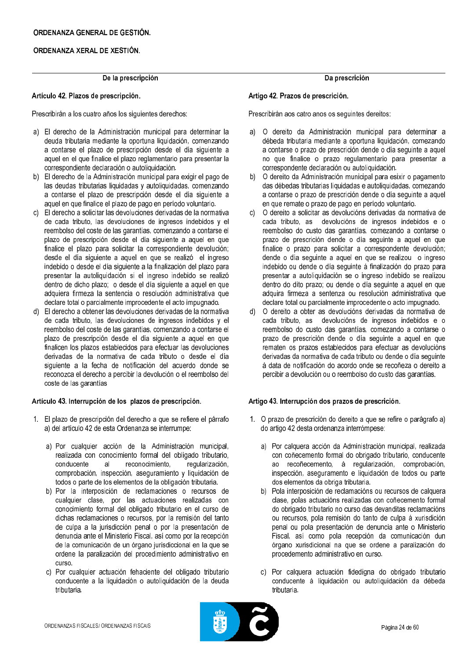### De la prescripción

#### Artículo 42. Plazos de prescripción.

Prescribirán a los cuatro años los siguientes derechos:

- a) El derecho de la Administración municipal para determinar la deuda tributaria mediante la oportuna liquidación, comenzando a contarse el plazo de prescripción desde el día siguiente a aquel en el que finalice el plazo reglamentario para presentar la correspondiente declaración o autoliquidación.
- b) El derecho de la Administración municipal para exigir el pago de las deudas tributarias liquidadas y autoliquidadas, comenzando a contarse el plazo de prescripción desde el día siguiente a aquel en que finalice el plazo de pago en período voluntario.
- c) El derecho a solicitar las devoluciones derivadas de la normativa de cada tributo, las devoluciones de ingresos indebidos y el reembolso del coste de las garantías, comenzando a contarse el plazo de prescripción desde el día siguiente a aquel en que finalice el plazo para solicitar la correspondiente devolución; desde el día siguiente a aquel en que se realizó el ingreso indebido o desde el día siguiente a la finalización del plazo para presentar la autoliquidación si el ingreso indebido se realizó dentro de dicho plazo; o desde el día siguiente a aquel en que adquiera firmeza la sentencia o resolución administrativa que declare total o parcialmente improcedente el acto impugnado.
- d) El derecho a obtener las devoluciones derivadas de la normativa de cada tributo, las devoluciones de ingresos indebidos y el reembolso del coste de las garantías, comenzando a contarse el plazo de prescripción desde el día siguiente a aquel en que finalicen los plazos establecidos para efectuar las devoluciones derivadas de la normativa de cada tributo o desde el día siquiente a la fecha de notificación del acuerdo donde se reconozca el derecho a percibir la devolución o el reembolso del coste de las garantías

#### Artículo 43, Interrupción de los plazos de prescripción.

- 1. El plazo de prescripción del derecho a que se refiere el párrafo a) del artículo 42 de esta Ordenanza se interrumpe:
	- a) Por cualquier acción de la Administración municipal, realizada con conocimiento formal del obligado tributario, conducente al reconocimiento. regularización. comprobación, inspección, aseguramiento y liquidación de todos o parte de los elementos de la obligación tributaria.
	- b) Por la interposición de reclamaciones o recursos de cualquier clase, por las actuaciones realizadas con conocimiento formal del obligado tributario en el curso de dichas reclamaciones o recursos, por la remisión del tanto de culpa a la jurisdicción penal o por la presentación de denuncia ante el Ministerio Fiscal, así como por la recepción de la comunicación de un órgano jurisdiccional en la que se ordene la paralización del procedimiento administrativo en **CUISO**
	- c) Por cualquier actuación fehaciente del obligado tributario conducente a la liquidación o autoliquidación de la deuda tributaria.

### Da prescrición

#### Artigo 42. Prazos de prescrición.

Prescribirán aos catro anos os seguintes dereitos:

- a) O dereito da Administración municipal para determinar a débeda tributaria mediante a oportuna liquidación, comezando a contarse o prazo de prescrición dende o día seguinte a aquel no que finalice o prazo regulamentario para presentar a correspondente declaración ou autoliquidación.
- b) O dereito da Administración municipal para esixir o pagamento das débedas tributarias liquidadas e autoliquidadas, comezando a contarse o prazo de prescrición dende o día seguinte a aquel en que remate o prazo de pago en período voluntario.
- O dereito a solicitar as devolucións derivadas da normativa de  $c)$ cada tributo, as devolucións de ingresos indebidos e o reembolso do custo das garantías, comezando a contarse o prazo de prescrición dende o día seguinte a aquel en que finalice o prazo para solicitar a correspondente devolución; dende o día seguinte a aquel en que se realizou o ingreso indebido ou dende o día seguinte á finalización do prazo para presentar a autoliquidación se o ingreso indebido se realizou dentro do dito prazo; ou dende o día seguinte a aquel en que adquira firmeza a sentenza ou resolución administrativa que declare total ou parcialmente improcedente o acto impugnado.
- d) O dereito a obter as devolucións derivadas da normativa de cada tributo, as devolucións de ingresos indebidos e o reembolso do custo das garantías, comezando a contarse o prazo de prescrición dende o día seguinte a aquel en que rematen os prazos establecidos para efectuar as devolucións derivadas da normativa de cada tributo ou dende o día seguinte á data de notificación do acordo onde se recoñeza o dereito a percibir a devolución ou o reembolso do custo das garantías.

### Artigo 43, Interrupción dos prazos de prescrición.

- 1. O prazo de prescrición do dereito a que se refire o parágrafo a) do artigo 42 desta ordenanza interrómpese:
	- a) Por calquera acción da Administración municipal, realizada con coñecemento formal do obrigado tributario, conducente ao recoñecemento, á regularización, comprobación, inspección, aseguramento e liquidación de todos ou parte dos elementos da obriga tributaria.
	- b) Pola interposición de reclamacións ou recursos de calquera clase, polas actuacións realizadas con coñecemento formal do obrigado tributario no curso das devanditas reclamacións ou recursos, pola remisión do tanto de culpa á xurisdición penal ou pola presentación de denuncia ante o Ministerio Fiscal, así como pola recepción da comunicación dun órgano xurisdicional na que se ordene a paralización do procedemento administrativo en curso.
	- c) Por calquera actuación fidedigna do obrigado tributario conducente á liquidación ou autoliquidación da débeda tributaria.

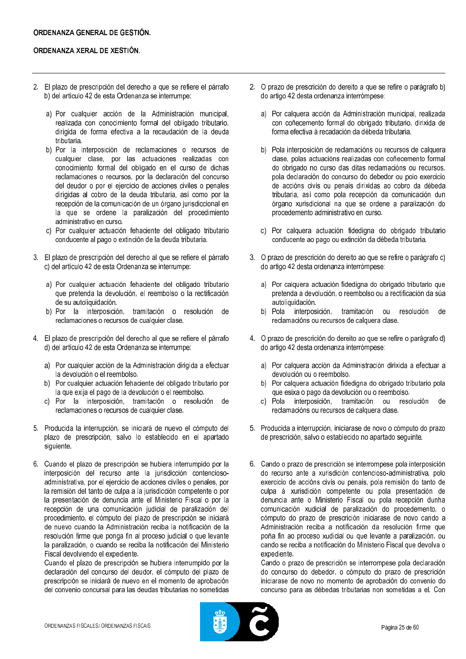- 2. El plazo de prescripción del derecho a que se refiere el párrafo b) del artículo 42 de esta Ordenanza se interrumpe:
	- a) Por cualquier acción de la Administración municipal, realizada con conocimiento formal del obligado tributario, dirigida de forma efectiva a la recaudación de la deuda tributaria.
	- b) Por la interposición de reclamaciones o recursos de cualquier clase, por las actuaciones realizadas con conocimiento formal del obligado en el curso de dichas reclamaciones o recursos, por la declaración del concurso del deudor o por el ejercicio de acciones civiles o penales dirigidas al cobro de la deuda tributaria, así como por la recepción de la comunicación de un órgano jurisdiccional en la que se ordene la paralización del procedimiento administrativo en curso.
	- c) Por cualquier actuación fehaciente del obligado tributario conducente al pago o extinción de la deuda tributaria.
- 3. El plazo de prescripción del derecho al que se refiere el párrafo c) del artículo 42 de esta Ordenanza se interrumpe:
	- a) Por cualquier actuación fehaciente del obligado tributario que pretenda la devolución, el reembolso o la rectificación de su autoliquidación.
	- b) Por la interposición, tramitación o resolución de reclamaciones o recursos de cualquier clase.
- 4. El plazo de prescripción del derecho al que se refiere el párrafo d) del artículo 42 de esta Ordenanza se interrumpe:
	- a) Por cualquier acción de la Administración dirigida a efectuar la devolución o el reembolso.
	- b) Por cualquier actuación fehaciente del obligado tributario por la que exija el pago de la devolución o el reembolso.
	- c) Por la interposición, tramitación o resolución de reclamaciones o recursos de cualquier clase.
- 5. Producida la interrupción, se iniciará de nuevo el cómputo del plazo de prescripción, salvo lo establecido en el apartado siguiente
- 6. Cuando el plazo de prescripción se hubiera interrumpido por la interposición del recurso ante la jurisdicción contenciosoadministrativa, por el ejercicio de acciones civiles o penales, por la remisión del tanto de culpa a la jurisdicción competente o por la presentación de denuncia ante el Ministerio Fiscal o por la recepción de una comunicación judicial de paralización del procedimiento, el cómputo del plazo de prescripción se iniciará de nuevo cuando la Administración reciba la notificación de la resolución firme que ponga fin al proceso judicial o que levante la paralización, o cuando se reciba la notificación del Ministerio Fiscal devolviendo el expediente.

Cuando el plazo de prescripción se hubiera interrumpido por la declaración del concurso del deudor, el cómputo del plazo de prescripción se iniciará de nuevo en el momento de aprobación del convenio concursal para las deudas tributarias no sometidas

- 2. O prazo de prescrición do dereito a que se refire o parágrafo b) do artigo 42 desta ordenanza interrómpese:
	- Por calquera acción da Administración municipal, realizada a) con coñecemento formal do obrigado tributario, dirixida de forma efectiva á recadación da débeda tributaria.
	- b) Pola interposición de reclamacións ou recursos de calquera clase, polas actuacións realizadas con coñecemento formal do obrigado no curso das ditas reclamacións ou recursos. pola declaración do concurso do debedor ou polo exercicio de accións civís ou penais dirixidas ao cobro da débeda tributaria, así como pola recepción da comunicación dun órgano xurisdicional na que se ordene a paralización do procedemento administrativo en curso.
	- c) Por calquera actuación fidedigna do obrigado tributario conducente ao pago ou extinción da débeda tributaria.
- 3. O prazo de prescrición do dereito ao que se refire o parágrafo c) do artigo 42 desta ordenanza interrómpese:
	- a) Por calquera actuación fidedigna do obrigado tributario que pretenda a devolución, o reembolso ou a rectificación da súa autoliquidación.
	- b) Pola interposición, tramitación ou resolución de reclamacións ou recursos de calquera clase.
- 4. O prazo de prescrición do dereito ao que se refire o parágrafo d) do artigo 42 desta ordenanza interrómpese:
	- a) Por calquera acción da Administración dirixida a efectuar a devolución ou o reembolso.
	- b) Por calquera actuación fidedigna do obrigado tributario pola que esixa o pago da devolución ou o reembolso.
	- c) Pola interposición, tramitación ou resolución de reclamacións ou recursos de calquera clase.
- 5. Producida a interrupción, iniciarase de novo o cómputo do prazo de prescrición, salvo o establecido no apartado seguinte.
- 6. Cando o prazo de prescrición se interrompese pola interposición do recurso ante a xurisdición contencioso-administrativa, polo exercicio de accións civís ou penais, pola remisión do tanto de culpa á xurisdición competente ou pola presentación de denuncia ante o Ministerio Fiscal ou pola recepción dunha comunicación xudicial de paralización do procedemento, o cómputo do prazo de prescrición iniciarase de novo cando a Administración reciba a notificación da resolución firme que poña fin ao proceso xudicial ou que levante a paralización, ou cando se reciba a notificación do Ministerio Fiscal que devolva o expediente.

Cando o prazo de prescrición se interrompese pola declaración do concurso do debedor, o cómputo do prazo de prescrición iniciarase de novo no momento de aprobación do convenio do concurso para as débedas tributarias non sometidas a el. Con

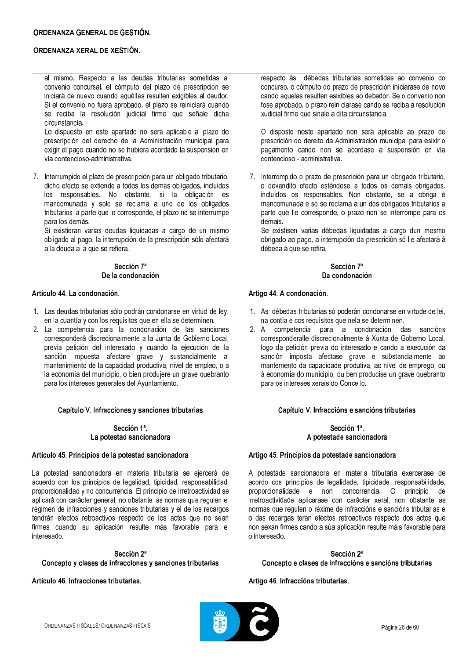al mismo. Respecto a las deudas tributarias sometidas al convenio concursal, el cómputo del plazo de prescripción se iniciará de nuevo cuando aquéllas resulten exigibles al deudor. Si el convenio no fuera aprobado, el plazo se reiniciará cuando se reciba la resolución judicial firme que señale dicha circunstancia.

Lo dispuesto en este apartado no será aplicable al plazo de prescripción del derecho de la Administración municipal para exigir el pago cuando no se hubiera acordado la suspensión en vía contencioso-administrativa.

7. Interrumpido el plazo de prescripción para un obligado tributario, dicho efecto se extiende a todos los demás obligados, incluidos los responsables. No obstante, si la obligación es mancomunada y sólo se reclama a uno de los obligados tributarios la parte que le corresponde, el plazo no se interrumpe para los demás.

Si existieran varias deudas liquidadas a cargo de un mismo obligado al pago, la interrupción de la prescripción sólo afectará a la deuda a la que se refiera.

#### Sección 7ª De la condonación

## Artículo 44. La condonación.

- 1. Las deudas tributarias sólo podrán condonarse en virtud de ley, en la cuantía y con los requisitos que en ella se determinen.
- 2. La competencia para la condonación de las sanciones corresponderá discrecionalmente a la Junta de Gobierno Local, previa petición del interesado y cuando la ejecución de la sanción impuesta afectare grave y sustancialmente al<br>mantenimiento de la capacidad productiva, nivel de empleo, o a la economía del municipio, o bien produjere un grave quebranto para los intereses generales del Ayuntamiento.

### Capítulo V. Infracciones y sanciones tributarias

#### Sección 1ª. La potestad sancionadora

### Artículo 45. Principios de la potestad sancionadora

La potestad sancionadora en materia tributaria se ejercerá de acuerdo con los principios de legalidad, tipicidad, responsabilidad, proporcionalidad y no concurrencia. El principio de irretroactividad se aplicará con carácter general, no obstante las normas que regulen el régimen de infracciones y sanciones tributarias y el de los recargos tendrán efectos retroactivos respecto de los actos que no sean firmes cuando su aplicación resulte más favorable para el interesado.

## Sección 2ª Concepto y clases de infracciones y sanciones tributarias

### Artículo 46 Infracciones tributarias

respecto ás débedas tributarias sometidas ao convenio do concurso, o cómputo do prazo de prescrición iniciarase de novo cando aquelas resulten esixibles ao debedor. Se o convenio non fose aprobado, o prazo reiniciarase cando se reciba a resolución xudicial firme que sinale a dita circunstancia.

O disposto neste apartado non será aplicable ao prazo de prescrición do dereito da Administración municipal para esixir o pagamento cando non se acordase a suspensión en vía contencioso - administrativa.

7. Interrompido o prazo de prescrición para un obrigado tributario, o devandito efecto esténdese a todos os demais obrigados. incluídos os responsables. Non obstante, se a obriga é mancomunada e só se reclama a un dos obrigados tributarios a parte que lle corresponde, o prazo non se interrompe para os demais.

Se existisen varias débedas liquidadas a cargo dun mesmo obrigado ao pago, a interrupción da prescrición só lle afectará á débeda á que se refira.

### Sección 7ª Da condonación

### Artigo 44. A condonación.

- 1. As débedas tributarias só poderán condonarse en virtude de lei, na contía e cos requisitos que nela se determinen.
- 2. A competencia para a condonación das sancións corresponderalle discrecionalmente à Xunta de Goberno Local, logo da petición previa do interesado e cando a execución da sanción imposta afectase grave e substancialmente ao mantemento da capacidade produtiva, ao nivel de emprego, ou á economía do municipio, ou ben producise un grave quebranto para os intereses xerais do Concello.

### Capítulo V. Infraccións e sancións tributarias

#### Sección 1ª A potestade sancionadora

#### Artigo 45. Principios da potestade sancionadora

A potestade sancionadora en materia tributaria exercerase de acordo cos principios de legalidade, tipicidade, responsabilidade, proporcionalidade e non concorrencia. O principio de irretroactividade aplicarase con carácter xeral, non obstante as normas que regulen o réxime de infraccións e sancións tributarias e o das recargas terán efectos retroactivos respecto dos actos que non sexan firmes cando a súa aplicación resulte máis favorable para o interesado.

Sección 2ª Concepto e clases de infraccións e sancións tributarias

Artigo 46, Infraccións tributarias.

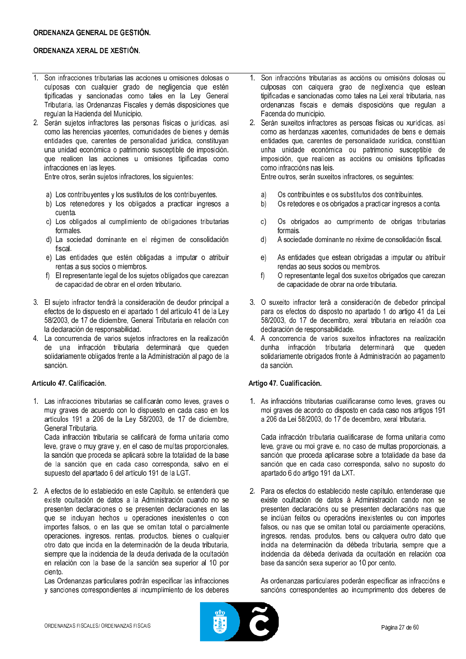- 1. Son infracciones tributarias las acciones y omisiones dolosas o culposas con cualquier grado de negligencia que estén tipificadas y sancionadas como tales en la Ley General Tributaria, las Ordenanzas Fiscales y demás disposiciones que regulan la Hacienda del Municipio.
- 2. Serán sujetos infractores las personas físicas o jurídicas, así como las herencias yacentes, comunidades de bienes y demás entidades que, carentes de personalidad jurídica, constituvan una unidad económica o patrimonio susceptible de imposición, que realicen las acciones u omisiones tipificadas como infracciones en las leves.

Entre otros, serán sujetos infractores, los siguientes:

- a) Los contribuyentes y los sustitutos de los contribuyentes.
- b) Los retenedores y los obligados a practicar ingresos a cuenta.
- c) Los obligados al cumplimiento de obligaciones tributarias formales.
- d) La sociedad dominante en el régimen de consolidación fiscal.
- e) Las entidades que estén obligadas a imputar o atribuir rentas a sus socios o miembros.
- f) El representante legal de los sujetos obligados que carezcan de capacidad de obrar en el orden tributario.
- 3. El sujeto infractor tendrá la consideración de deudor principal a efectos de lo dispuesto en el apartado 1 del artículo 41 de la Ley 58/2003, de 17 de diciembre, General Tributaria en relación con la declaración de responsabilidad.
- 4. La concurrencia de varios sujetos infractores en la realización de una infracción tributaria determinará que queden solidariamente obligados frente a la Administración al pago de la sanción.

## Artículo 47. Calificación.

1. Las infracciones tributarias se calificarán como leves, graves o muy graves de acuerdo con lo dispuesto en cada caso en los artículos 191 a 206 de la Ley 58/2003, de 17 de diciembre, General Tributaria

Cada infracción tributaria se calificará de forma unitaria como leve, grave o muy grave y, en el caso de multas proporcionales, la sanción que proceda se aplicará sobre la totalidad de la base de la sanción que en cada caso corresponda, salvo en el supuesto del apartado 6 del artículo 191 de la LGT.

2. A efectos de lo establecido en este Capítulo, se entenderá que existe ocultación de datos a la Administración cuando no se presenten declaraciones o se presenten declaraciones en las que se incluyan hechos u operaciones inexistentes o con importes falsos, o en las que se omitan total o parcialmente operaciones ingresos rentas productos bienes o cualquier otro dato que incida en la determinación de la deuda tributaria. siempre que la incidencia de la deuda derivada de la ocultación en relación con la base de la sanción sea superior al 10 por ciento

Las Ordenanzas particulares podrán especificar las infracciones y sanciones correspondientes al incumplimiento de los deberes

- 1. Son infraccións tributarias as accións ou omisións dolosas ou culposas con calquera grao de neglixencia que estean tipificadas e sancionadas como tales na Lei xeral tributaria, nas ordenanzas fiscais e demais disposicións que regulan a Facenda do municipio.
- 2. Serán suxeitos infractores as persoas físicas ou xurídicas, así como as herdanzas xacentes, comunidades de bens e demais entidades que, carentes de personalidade xurídica, constitúan unha unidade económica ou patrimonio susceptible de imposición, que realicen as accións ou omisións tipificadas como infraccións nas leis.

Entre outros, serán suxeitos infractores, os seguintes:

- Os contribuíntes e os substitutos dos contribuíntes. a)
- Os retedores e os obrigados a practicar ingresos a conta.  $b)$
- Os obrigados ao cumprimento de obrigas tributarias  $\mathsf{C}$ formais.
- $d)$ A sociedade dominante no réxime de consolidación fiscal.
- As entidades que estean obrigadas a imputar ou atribuír  $\Theta$ rendas ao seus socios ou membros.
- O representante legal dos suxeitos obrigados que carezan  $f$ de capacidade de obrar na orde tributaria.
- 3. O suxeito infractor terá a consideración de debedor principal para os efectos do disposto no apartado 1 do artigo 41 da Lei 58/2003, do 17 de decembro, xeral tributaria en relación coa declaración de responsabilidade.
- 4. A concorrencia de varios suxeitos infractores na realización dunha infracción tributaria determinará que queden solidariamente obrigados fronte á Administración ao pagamento da sanción.

# Artigo 47. Cualificación.

1. As infraccións tributarias cualificaranse como leves, graves ou moi graves de acordo co disposto en cada caso nos artigos 191 a 206 da Lei 58/2003, do 17 de decembro, xeral tributaria.

Cada infracción tributaria cualificarase de forma unitaria como leve, grave ou moi grave e, no caso de multas proporcionais, a sanción que proceda aplicarase sobre a totalidade da base da sanción que en cada caso corresponda, salvo no suposto do apartado 6 do artigo 191 da LXT.

2. Para os efectos do establecido neste capítulo, entenderase que existe ocultación de datos á Administración cando non se presenten declaracións ou se presenten declaracións nas que se inclúan feitos ou operacións inexistentes ou con importes falsos, ou nas que se omitan total ou parcialmente operacións, ingresos, rendas, produtos, bens ou calquera outro dato que incida na determinación da débeda tributaria, sempre que a incidencia da débeda derivada da ocultación en relación coa base da sanción sexa superior ao 10 por cento.

As ordenanzas particulares poderán especificar as infraccións e sancións correspondentes ao incumprimento dos deberes de

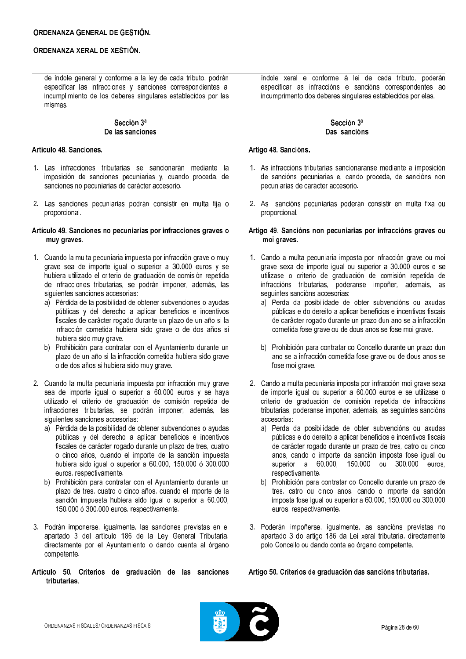de índole general y conforme a la ley de cada tributo, podrán especificar las infracciones y sanciones correspondientes al incumplimiento de los deberes singulares establecidos por las mismas.

### Sección 3ª De las sanciones

## Artículo 48. Sanciones.

- 1. Las infracciones tributarias se sancionarán mediante la imposición de sanciones pecuniarias y, cuando proceda, de sanciones no pecuniarias de carácter accesorio.
- 2. Las sanciones pecuniarias podrán consistir en multa fija o proporcional.

### Artículo 49. Sanciones no pecuniarias por infracciones graves o muy graves.

- 1. Cuando la multa pecuniaria impuesta por infracción grave o muy grave sea de importe iqual o superior a 30.000 euros y se hubiera utilizado el criterio de graduación de comisión repetida de infracciones tributarias, se podrán imponer, además, las siguientes sanciones accesorias:
	- a) Pérdida de la posibilidad de obtener subvenciones o ayudas públicas y del derecho a aplicar beneficios e incentivos fiscales de carácter rogado durante un plazo de un año si la infracción cometida hubiera sido grave o de dos años si hubiera sido muy grave.
	- b) Prohibición para contratar con el Ayuntamiento durante un plazo de un año si la infracción cometida hubiera sido grave o de dos años si hubiera sido muy grave.
- 2. Cuando la multa pecuniaria impuesta por infracción muy grave sea de importe igual o superior a 60.000 euros y se haya utilizado el criterio de graduación de comisión repetida de infracciones tributarias, se podrán imponer, además, las siguientes sanciones accesorias:
	- a) Pérdida de la posibilidad de obtener subvenciones o ayudas públicas y del derecho a aplicar beneficios e incentivos fiscales de carácter rogado durante un plazo de tres, cuatro o cinco años, cuando el importe de la sanción impuesta hubiera sido igual o superior a 60.000, 150.000 ó 300.000 euros, respectivamente.
	- b) Prohibición para contratar con el Ayuntamiento durante un plazo de tres, cuatro o cinco años, cuando el importe de la sanción impuesta hubiera sido igual o superior a 60.000, 150.000 ó 300.000 euros, respectivamente.
- 3. Podrán imponerse, igualmente, las sanciones previstas en el apartado 3 del artículo 186 de la Ley General Tributaria. directamente por el Ayuntamiento o dando cuenta al órgano competente.
- Artículo 50. Criterios de graduación de las sanciones tributarias

índole xeral e conforme á lei de cada tributo, poderán especificar as infraccións e sancións correspondentes ao incumprimento dos deberes singulares establecidos por elas.

## Sección 3ª Das sancións

## Artigo 48. Sancións.

- 1. As infraccións tributarias sancionaranse mediante a imposición de sancións pecuniarias e, cando proceda, de sancións non pecuniarias de carácter accesorio.
- 2. As sancións pecuniarias poderán consistir en multa fixa ou proporcional.

### Artigo 49. Sancións non pecuniarias por infraccións graves ou moi graves.

- 1. Cando a multa pecuniaria imposta por infracción grave ou moi grave sexa de importe igual ou superior a 30.000 euros e se utilizase o criterio de graduación de comisión repetida de infraccións tributarias, poderanse impoñer, ademais, as seguintes sancións accesorias:
	- a) Perda da posibilidade de obter subvencións ou axudas públicas e do dereito a aplicar beneficios e incentivos fiscais de carácter rogado durante un prazo dun ano se a infracción cometida fose grave ou de dous anos se fose moi grave.
	- b) Prohibición para contratar co Concello durante un prazo dun ano se a infracción cometida fose grave ou de dous anos se fose moi grave.
- 2. Cando a multa pecuniaria imposta por infracción moi grave sexa de importe igual ou superior a 60.000 euros e se utilizase o criterio de graduación de comisión repetida de infraccións tributarias, poderanse impoñer, ademais, as seguintes sancións accesorias:
	- a) Perda da posibilidade de obter subvencións ou axudas públicas e do dereito a aplicar beneficios e incentivos fiscais de carácter rogado durante un prazo de tres, catro ou cinco anos, cando o importe da sanción imposta fose igual ou superior a 60,000, 150,000 ou 300,000 euros. respectivamente.
	- b) Prohibición para contratar co Concello durante un prazo de tres, catro ou cinco anos, cando o importe da sanción imposta fose igual ou superior a 60.000, 150.000 ou 300.000 euros, respectivamente.
- 3. Poderán impoñerse, igualmente, as sancións previstas no apartado 3 do artigo 186 da Lei xeral tributaria, directamente polo Concello ou dando conta ao órgano competente.

Artigo 50. Criterios de graduación das sancións tributarias.

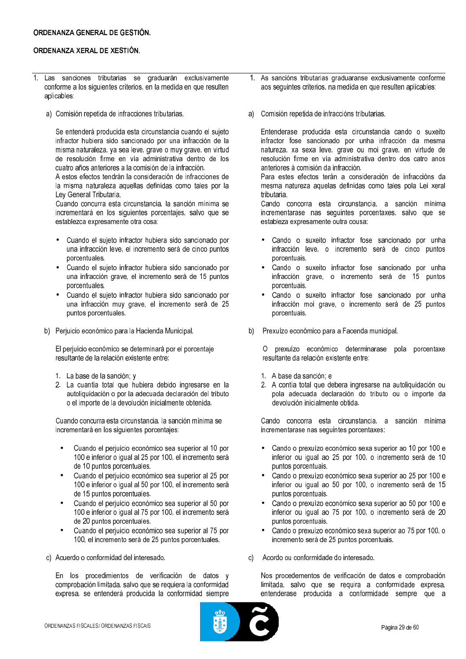- 1. Las sanciones tributarias se graduarán exclusivamente conforme a los siguientes criterios, en la medida en que resulten aplicables:
	- a) Comisión repetida de infracciones tributarias.

Se entenderá producida esta circunstancia cuando el sujeto infractor hubiera sido sancionado por una infracción de la misma naturaleza, ya sea leve, grave o muy grave, en virtud de resolución firme en vía administrativa dentro de los cuatro años anteriores a la comisión de la infracción.

A estos efectos tendrán la consideración de infracciones de la misma naturaleza aquellas definidas como tales por la Ley General Tributaria.

Cuando concurra esta circunstancia, la sanción mínima se incrementará en los siguientes porcentajes, salvo que se establezca expresamente otra cosa:

- Cuando el sujeto infractor hubiera sido sancionado por una infracción leve, el incremento será de cinco puntos porcentuales.
- Cuando el sujeto infractor hubiera sido sancionado por una infracción grave, el incremento será de 15 puntos porcentuales.
- Cuando el sujeto infractor hubiera sido sancionado por una infracción muy grave, el incremento será de 25 puntos porcentuales.
- b) Periuicio económico para la Hacienda Municipal.

El perjuicio económico se determinará por el porcentaje resultante de la relación existente entre:

- 1. La base de la sanción: y
- 2. La cuantía total que hubiera debido ingresarse en la autoliquidación o por la adecuada declaración del tributo o el importe de la devolución inicialmente obtenida.

Cuando concurra esta circunstancia, la sanción mínima se incrementará en los siguientes porcentajes:

- Cuando el periujoj económico sea superior al 10 por 100 e inferior o igual al 25 por 100, el incremento será de 10 puntos porcentuales.
- Cuando el perjuicio económico sea superior al 25 por 100 e inferior o igual al 50 por 100, el incremento será de 15 puntos porcentuales.
- Cuando el periuicio económico sea superior al 50 por 100 e inferior o joual al 75 por 100, el incremento será de 20 puntos porcentuales.
- Cuando el perjuicio económico sea superior al 75 por 100, el incremento será de 25 puntos porcentuales.
- c) Acuerdo o conformidad del interesado.

En los procedimientos de verificación de datos y comprobación limitada, salvo que se requiera la conformidad expresa, se entenderá producida la conformidad siempre

- 1. As sancións tributarias graduaranse exclusivamente conforme aos seguintes criterios, na medida en que resulten aplicables:
- a) Comisión repetida de infraccións tributarias.

Entenderase producida esta circunstancia cando o suxeito infractor fose sancionado por unha infracción da mesma natureza, xa sexa leve, grave ou moi grave, en virtude de resolución firme en vía administrativa dentro dos catro anos anteriores á comisión da infracción.

Para estes efectos terán a consideración de infraccións da mesma natureza aquelas definidas como tales pola Lei xeral tributaria.

Cando concorra esta circunstancia, a sanción mínima incrementarase nas sequintes porcentaxes, salvo que se estableza expresamente outra cousa:

- Cando o suxeito infractor fose sancionado por unha infracción leve, o incremento será de cinco puntos porcentuais.
- Cando o suxeito infractor fose sancionado por unha  $\bullet$ infracción grave, o incremento será de 15 puntos porcentuais.
- Cando o suxeito infractor fose sancionado por unha infracción moi grave, o incremento será de 25 puntos porcentuais.
- b) Prexuízo económico para a Facenda municipal.

O prexuízo económico determinarase pola porcentaxe resultante da relación existente entre:

- 1. A base da sanción: e
- 2. A contía total que debera ingresarse na autoliquidación ou pola adecuada declaración do tributo ou o importe da devolución inicialmente obtida

Cando concorra esta circunstancia, a sanción mínima incrementarase nas seguintes porcentaxes:

- Cando o prexuízo económico sexa superior ao 10 por 100 e inferior ou igual ao 25 por 100, o incremento será de 10 puntos porcentuais.
- Cando o prexuízo económico sexa superior ao 25 por 100 e  $\bullet$ inferior ou joual ao 50 por 100, o incremento será de 15 puntos porcentuais.
- Cando o prexuízo económico sexa superior ao 50 por 100 e inferior ou joual ao 75 por 100, o incremento será de 20 puntos porcentuais.
- Cando o prexuízo económico sexa superior ao 75 por 100, o  $\bullet$ incremento será de 25 puntos porcentuais.
- c) Acordo ou conformidade do interesado.

Nos procedementos de verificación de datos e comprobación limitada, salvo que se requira a conformidade expresa, entenderase producida a conformidade sempre que a

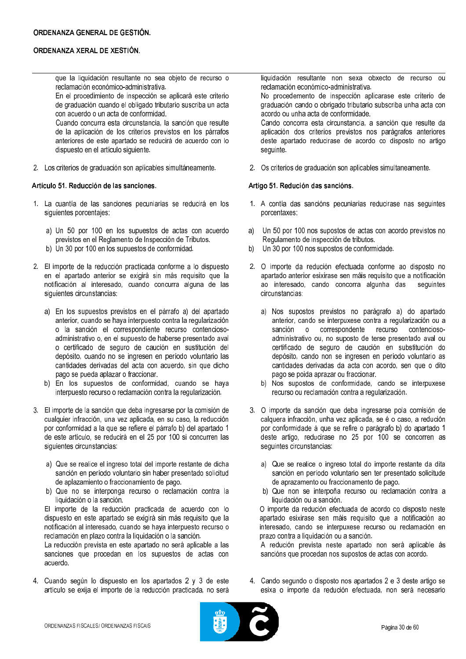que la liquidación resultante no sea objeto de recurso o reclamación económico-administrativa.

En el procedimiento de inspección se aplicará este criterio de graduación cuando el obligado tributario suscriba un acta con acuerdo o un acta de conformidad.

Cuando concurra esta circunstancia, la sanción que resulte de la aplicación de los criterios previstos en los párrafos anteriores de este apartado se reducirá de acuerdo con lo dispuesto en el artículo siguiente.

2. Los criterios de graduación son aplicables simultáneamente.

## Artículo 51, Reducción de las sanciones.

- 1. La cuantía de las sanciones pecuniarias se reducirá en los siquientes porcentajes:
	- a) Un 50 por 100 en los supuestos de actas con acuerdo previstos en el Reglamento de Inspección de Tributos.
	- b) Un 30 por 100 en los supuestos de conformidad.
- 2. El importe de la reducción practicada conforme a lo dispuesto en el apartado anterior se exigirá sin más requisito que la notificación al interesado, cuando concurra alguna de las siguientes circunstancias:
	- a) En los supuestos previstos en el párrafo a) del apartado anterior, cuando se haya interpuesto contra la regularización o la sanción el correspondiente recurso contenciosoadministrativo o, en el supuesto de haberse presentado aval o certificado de seguro de caución en sustitución del depósito, cuando no se ingresen en período voluntario las cantidades derivadas del acta con acuerdo, sin que dicho pago se pueda aplazar o fraccionar.
	- b) En los supuestos de conformidad, cuando se haya interpuesto recurso o reclamación contra la regularización.
- 3. El importe de la sanción que deba ingresarse por la comisión de cualquier infracción, una vez aplicada, en su caso, la reducción por conformidad a la que se refiere el párrafo b) del apartado 1 de este artículo, se reducirá en el 25 por 100 si concurren las siquientes circunstancias:
	- a) Que se realice el ingreso total del importe restante de dicha sanción en período voluntario sin haber presentado solicitud de aplazamiento o fraccionamiento de pago.
	- b) Que no se interponga recurso o reclamación contra la liquidación o la sanción.

El importe de la reducción practicada de acuerdo con lo dispuesto en este apartado se exigirá sin más requisito que la notificación al interesado, cuando se haya interpuesto recurso o reclamación en plazo contra la liquidación o la sanción.

La reducción prevista en este apartado no será aplicable a las sanciones que procedan en los supuestos de actas con acuerdo

4. Cuando según lo dispuesto en los apartados 2 y 3 de este artículo se exija el importe de la reducción practicada, no será liquidación resultante non sexa obxecto de recurso ou reclamación económico-administrativa.

No procedemento de inspección aplicarase este criterio de graduación cando o obrigado tributario subscriba unha acta con acordo ou unha acta de conformidade.

Cando concorra esta circunstancia, a sanción que resulte da aplicación dos criterios previstos nos parágrafos anteriores deste apartado reducirase de acordo co disposto no artigo seguinte.

2. Os criterios de graduación son aplicables simultaneamente.

### Artigo 51. Redución das sancións.

- 1. A contía das sancións pecuniarias reducirase nas seguintes porcentaxes:
- Un 50 por 100 nos supostos de actas con acordo previstos no a) Regulamento de inspección de tributos.
- Un 30 por 100 nos supostos de conformidade.  $b)$
- 2. O importe da redución efectuada conforme ao disposto no apartado anterior esixirase sen máis requisito que a notificación ao interesado, cando concorra algunha das seguintes circunstancias:
	- a) Nos supostos previstos no parágrafo a) do apartado anterior, cando se interpuxese contra a regularización ou a sanción o correspondente recurso contenciosoadministrativo ou, no suposto de terse presentado aval ou certificado de seguro de caución en substitución do depósito, cando non se ingresen en período voluntario as cantidades derivadas da acta con acordo, sen que o dito pago se poida aprazar ou fraccionar.
	- b) Nos supostos de conformidade, cando se interpuxese recurso ou reclamación contra a regularización.
- 3. O importe da sanción que deba ingresarse pola comisión de calquera infracción, unha vez aplicada, se é o caso, a redución por conformidade á que se refire o parágrafo b) do apartado 1 deste artigo, reducirase no 25 por 100 se concorren as sequintes circunstancias:
	- a) Que se realice o ingreso total do importe restante da dita sanción en período voluntario sen ter presentado solicitude de aprazamento ou fraccionamento de pago.
	- b) Que non se interpoña recurso ou reclamación contra a liquidación ou a sanción.

O importe da redución efectuada de acordo co disposto neste apartado esixirase sen máis requisito que a notificación ao interesado, cando se interpuxese recurso ou reclamación en prazo contra a liquidación ou a sanción.

A redución prevista neste apartado non será aplicable ás sancións que procedan nos supostos de actas con acordo.

4. Cando segundo o disposto nos apartados 2 e 3 deste artigo se esixa o importe da redución efectuada, non será necesario

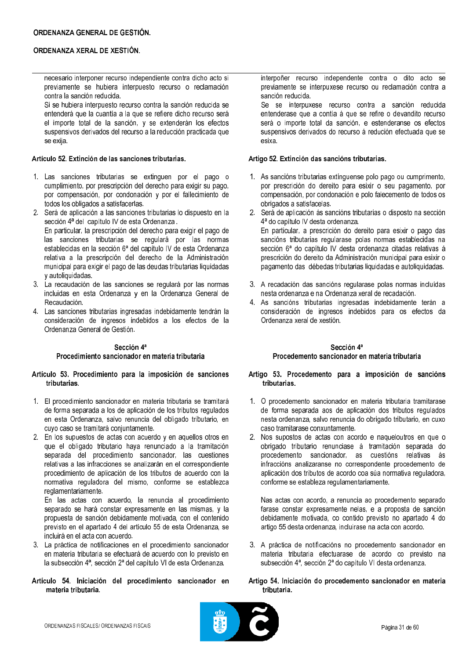necesario interponer recurso independiente contra dicho acto si previamente se hubiera interpuesto recurso o reclamación contra la sanción reducida.

Si se hubiera interpuesto recurso contra la sanción reducida se entenderá que la cuantía a la que se refiere dicho recurso será el importe total de la sanción, y se extenderán los efectos suspensivos derivados del recurso a la reducción practicada que se exija.

## Artículo 52. Extinción de las sanciones tributarias.

- 1. Las sanciones tributarias se extinguen por el pago o cumplimiento, por prescripción del derecho para exigir su pago, por compensación, por condonación y por el fallecimiento de todos los obligados a satisfacerlas.
- 2. Será de aplicación a las sanciones tributarias lo dispuesto en la sección 4ª del capítulo IV de esta Ordenanza. En particular, la prescripción del derecho para exigir el pago de las sanciones tributarias se regulará por las normas establecidas en la sección 6ª del capítulo IV de esta Ordenanza relativa a la prescripción del derecho de la Administración municipal para exigir el pago de las deudas tributarias liquidadas y autoliquidadas.
- 3. La recaudación de las sanciones se regulará por las normas incluidas en esta Ordenanza y en la Ordenanza General de Recaudación.
- 4. Las sanciones tributarias ingresadas indebidamente tendrán la consideración de ingresos indebidos a los efectos de la Ordenanza General de Gestión.

## Sección 4ª

## Procedimiento sancionador en materia tributaria

## Artículo 53. Procedimiento para la imposición de sanciones tributarias.

- 1. El procedimiento sancionador en materia tributaria se tramitará de forma separada a los de aplicación de los tributos regulados en esta Ordenanza, salvo renuncia del obligado tributario, en cuyo caso se tramitará conjuntamente.
- 2. En los supuestos de actas con acuerdo y en aquellos otros en que el obligado tributario haya renunciado a la tramitación separada del procedimiento sancionador, las cuestiones relativas a las infracciones se analizarán en el correspondiente procedimiento de aplicación de los tributos de acuerdo con la normativa reguladora del mismo, conforme se establezca reglamentariamente.

En las actas con acuerdo, la renuncia al procedimiento separado se hará constar expresamente en las mismas, y la propuesta de sanción debidamente motivada, con el contenido previsto en el apartado 4 del artículo 55 de esta Ordenanza, se incluirá en el acta con acuerdo.

3. La práctica de notificaciones en el procedimiento sancionador en materia tributaria se efectuará de acuerdo con lo previsto en la subsección 4ª, sección 2ª del capítulo VI de esta Ordenanza.

## Artículo 54. Iniciación del procedimiento sancionador en materia tributaria.

interpoñer recurso independente contra o dito acto se previamente se interpuxese recurso ou reclamación contra a sanción reducida.

Se se interpuxese recurso contra a sanción reducida entenderase que a contía á que se refire o devandito recurso será o importe total da sanción, e estenderanse os efectos suspensivos derivados do recurso á redución efectuada que se esixa.

## Artigo 52. Extinción das sancións tributarias.

- 1. As sancións tributarias extínguense polo pago ou cumprimento, por prescrición do dereito para esixir o seu pagamento, por compensación, por condonación e polo falecemento de todos os obrigados a satisfacelas.
- 2. Será de aplicación ás sancións tributarias o disposto na sección 4ª do capítulo IV desta ordenanza. En particular, a prescrición do dereito para esixir o pago das sancións tributarias regularase polas normas establecidas na sección 6ª do capítulo IV desta ordenanza citadas relativas á prescrición do dereito da Administración municipal para esixir o pagamento das débedas tributarias liquidadas e autoliquidadas.
- 3. A recadación das sancións regularase polas normas incluídas nesta ordenanza e na Ordenanza xeral de recadación.
- 4. As sancións tributarias ingresadas indebidamente terán a consideración de ingresos indebidos para os efectos da Ordenanza xeral de xestión.

## Sección 4ª

## Procedemento sancionador en materia tributaria

## Artigo 53. Procedemento para a imposición de sancións tributarias.

- 1. O procedemento sancionador en materia tributaria tramitarase de forma separada aos de aplicación dos tributos regulados nesta ordenanza, salvo renuncia do obrigado tributario, en cuxo caso tramitarase conxuntamente.
- 2. Nos supostos de actas con acordo e naqueloutros en que o obrigado tributario renunciase á tramitación separada do procedemento sancionador, as cuestións relativas ás infraccións analizaranse no correspondente procedemento de aplicación dos tributos de acordo coa súa normativa reguladora, conforme se estableza regulamentariamente.

Nas actas con acordo, a renuncia ao procedemento separado farase constar expresamente nelas, e a proposta de sanción debidamente motivada, co contido previsto no apartado 4 do artigo 55 desta ordenanza, incluirase na acta con acordo.

3. A práctica de notificacións no procedemento sancionador en materia tributaria efectuarase de acordo co previsto na subsección 4ª, sección 2ª do capítulo VI desta ordenanza.

## Artigo 54, Iniciación do procedemento sancionador en materia tributaria.

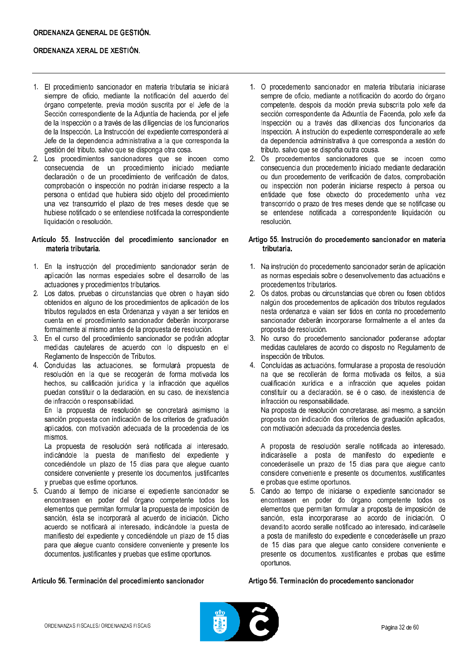- 1. El procedimiento sancionador en materia tributaria se iniciará siempre de oficio, mediante la notificación del acuerdo del órgano competente, previa moción suscrita por el Jefe de la Sección correspondiente de la Adjuntía de hacienda, por el jefe de la Inspección o a través de las diligencias de los funcionarios de la Inspección. La Instrucción del expediente corresponderá al Jefe de la dependencia administrativa a la que corresponda la gestión del tributo, salvo que se disponga otra cosa.
- 2. Los procedimientos sancionadores que se incoen como consecuencia de un procedimiento iniciado mediante declaración o de un procedimiento de verificación de datos, comprobación o inspección no podrán iniciarse respecto a la persona o entidad que hubiera sido objeto del procedimiento una vez transcurrido el plazo de tres meses desde que se hubiese notificado o se entendiese notificada la correspondiente liquidación o resolución.

### Artículo 55. Instrucción del procedimiento sancionador en materia tributaria.

- 1. En la instrucción del procedimiento sancionador serán de aplicación las normas especiales sobre el desarrollo de las actuaciones y procedimientos tributarios.
- 2. Los datos, pruebas o circunstancias que obren o hayan sido obtenidos en alguno de los procedimientos de aplicación de los tributos regulados en esta Ordenanza y vayan a ser tenidos en cuenta en el procedimiento sancionador deberán incorporarse formalmente al mismo antes de la propuesta de resolución.
- 3. En el curso del procedimiento sancionador se podrán adoptar medidas cautelares de acuerdo con lo dispuesto en el Reglamento de Inspección de Tributos.
- 4. Concluidas las actuaciones, se formulará propuesta de resolución en la que se recogerán de forma motivada los hechos, su calificación jurídica y la infracción que aquéllos puedan constituir o la declaración, en su caso, de inexistencia de infracción o responsabilidad.

En la propuesta de resolución se concretará asimismo la sanción propuesta con indicación de los criterios de graduación aplicados, con motivación adecuada de la procedencia de los mismos.

La propuesta de resolución será notificada al interesado, indicándole la puesta de manifiesto del expediente y concediéndole un plazo de 15 días para que alegue cuanto considere conveniente y presente los documentos, justificantes y pruebas que estime oportunos.

5. Cuando al tiempo de iniciarse el expediente sancionador se encontrasen en poder del órgano competente todos los elementos que permitan formular la propuesta de imposición de sanción, ésta se incorporará al acuerdo de iniciación. Dicho acuerdo se notificará al interesado, indicándole la puesta de manifiesto del expediente y concediéndole un plazo de 15 días para que aleque cuanto considere conveniente y presente los documentos, justificantes y pruebas que estime oportunos.

- 1. O procedemento sancionador en materia tributaria iniciarase sempre de oficio, mediante a notificación do acordo do órgano competente, despois da moción previa subscrita polo xefe da sección correspondente da Adxuntía de Facenda, polo xefe da Inspección ou a través das dilixencias dos funcionarios da Inspección. A instrución do expediente corresponderalle ao xefe da dependencia administrativa á que corresponda a xestión do tributo, salvo que se dispoña outra cousa.
- 2. Os procedementos sancionadores que se incoen como consecuencia dun procedemento iniciado mediante declaración ou dun procedemento de verificación de datos, comprobación ou inspección non poderán iniciarse respecto á persoa ou entidade que fose obxecto do procedemento unha vez transcorrido o prazo de tres meses dende que se notificase ou se entendese notificada a correspondente liquidación ou resolución.

### Artigo 55. Instrución do procedemento sancionador en materia tributaria.

- 1. Na instrución do procedemento sancionador serán de aplicación as normas especiais sobre o desenvolvemento das actuacións e procedementos tributarios
- 2. Os datos, probas ou circunstancias que obren ou fosen obtidos nalgún dos procedementos de aplicación dos tributos regulados nesta ordenanza e vaian ser tidos en conta no procedemento sancionador deberán incorporarse formalmente a el antes da proposta de resolución.
- 3. No curso do procedemento sancionador poderanse adoptar medidas cautelares de acordo co disposto no Regulamento de inspección de tributos.
- 4. Concluídas as actuacións, formularase a proposta de resolución na que se recollerán de forma motivada os feitos, a súa cualificación xurídica e a infracción que aqueles poidan constituír ou a declaración, se é o caso, de inexistencia de infracción ou responsabilidade.

Na proposta de resolución concretarase, así mesmo, a sanción proposta con indicación dos criterios de graduación aplicados, con motivación adecuada da procedencia destes.

A proposta de resolución seralle notificada ao interesado, indicaráselle a posta de manifesto do expediente e concederáselle un prazo de 15 días para que alegue canto considere conveniente e presente os documentos, xustificantes e probas que estime oportunos.

5. Cando ao tempo de iniciarse o expediente sancionador se encontrasen en poder do órgano competente todos os elementos que permitan formular a proposta de imposición de sanción, esta incorporarase ao acordo de iniciación. O devandito acordo seralle notificado ao interesado, indicaráselle a posta de manifesto do expediente e concederáselle un prazo de 15 días para que aleque canto considere conveniente e presente os documentos, xustificantes e probas que estime oportunos.

# Artículo 56, Terminación del procedimiento sancionador

#### Artigo 56. Terminación do procedemento sancionador

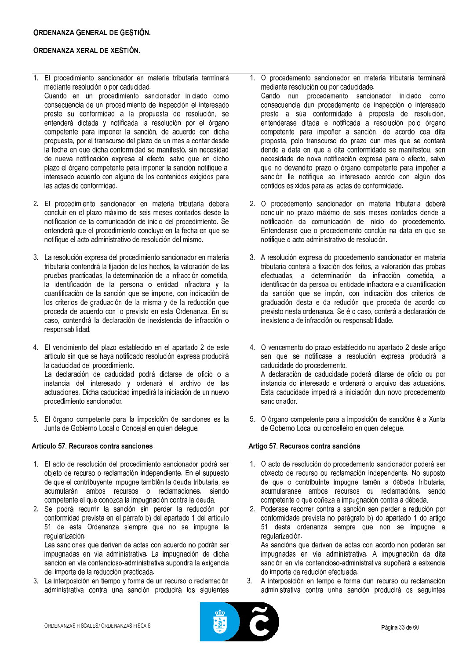## ORDENANZA GENERAL DE GESTIÓN.

## ORDENANZA XERAL DE XESTIÓN.

1. El procedimiento sancionador en materia tributaria terminará mediante resolución o por caducidad.

Cuando en un procedimiento sancionador iniciado como consecuencia de un procedimiento de inspección el interesado preste su conformidad a la propuesta de resolución, se entenderá dictada y notificada la resolución por el órgano competente para imponer la sanción, de acuerdo con dicha propuesta, por el transcurso del plazo de un mes a contar desde la fecha en que dicha conformidad se manifestó, sin necesidad de nueva notificación expresa al efecto, salvo que en dicho plazo el órgano competente para imponer la sanción notifique al interesado acuerdo con alguno de los contenidos exigidos para las actas de conformidad.

- 2. El procedimiento sancionador en materia tributaria deberá concluir en el plazo máximo de seis meses contados desde la notificación de la comunicación de inicio del procedimiento. Se entenderá que el procedimiento concluve en la fecha en que se notifique el acto administrativo de resolución del mismo.
- 3. La resolución expresa del procedimiento sancionador en materia tributaria contendrá la fijación de los hechos, la valoración de las pruebas practicadas, la determinación de la infracción cometida, la identificación de la persona o entidad infractora y la cuantificación de la sanción que se impone, con indicación de los criterios de graduación de la misma y de la reducción que proceda de acuerdo con lo previsto en esta Ordenanza. En su caso, contendrá la declaración de inexistencia de infracción o responsabilidad.

4. El vencimiento del plazo establecido en el apartado 2 de este artículo sin que se hava notificado resolución expresa producirá la caducidad del procedimiento. La declaración de caducidad podrá dictarse de oficio o a instancia del interesado y ordenará el archivo de las actuaciones. Dicha caducidad impedirá la iniciación de un nuevo procedimiento sancionador.

5. El órgano competente para la imposición de sanciones es la Junta de Gobierno Local o Concejal en quien delegue.

### Artículo 57, Recursos contra sanciones

- 1. El acto de resolución del procedimiento sancionador podrá ser objeto de recurso o reclamación independiente. En el supuesto de que el contribuyente impugne también la deuda tributaria, se acumularán ambos recursos o reclamaciones, siendo competente el que conozca la impugnación contra la deuda.
- 2. Se podrá recurrir la sanción sin perder la reducción por conformidad prevista en el párrafo b) del apartado 1 del artículo 51 de esta Ordenanza siempre que no se impugne la regularización.

Las sanciones que deriven de actas con acuerdo no podrán ser impugnadas en vía administrativa. La impugnación de dicha sanción en vía contencioso-administrativa supondrá la exigencia del importe de la reducción practicada.

3. La interposición en tiempo y forma de un recurso o reclamación administrativa contra una sanción producirá los siguientes

O procedemento sancionador en materia tributaria terminará  $1<sub>1</sub>$ mediante resolución ou por caducidade.

Cando nun procedemento sancionador iniciado como consecuencia dun procedemento de inspección o interesado preste a súa conformidade á proposta de resolución, entenderase ditada e notificada a resolución polo órgano competente para impoñer a sanción, de acordo coa dita proposta, polo transcurso do prazo dun mes que se contará dende a data en que a dita conformidade se manifestou, sen necesidade de nova notificación expresa para o efecto, salvo que no devandito prazo o órgano competente para impoñer a sanción lle notifique ao interesado acordo con algún dos contidos esixidos para as actas de conformidade.

- 2. O procedemento sancionador en materia tributaria deberá concluír no prazo máximo de seis meses contados dende a notificación da comunicación de inicio do procedemento. Entenderase que o procedemento conclúe na data en que se notifique o acto administrativo de resolución.
- 3. A resolución expresa do procedemento sancionador en materia tributaria conterá a fixación dos feitos, a valoración das probas efectuadas, a determinación da infracción cometida, a identificación da persoa ou entidade infractora e a cuantificación da sanción que se impón, con indicación dos criterios de graduación desta e da redución que proceda de acordo co previsto nesta ordenanza. Se é o caso, conterá a declaración de inexistencia de infracción ou responsabilidade.
- 4. O vencemento do prazo establecido no apartado 2 deste artigo sen que se notificase a resolución expresa producirá a caducidade do procedemento. A declaración de caducidade poderá ditarse de oficio ou por instancia do interesado e ordenará o arquivo das actuacións. Esta caducidade impedirá a iniciación dun novo procedemento sancionador.
- 5. O órgano competente para a imposición de sancións é a Xunta de Goberno Local ou concelleiro en quen delegue.

### Artigo 57. Recursos contra sancións

- 1. O acto de resolución do procedemento sancionador poderá ser obxecto de recurso ou reclamación independente. No suposto de que o contribuínte impugne tamén a débeda tributaria, acumularanse ambos recursos ou reclamacións, sendo competente o que coñeza a impugnación contra a débeda.
- 2. Poderase recorrer contra a sanción sen perder a redución por conformidade prevista no parágrafo b) do apartado 1 do artigo 51 desta ordenanza sempre que non se impugne a regularización.

As sancións que deriven de actas con acordo non poderán ser impugnadas en vía administrativa. A impugnación da dita sanción en vía contencioso-administrativa supoñerá a esixencia do importe da redución efectuada.

 $3<sup>1</sup>$ A interposición en tempo e forma dun recurso ou reclamación administrativa contra unha sanción producirá os seguintes

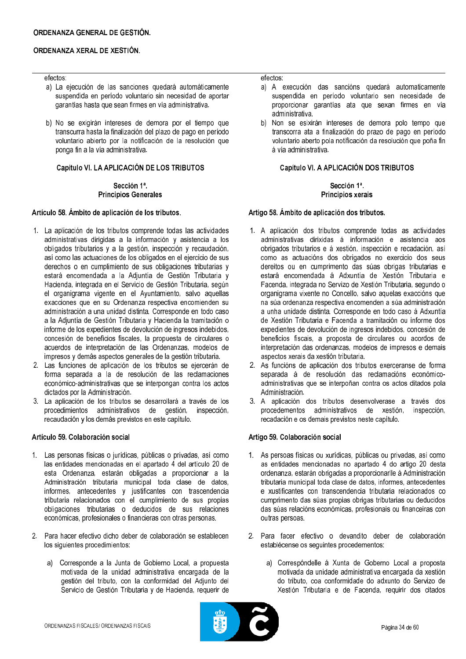#### efectos:

- a) La ejecución de las sanciones quedará automáticamente suspendida en período voluntario sin necesidad de aportar garantías hasta que sean firmes en vía administrativa.
- b) No se exigirán intereses de demora por el tiempo que transcurra hasta la finalización del plazo de pago en período voluntario abierto por la notificación de la resolución que ponga fin a la vía administrativa.

## Capítulo VI. LA APLICACIÓN DE LOS TRIBUTOS

## Sección 1ª. **Principios Generales**

#### Artículo 58. Ámbito de aplicación de los tributos.

- 1. La aplicación de los tributos comprende todas las actividades administrativas dirigidas a la información y asistencia a los obligados tributarios y a la gestión, inspección y recaudación, así como las actuaciones de los obligados en el ejercicio de sus derechos o en cumplimiento de sus obligaciones tributarias y estará encomendada a la Adjuntía de Gestión Tributaria y Hacienda, integrada en el Servicio de Gestión Tributaria, según el organigrama vigente en el Ayuntamiento, salvo aquellas exacciones que en su Ordenanza respectiva encomienden su administración a una unidad distinta. Corresponde en todo caso a la Adjuntía de Gestión Tributaria y Hacienda la tramitación o informe de los expedientes de devolución de ingresos indebidos, concesión de beneficios fiscales, la propuesta de circulares o acuerdos de interpretación de las Ordenanzas, modelos de impresos y demás aspectos generales de la gestión tributaria.
- 2. Las funciones de aplicación de los tributos se ejercerán de forma separada a la de resolución de las reclamaciones económico-administrativas que se interpongan contra los actos dictados por la Administración.
- 3. La aplicación de los tributos se desarrollará a través de los procedimientos administrativos de gestión, inspección, recaudación y los demás previstos en este capítulo.

### Artículo 59. Colaboración social

- 1. Las personas físicas o jurídicas, públicas o privadas, así como las entidades mencionadas en el apartado 4 del artículo 20 de esta Ordenanza, estarán obligadas a proporcionar a la Administración tributaria municipal toda clase de datos, informes, antecedentes y justificantes con trascendencia tributaria relacionados con el cumplimiento de sus propias obligaciones tributarias o deducidos de sus relaciones económicas, profesionales o financieras con otras personas.
- 2. Para hacer efectivo dicho deber de colaboración se establecen los siguientes procedimientos:
	- a) Corresponde a la Junta de Gobierno Local, a propuesta motivada de la unidad administrativa encargada de la gestión del tributo, con la conformidad del Adjunto del Servicio de Gestión Tributaria y de Hacienda, requerir de

efectos:

- a) A execución das sancións quedará automaticamente suspendida en período voluntario sen necesidade de proporcionar garantías ata que sexan firmes en vía administrativa.
- $b)$ Non se esixirán intereses de demora polo tempo que transcorra ata a finalización do prazo de pago en período voluntario aberto pola notificación da resolución que poña fin á vía administrativa.

## Capítulo VI. A APLICACIÓN DOS TRIBUTOS

### Sección 1ª Principios xerais

### Artigo 58. Ámbito de aplicación dos tributos.

- 1. A aplicación dos tributos comprende todas as actividades administrativas dirixidas á información e asistencia aos obrigados tributarios e á xestión, inspección e recadación, así como as actuacións dos obrigados no exercicio dos seus dereitos ou en cumprimento das súas obrigas tributarias e estará encomendada á Adxuntía de Xestión Tributaria e Facenda, integrada no Servizo de Xestión Tributaria, segundo o organigrama vixente no Concello, salvo aquelas exaccións que na súa ordenanza respectiva encomenden a súa administración a unha unidade distinta. Corresponde en todo caso á Adxuntía de Xestión Tributaria e Facenda a tramitación ou informe dos expedientes de devolución de ingresos indebidos, concesión de beneficios fiscais, a proposta de circulares ou acordos de interpretación das ordenanzas, modelos de impresos e demais aspectos xerais da xestión tributaria.
- 2. As funcións de aplicación dos tributos exerceranse de forma separada á de resolución das reclamacións económicoadministrativas que se interpoñan contra os actos ditados pola Administración.
- 3. A aplicación dos tributos desenvolverase a través dos procedementos administrativos de xestión, inspección. recadación e os demais previstos neste capítulo.

### Artigo 59, Colaboración social

- 1. As persoas físicas ou xurídicas, públicas ou privadas, así como as entidades mencionadas no apartado 4 do artigo 20 desta ordenanza, estarán obrigadas a proporcionarlle á Administración tributaria municipal toda clase de datos, informes, antecedentes e xustificantes con transcendencia tributaria relacionados co cumprimento das súas propias obrigas tributarias ou deducidos das súas relacións económicas, profesionais ou financeiras con outras persoas.
- 2. Para facer efectivo o devandito deber de colaboración establécense os seguintes procedementos:
	- a) Correspóndelle á Xunta de Goberno Local a proposta motivada da unidade administrativa encargada da xestión do tributo, coa conformidade do adxunto do Servizo de Xestión Tributaria e de Facenda, requirir dos citados

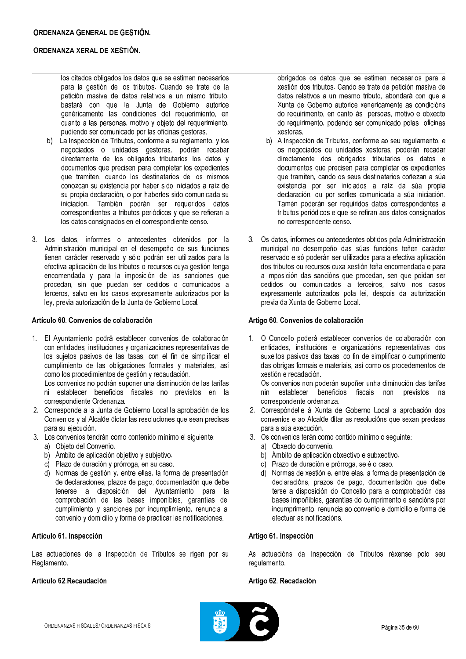los citados obligados los datos que se estimen necesarios para la gestión de los tributos. Cuando se trate de la petición masiva de datos relativos a un mismo tributo, bastará con que la Junta de Gobierno autorice genéricamente las condiciones del requerimiento, en cuanto a las personas, motivo y objeto del requerimiento, pudiendo ser comunicado por las oficinas gestoras.

- $b)$ La Inspección de Tributos, conforme a su reglamento, y los negociados o unidades gestoras, podrán recabar directamente de los obligados tributarios los datos y documentos que precisen para completar los expedientes que tramiten, cuando los destinatarios de los mismos conozcan su existencia por haber sido iniciados a raíz de su propia declaración, o por haberles sido comunicada su iniciación. También podrán ser requeridos datos correspondientes a tributos periódicos y que se refieran a los datos consignados en el correspondiente censo.
- 3. Los datos, informes o antecedentes obtenidos por la Administración municipal en el desempeño de sus funciones tienen carácter reservado y sólo podrán ser utilizados para la efectiva aplicación de los tributos o recursos cuya gestión tenga encomendada y para la imposición de las sanciones que procedan, sin que puedan ser cedidos o comunicados a terceros, salvo en los casos expresamente autorizados por la ley, previa autorización de la Junta de Gobierno Local.

## Artículo 60. Convenios de colaboración

1. El Ayuntamiento podrá establecer convenios de colaboración con entidades, instituciones y organizaciones representativas de los sujetos pasivos de las tasas, con el fin de simplificar el cumplimiento de las obligaciones formales y materiales, así como los procedimientos de gestión y recaudación.

Los convenios no podrán suponer una disminución de las tarifas ni establecer beneficios fiscales no previstos en la correspondiente Ordenanza.

- 2. Corresponde a la Junta de Gobierno Local la aprobación de los Convenios y al Alcalde dictar las resoluciones que sean precisas para su ejecución.
- 3. Los convenios tendrán como contenido mínimo el siguiente:
	- a) Objeto del Convenio.
	- b) Ámbito de aplicación objetivo y subjetivo.
	- c) Plazo de duración y prórroga, en su caso.
	- d) Normas de gestión y, entre ellas, la forma de presentación de declaraciones, plazos de pago, documentación que debe tenerse a disposición del Ayuntamiento para la comprobación de las bases imponibles, garantías del cumplimiento y sanciones por incumplimiento, renuncia al convenio y domicilio y forma de practicar las notificaciones.

### Artículo 61. Inspección

Las actuaciones de la Inspección de Tributos se rigen por su Reglamento.

## Artículo 62 Recaudación

obrigados os datos que se estimen necesarios para a xestión dos tributos. Cando se trate da petición masiva de datos relativos a un mesmo tributo, abondará con que a Xunta de Goberno autorice xenericamente as condicións do requirimento, en canto ás persoas, motivo e obxecto do requirimento, podendo ser comunicado polas oficinas xestoras.

- b) A Inspección de Tributos, conforme ao seu regulamento, e os negociados ou unidades xestoras, poderán recadar directamente dos obrigados tributarios os datos e documentos que precisen para completar os expedientes que tramiten, cando os seus destinatarios coñezan a súa existencia por ser iniciados a raíz da súa propia declaración, ou por serlles comunicada a súa iniciación. Tamén poderán ser requiridos datos correspondentes a tributos periódicos e que se refiran aos datos consignados no correspondente censo.
- 3. Os datos, informes ou antecedentes obtidos pola Administración municipal no desempeño das súas funcións teñen carácter reservado e só poderán ser utilizados para a efectiva aplicación dos tributos ou recursos cuxa xestión teña encomendada e para a imposición das sancións que procedan, sen que poidan ser cedidos ou comunicados a terceiros, salvo nos casos expresamente autorizados pola lei, despois da autorización previa da Xunta de Goberno Local.

## Artigo 60. Convenios de colaboración

1. O Concello poderá establecer convenios de colaboración con entidades, institucións e organizacións representativas dos suxeitos pasivos das taxas, co fin de simplificar o cumprimento das obrigas formais e materiais, así como os procedementos de xestión e recadación.

Os convenios non poderán supoñer unha diminución das tarifas nin establecer beneficios fiscais non previstos na correspondente ordenanza.

- 2. Correspóndelle á Xunta de Goberno Local a aprobación dos convenios e ao Alcalde ditar as resolucións que sexan precisas para a súa execución.
- 3. Os convenios terán como contido mínimo o seguinte:
	- a) Obxecto do convenio.
	- b) Ámbito de aplicación obxectivo e subxectivo.
	- c) Prazo de duración e prórroga, se é o caso.
	- d) Normas de xestión e, entre elas, a forma de presentación de declaracións, prazos de pago, documentación que debe terse a disposición do Concello para a comprobación das bases impoñibles, garantías do cumprimento e sancións por incumprimento, renuncia ao convenio e domicilio e forma de efectuar as notificacións.

### Artigo 61. Inspección

As actuacións da Inspección de Tributos réxense polo seu regulamento.

### Artigo 62, Recadación

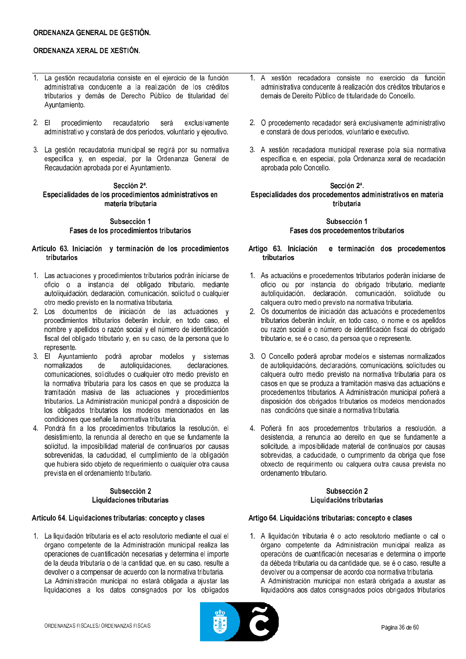- 1. La gestión recaudatoria consiste en el ejercicio de la función administrativa conducente a la realización de los créditos tributarios y demás de Derecho Público de titularidad del Ayuntamiento.
- $2.EL$ procedimiento recaudatorio será exclusivamente administrativo y constará de dos períodos, voluntario y ejecutivo.
- 3. La gestión recaudatoria municipal se regirá por su normativa específica y, en especial, por la Ordenanza General de Recaudación aprobada por el Avuntamiento.

### Sección 2ª. Especialidades de los procedimientos administrativos en materia tributaria

## Subsección 1 Fases de los procedimientos tributarios

#### Artículo 63. Iniciación y terminación de los procedimientos tributarios

- 1. Las actuaciones y procedimientos tributarios podrán iniciarse de oficio o a instancia del obligado tributario, mediante autoliquidación, declaración, comunicación, solicitud o cualquier otro medio previsto en la normativa tributaria.
- 2. Los documentos de iniciación de las actuaciones y procedimientos tributarios deberán incluir, en todo caso, el nombre y apellidos o razón social y el número de identificación fiscal del obligado tributario y, en su caso, de la persona que lo represente.
- 3. El Ayuntamiento podrá aprobar modelos y sistemas  $de^{\dagger}$ autoliquidaciones. declaraciones. normalizados comunicaciones, solicitudes o cualquier otro medio previsto en la normativa tributaria para los casos en que se produzca la tramitación masiva de las actuaciones y procedimientos tributarios. La Administración municipal pondrá a disposición de los obligados tributarios los modelos mencionados en las condiciones que señale la normativa tributaria.
- 4. Pondrá fin a los procedimientos tributarios la resolución, el desistimiento. la renuncia al derecho en que se fundamente la solicitud. la imposibilidad material de continuarlos por causas sobrevenidas, la caducidad, el cumplimiento de la obligación que hubiera sido obieto de requerimiento o cualquier otra causa prevista en el ordenamiento tributario.

### Subsección 2 Liquidaciones tributarias

## Artículo 64. Liquidaciones tributarias: concepto y clases

1. La liquidación tributaria es el acto resolutorio mediante el cual el órgano competente de la Administración municipal realiza las operaciones de cuantificación necesarias y determina el importe de la deuda tributaria o de la cantidad que, en su caso, resulte a devolver o a compensar de acuerdo con la normativa tributaria. La Administración municipal no estará obligada a ajustar las liquidaciones a los datos consignados por los obligados

- 1 A xestión recadadora consiste no exercicio da función administrativa conducente á realización dos créditos tributarios e demais de Dereito Público de titularidade do Concello.
- 2. O procedemento recadador será exclusivamente administrativo e constará de dous períodos, voluntario e executivo.
- 3. A xestión recadadora municipal rexerase pola súa normativa específica e, en especial, pola Ordenanza xeral de recadación aprobada polo Concello.

### Sección 2ª Especialidades dos procedementos administrativos en materia tributaria

## Subsección 1 Fases dos procedementos tributarios

#### Artigo 63. Iniciación e terminación dos procedementos tributarios

- 1. As actuacións e procedementos tributarios poderán iniciarse de oficio ou por instancia do obrigado tributario, mediante autoliquidación, declaración, comunicación, solicitude ou calquera outro medio previsto na normativa tributaria.
- 2. Os documentos de iniciación das actuacións e procedementos tributarios deberán incluír, en todo caso, o nome e os apelidos ou razón social e o número de identificación fiscal do obrigado tributario e, se é o caso, da persoa que o represente.
- 3. O Concello poderá aprobar modelos e sistemas normalizados de autoliquidacións, declaracións, comunicacións, solicitudes ou calquera outro medio previsto na normativa tributaria para os casos en que se produza a tramitación masiva das actuacións e procedementos tributarios. A Administración municipal poñerá a disposición dos obrigados tributarios os modelos mencionados nas condicións que sinale a normativa tributaria.
- 4. Poñerá fin aos procedementos tributarios a resolución, a desistencia, a renuncia ao dereito en que se fundamente a solicitude, a imposibilidade material de continualos por causas sobrevidas, a caducidade, o cumprimento da obriga que fose obxecto de requirimento ou calquera outra causa prevista no ordenamento tributario.

### Subsección 2 Liquidacións tributarias

### Artigo 64. Liquidacións tributarias: concepto e clases

1. A liquidación tributaria é o acto resolutorio mediante o cal o órgano competente da Administración municipal realiza as operacións de cuantificación necesarias e determina o importe da débeda tributaria ou da cantidade que, se é o caso, resulte a devolver ou a compensar de acordo coa normativa tributaria.

A Administración municipal non estará obrigada a axustar as liquidacións aos datos consignados polos obrigados tributarios

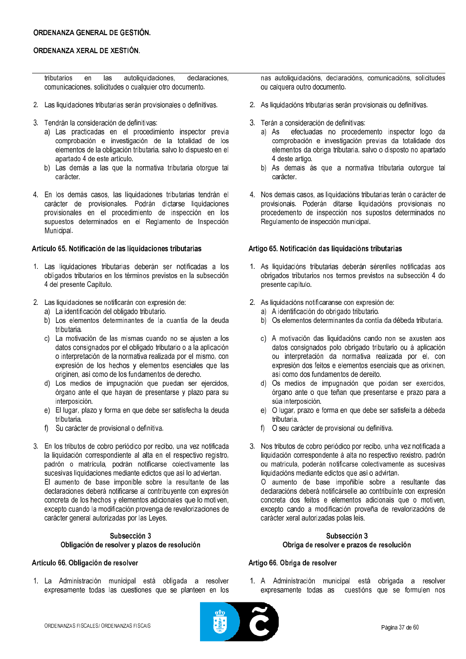### ORDENANZA GENERAL DE GESTIÓN.

## ORDENANZA XERAL DE XESTIÓN.

| tributarios en las                                      |  |  | autoliquidaciones, | declaraciones, |
|---------------------------------------------------------|--|--|--------------------|----------------|
| comunicaciones, solicitudes o cualquier otro documento. |  |  |                    |                |

- 2. Las liquidaciones tributarias serán provisionales o definitivas.
- 3. Tendrán la consideración de definitivas:
	- a) Las practicadas en el procedimiento inspector previa comprobación e investigación de la totalidad de los elementos de la obligación tributaria, salvo lo dispuesto en el apartado 4 de este artículo.
	- b) Las demás a las que la normativa tributaria otorque tal carácter.
- 4. En los demás casos, las liquidaciones tributarias tendrán el carácter de provisionales. Podrán dictarse liquidaciones provisionales en el procedimiento de inspección en los supuestos determinados en el Reglamento de Inspección Municipal.

#### Artículo 65. Notificación de las liquidaciones tributarias

- 1. Las liquidaciones tributarias deberán ser notificadas a los obligados tributarios en los términos previstos en la subsección 4 del presente Capítulo.
- 2. Las liquidaciones se notificarán con expresión de:
	- a) La identificación del obligado tributario.
	- b) Los elementos determinantes de la cuantía de la deuda tributaria.
	- c) La motivación de las mismas cuando no se ajusten a los datos consignados por el obligado tributario o a la aplicación o interpretación de la normativa realizada por el mismo, con expresión de los hechos y elementos esenciales que las originen, así como de los fundamentos de derecho.
	- d) Los medios de impugnación que puedan ser ejercidos, órgano ante el que hayan de presentarse y plazo para su interposición.
	- e) El lugar, plazo y forma en que debe ser satisfecha la deuda tributaria.
	- f) Su carácter de provisional o definitiva.
- 3. En los tributos de cobro periódico por recibo, una vez notificada la liquidación correspondiente al alta en el respectivo registro, padrón o matrícula, podrán notificarse colectivamente las sucesivas liquidaciones mediante edictos que así lo adviertan. El aumento de base imponible sobre la resultante de las declaraciones deberá notificarse al contribuyente con expresión concreta de los hechos y elementos adicionales que lo motiven, excepto cuando la modificación provenga de revalorizaciones de carácter general autorizadas por las Leyes.

### Subsección 3 Obligación de resolver y plazos de resolución

## Artículo 66. Obligación de resolver

1. La Administración municipal está obligada a resolver expresamente todas las cuestiones que se planteen en los nas autoliquidacións, declaracións, comunicacións, solicitudes ou calquera outro documento.

- 2. As liquidacións tributarias serán provisionais ou definitivas.
- 3. Terán a consideración de definitivas:
	- a) As efectuadas no procedemento inspector logo da comprobación e investigación previas da totalidade dos elementos da obriga tributaria, salvo o disposto no apartado 4 deste artigo.
	- b) As demais ás que a normativa tributaria outorque tal carácter.
- 4. Nos demais casos, as liquidacións tributarias terán o carácter de provisionais. Poderán ditarse liquidacións provisionais no procedemento de inspección nos supostos determinados no Regulamento de inspección municipal.

## Artigo 65. Notificación das liquidacións tributarias

- 1. As liquidacións tributarias deberán sérenlles notificadas aos obrigados tributarios nos termos previstos na subsección 4 do presente capítulo.
- 2. As liquidacións notificaranse con expresión de:
	- a) A identificación do obrigado tributario.
	- b) Os elementos determinantes da contía da débeda tributaria.
	- c) A motivación das liquidacións cando non se axusten aos datos consignados polo obrigado tributario ou á aplicación ou interpretación da normativa realizada por el, con expresión dos feitos e elementos esenciais que as orixinen, así como dos fundamentos de dereito.
	- d) Os medios de impugnación que poidan ser exercidos, órgano ante o que teñan que presentarse e prazo para a súa interposición.
	- e) O lugar, prazo e forma en que debe ser satisfeita a débeda tributaria.
	- $f$ O seu carácter de provisional ou definitiva.
- 3. Nos tributos de cobro periódico por recibo, unha vez notificada a liquidación correspondente á alta no respectivo rexistro, padrón ou matrícula, poderán notificarse colectivamente as sucesivas liquidacións mediante edictos que así o advirtan.

O aumento de base impoñible sobre a resultante das declaracións deberá notificárselle ao contribuínte con expresión concreta dos feitos e elementos adicionais que o motiven, excepto cando a modificación proveña de revalorizacións de carácter xeral autorizadas polas leis.

### Subsección 3 Obriga de resolver e prazos de resolución

## Artigo 66. Obriga de resolver

1. A Administración municipal está obrigada a resolver expresamente todas as cuestións que se formulen nos

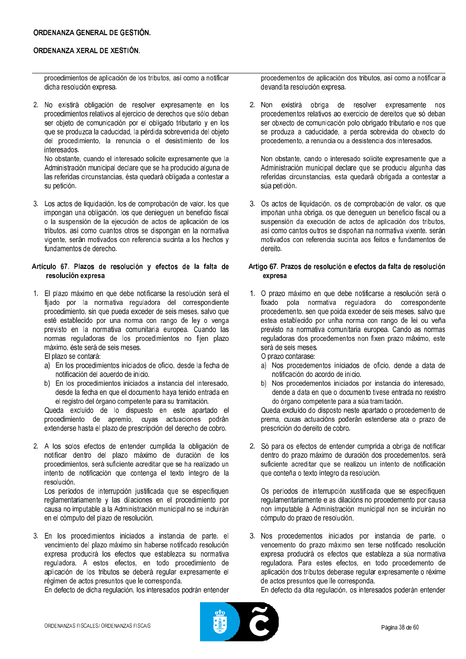## ORDENANZA GENERAL DE GESTIÓN.

## ORDENANZA XERAL DE XESTIÓN.

procedimientos de aplicación de los tributos, así como a notificar dicha resolución expresa.

2. No existirá obligación de resolver expresamente en los procedimientos relativos al ejercicio de derechos que sólo deban ser objeto de comunicación por el obligado tributario y en los que se produzca la caducidad, la pérdida sobrevenida del objeto del procedimiento, la renuncia o el desistimiento de los interesados.

No obstante, cuando el interesado solicite expresamente que la Administración municipal declare que se ha producido alguna de las referidas circunstancias, ésta quedará obligada a contestar a su petición.

3. Los actos de liquidación, los de comprobación de valor, los que impongan una obligación, los que denieguen un beneficio fiscal o la suspensión de la ejecución de actos de aplicación de los tributos, así como cuantos otros se dispongan en la normativa vigente, serán motivados con referencia sucinta a los hechos y fundamentos de derecho.

## Artículo 67. Plazos de resolución y efectos de la falta de resolución expresa

1. El plazo máximo en que debe notificarse la resolución será el fijado por la normativa reguladora del correspondiente procedimiento, sin que pueda exceder de seis meses, salvo que esté establecido por una norma con rango de ley o venga previsto en la normativa comunitaria europea. Cuando las normas reguladoras de los procedimientos no fijen plazo máximo, éste será de seis meses.

El plazo se contará:

- a) En los procedimientos iniciados de oficio, desde la fecha de notificación del acuerdo de inicio.
- b) En los procedimientos iniciados a instancia del interesado, desde la fecha en que el documento haya tenido entrada en el registro del órgano competente para su tramitación.

Queda excluido de lo dispuesto en este apartado el procedimiento de apremio, cuyas actuaciones podrán extenderse hasta el plazo de prescripción del derecho de cobro.

2. A los solos efectos de entender cumplida la obligación de notificar dentro del plazo máximo de duración de los procedimientos, será suficiente acreditar que se ha realizado un intento de notificación que contenga el texto íntegro de la resolución.

Los períodos de interrupción justificada que se especifiquen reglamentariamente y las dilaciones en el procedimiento por causa no imputable a la Administración municipal no se incluirán en el cómputo del plazo de resolución.

3. En los procedimientos iniciados a instancia de parte, el vencimiento del plazo máximo sin haberse notificado resolución expresa producirá los efectos que establezca su normativa reguladora. A estos efectos, en todo procedimiento de aplicación de los tributos se deberá regular expresamente el régimen de actos presuntos que le corresponda.

En defecto de dicha regulación, los interesados podrán entender

procedementos de aplicación dos tributos, así como a notificar a devandita resolución expresa.

2. Non existirá obriga de resolver expresamente nos procedementos relativos ao exercicio de dereitos que só deban ser obxecto de comunicación polo obrigado tributario e nos que se produza a caducidade, a perda sobrevida do obxecto do procedemento, a renuncia ou a desistencia dos interesados.

Non obstante, cando o interesado solicite expresamente que a Administración municipal declare que se produciu algunha das referidas circunstancias, esta quedará obrigada a contestar a súa petición.

3. Os actos de liquidación, os de comprobación de valor, os que impoñan unha obriga, os que denequen un beneficio fiscal ou a suspensión da execución de actos de aplicación dos tributos. así como cantos outros se dispoñan na normativa vixente, serán motivados con referencia sucinta aos feitos e fundamentos de dereito

## Artigo 67. Prazos de resolución e efectos da falta de resolución expresa

1. O prazo máximo en que debe notificarse a resolución será o fixado pola normativa reguladora do correspondente procedemento, sen que poida exceder de seis meses, salvo que estea establecido por unha norma con rango de lei ou veña previsto na normativa comunitaria europea. Cando as normas reguladoras dos procedementos non fixen prazo máximo, este será de seis meses.

O prazo contarase:

- a) Nos procedementos iniciados de oficio, dende a data de notificación do acordo de inicio.
- b) Nos procedementos iniciados por instancia do interesado, dende a data en que o documento tivese entrada no rexistro do órgano competente para a súa tramitación.

Queda excluído do disposto neste apartado o procedemento de prema, cuxas actuacións poderán estenderse ata o prazo de prescrición do dereito de cobro.

2. Só para os efectos de entender cumprida a obriga de notificar dentro do prazo máximo de duración dos procedementos, será suficiente acreditar que se realizou un intento de notificación que conteña o texto íntegro da resolución.

Os períodos de interrupción xustificada que se especifiquen regulamentariamente e as dilacións no procedemento por causa non imputable á Administración municipal non se incluirán no cómputo do prazo de resolución.

3. Nos procedementos iniciados por instancia de parte, o vencemento do prazo máximo sen terse notificado resolución expresa producirá os efectos que estableza a súa normativa reguladora. Para estes efectos, en todo procedemento de aplicación dos tributos deberase regular expresamente o réxime de actos presuntos que lle corresponda.

En defecto da dita regulación, os interesados poderán entender

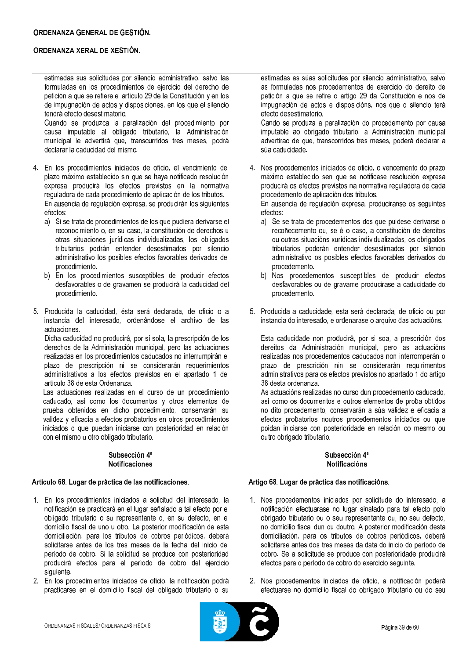estimadas sus solicitudes por silencio administrativo, salvo las formuladas en los procedimientos de ejercicio del derecho de petición a que se refiere el artículo 29 de la Constitución y en los de impugnación de actos y disposiciones, en los que el silencio tendrá efecto desestimatorio.

Cuando se produzca la paralización del procedimiento por causa imputable al obligado tributario, la Administración municipal le advertirá que, transcurridos tres meses, podrá declarar la caducidad del mismo.

4. En los procedimientos iniciados de oficio, el vencimiento del plazo máximo establecido sin que se haya notificado resolución expresa producirá los efectos previstos en la normativa reguladora de cada procedimiento de aplicación de los tributos. En ausencia de regulación expresa, se producirán los siguientes efectos:

- a) Si se trata de procedimientos de los que pudiera derivarse el reconocimiento o, en su caso, la constitución de derechos u otras situaciones jurídicas individualizadas, los obligados tributarios podrán entender desestimados por silencio administrativo los posibles efectos favorables derivados del procedimiento.
- b) En los procedimientos susceptibles de producir efectos desfavorables o de gravamen se producirá la caducidad del procedimiento.
- 5. Producida la caducidad, ésta será declarada, de oficio o a instancia del interesado, ordenándose el archivo de las actuaciones.

Dicha caducidad no producirá, por sí sola, la prescripción de los derechos de la Administración municipal, pero las actuaciones realizadas en los procedimientos caducados no interrumpirán el plazo de prescripción ni se considerarán requerimientos administrativos a los efectos previstos en el apartado 1 del artículo 38 de esta Ordenanza.

Las actuaciones realizadas en el curso de un procedimiento caducado, así como los documentos y otros elementos de prueba obtenidos en dicho procedimiento, conservarán su validez y eficacia a efectos probatorios en otros procedimientos iniciados o que puedan iniciarse con posterioridad en relación con el mismo u otro obligado tributario.

#### Subsección 4ª **Notificaciones**

### Artículo 68. Lugar de práctica de las notificaciones.

- 1. En los procedimientos iniciados a solicitud del interesado, la notificación se practicará en el lugar señalado a tal efecto por el obligado tributario o su representante o, en su defecto, en el domicilio fiscal de uno u otro. La posterior modificación de esta domiciliación, para los tributos de cobros periódicos, deberá solicitarse antes de los tres meses de la fecha del inicio del período de cobro. Si la solicitud se produce con posterioridad producirá efectos para el período de cobro del ejercicio siquiente.
- 2. En los procedimientos iniciados de oficio, la notificación podrá practicarse en el domicilio fiscal del obligado tributario o su

estimadas as súas solicitudes por silencio administrativo, salvo as formuladas nos procedementos de exercicio do dereito de petición a que se refire o artigo 29 da Constitución e nos de impugnación de actos e disposicións, nos que o silencio terá efecto desestimatorio.

Cando se produza a paralización do procedemento por causa imputable ao obrigado tributario, a Administración municipal advertirao de que, transcorridos tres meses, poderá declarar a súa caducidade.

4. Nos procedementos iniciados de oficio, o vencemento do prazo máximo establecido sen que se notificase resolución expresa producirá os efectos previstos na normativa reguladora de cada procedemento de aplicación dos tributos.

En ausencia de regulación expresa, produciranse os seguintes efectos:

- a) Se se trata de procedementos dos que puidese derivarse o recoñecemento ou, se é o caso, a constitución de dereitos ou outras situacións xurídicas individualizadas, os obrigados tributarios poderán entender desestimados por silencio administrativo os posibles efectos favorables derivados do procedemento.
- b) Nos procedementos susceptibles de producir efectos desfavorables ou de gravame producirase a caducidade do procedemento.
- 5. Producida a caducidade, esta será declarada, de oficio ou por instancia do interesado, e ordenarase o arquivo das actuacións.

Esta caducidade non producirá, por si soa, a prescrición dos dereitos da Administración municipal, pero as actuacións realizadas nos procedementos caducados non interromperán o prazo de prescrición nin se considerarán requirimentos administrativos para os efectos previstos no apartado 1 do artigo 38 desta ordenanza.

As actuacións realizadas no curso dun procedemento caducado, así como os documentos e outros elementos de proba obtidos no dito procedemento, conservarán a súa validez e eficacia a efectos probatorios noutros procedementos iniciados ou que poidan iniciarse con posterioridade en relación co mesmo ou outro obrigado tributario.

#### Subsección 4ª **Notificacións**

### Artigo 68. Lugar de práctica das notificacións.

- 1. Nos procedementos iniciados por solicitude do interesado, a notificación efectuarase no lugar sinalado para tal efecto polo obrigado tributario ou o seu representante ou, no seu defecto, no domicilio fiscal dun ou doutro. A posterior modificación desta domiciliación, para os tributos de cobros periódicos, deberá solicitarse antes dos tres meses da data do inicio do período de cobro. Se a solicitude se produce con posterioridade producirá efectos para o período de cobro do exercicio sequinte.
- 2. Nos procedementos iniciados de oficio, a notificación poderá efectuarse no domicilio fiscal do obrigado tributario ou do seu

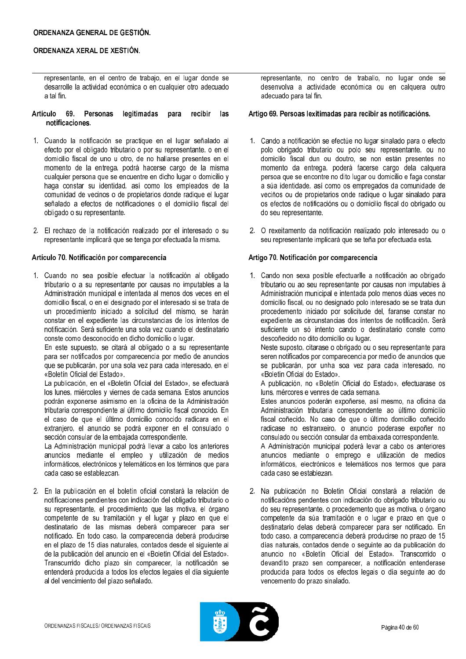representante, en el centro de trabajo, en el lugar donde se desarrolle la actividad económica o en cualquier otro adecuado a tal fin.

- Artículo 69. Personas legitimadas para recibir las notificaciones.
- 1. Cuando la notificación se practique en el lugar señalado al efecto por el obligado tributario o por su representante, o en el domicilio fiscal de uno u otro, de no hallarse presentes en el momento de la entrega, podrá hacerse cargo de la misma cualquier persona que se encuentre en dicho lugar o domicilio y haga constar su identidad, así como los empleados de la comunidad de vecinos o de propietarios donde radique el lugar señalado a efectos de notificaciones o el domicilio fiscal del obligado o su representante.
- 2. El rechazo de la notificación realizado por el interesado o su representante implicará que se tenga por efectuada la misma.

### Artículo 70. Notificación por comparecencia

1. Cuando no sea posible efectuar la notificación al obligado tributario o a su representante por causas no imputables a la Administración municipal e intentada al menos dos veces en el domicilio fiscal, o en el designado por el interesado si se trata de un procedimiento iniciado a solicitud del mismo, se harán constar en el expediente las circunstancias de los intentos de notificación. Será suficiente una sola vez cuando el destinatario conste como desconocido en dicho domicilio o lugar.

En este supuesto, se citará al obligado o a su representante para ser notificados por comparecencia por medio de anuncios que se publicarán, por una sola vez para cada interesado, en el «Boletín Oficial del Estado»

La publicación, en el «Boletín Oficial del Estado», se efectuará los lunes, miércoles y viernes de cada semana. Estos anuncios podrán exponerse asimismo en la oficina de la Administración tributaria correspondiente al último domicilio fiscal conocido. En el caso de que el último domicilio conocido radicara en el extranjero, el anuncio se podrá exponer en el consulado o sección consular de la embajada correspondiente.

La Administración municipal podrá llevar a cabo los anteriores anuncios mediante el empleo y utilización de medios informáticos, electrónicos y telemáticos en los términos que para cada caso se establezcan.

2. En la publicación en el boletín oficial constará la relación de notificaciones pendientes con indicación del obligado tributario o su representante, el procedimiento que las motiva, el órgano competente de su tramitación y el lugar y plazo en que el destinatario de las mismas deberá comparecer para ser notificado. En todo caso, la comparecencia deberá producirse en el plazo de 15 días naturales, contados desde el siguiente al de la publicación del anuncio en el «Boletín Oficial del Estado». Transcurrido dicho plazo sin comparecer. la notificación se entenderá producida a todos los efectos legales el día siguiente al del vencimiento del plazo señalado.

representante, no centro de traballo, no lugar onde se desenvolva a actividade económica ou en calquera outro adecuado para tal fin.

#### Artigo 69. Persoas lexitimadas para recibir as notificacións.

- 1. Cando a notificación se efectúe no lugar sinalado para o efecto polo obrigado tributario ou polo seu representante, ou no domicilio fiscal dun ou doutro, se non están presentes no momento da entrega, poderá facerse cargo dela calquera persoa que se encontre no dito lugar ou domicilio e faga constar a súa identidade, así como os empregados da comunidade de veciños ou de propietarios onde radique o lugar sinalado para os efectos de notificacións ou o domicilio fiscal do obrigado ou do seu representante.
- 2. O rexeitamento da notificación realizado polo interesado ou o seu representante implicará que se teña por efectuada esta.

### Artigo 70. Notificación por comparecencia

1. Cando non sexa posible efectuarlle a notificación ao obrigado tributario ou ao seu representante por causas non imputables á Administración municipal e intentada polo menos dúas veces no domicilio fiscal, ou no designado polo interesado se se trata dun procedemento iniciado por solicitude del, faranse constar no expediente as circunstancias dos intentos de notificación. Será suficiente un só intento cando o destinatario conste como descoñecido no dito domicilio ou lugar.

Neste suposto, citarase o obrigado ou o seu representante para seren notificados por comparecencia por medio de anuncios que se publicarán, por unha soa vez para cada interesado, no «Boletín Oficial do Estado».

A publicación, no «Boletín Oficial do Estado», efectuarase os luns, mércores e venres de cada semana.

Estes anuncios poderán expoñerse, así mesmo, na oficina da Administración tributaria correspondente ao último domicilio fiscal coñecido. No caso de que o último domicilio coñecido radicase no estranxeiro, o anuncio poderase expoñer no consulado ou sección consular da embaixada correspondente.

A Administración municipal poderá levar a cabo os anteriores anuncios mediante o emprego e utilización de medios informáticos, electrónicos e telemáticos nos termos que para cada caso se establezan.

2. Na publicación no Boletín Oficial constará a relación de notificacións pendentes con indicación do obrigado tributario ou do seu representante, o procedemento que as motiva, o órgano competente da súa tramitación e o lugar e prazo en que o destinatario delas deberá comparecer para ser notificado. En todo caso, a comparecencia deberá producirse no prazo de 15 días naturais, contados dende o seguinte ao da publicación do anuncio no «Boletín Oficial del Estado». Transcorrido o devandito prazo sen comparecer, a notificación entenderase producida para todos os efectos legais o día seguinte ao do vencemento do prazo sinalado.

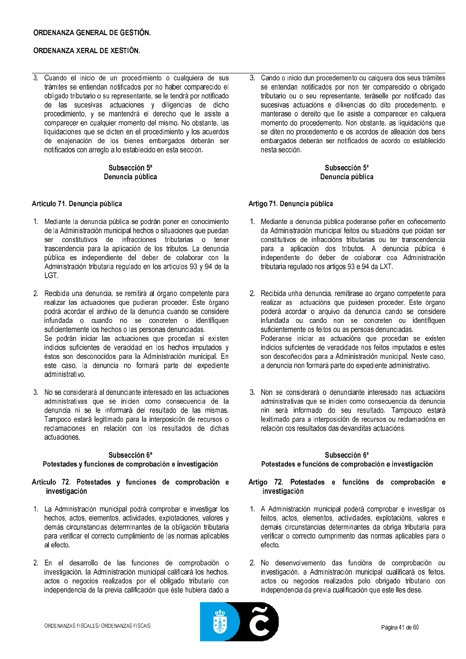3. Cuando el inicio de un procedimiento o cualquiera de sus trámites se entiendan notificados por no haber comparecido el obligado tributario o su representante, se le tendrá por notificado de las sucesivas actuaciones y diligencias de dicho<br>procedimiento, y se mantendrá el derecho que le asiste a comparecer en cualquier momento del mismo. No obstante, las liquidaciones que se dicten en el procedimiento y los acuerdos de enajenación de los bienes embargados deberán ser notificados con arreglo a lo establecido en esta sección.

## Subsección 5<sup>ª</sup> Denuncia pública

## Artículo 71. Denuncia pública

- 1. Mediante la denuncia pública se podrán poner en conocimiento de la Administración municipal hechos o situaciones que puedan ser constitutivos de infracciones tributarias o tener trascendencia para la aplicación de los tributos. La denuncia pública es independiente del deber de colaborar con la Administración tributaria regulado en los artículos 93 y 94 de la  $|GT|$
- 2. Recibida una denuncia, se remitirá al órgano competente para realizar las actuaciones que pudieran proceder. Este órgano podrá acordar el archivo de la denuncia cuando se considere infundada o cuando no se concreten o identifiquen suficientemente los hechos o las personas denunciadas. Se podrán iniciar las actuaciones que procedan si existen indicios suficientes de veracidad en los hechos imputados y éstos son desconocidos para la Administración municipal. En este caso, la denuncia no formará parte del expediente administrativo
- 3. No se considerará al denunciante interesado en las actuaciones administrativas que se inicien como consecuencia de la denuncia ni se le informará del resultado de las mismas. Tampoco estará legitimado para la interposición de recursos o reclamaciones en relación con los resultados de dichas actuaciones.

# Subsección 6ª

## Potestades y funciones de comprobación e investigación

### Artículo 72. Potestades y funciones de comprobación e investigación

- 1. La Administración municipal podrá comprobar e investigar los hechos, actos, elementos, actividades, explotaciones, valores y demás circunstancias determinantes de la obligación tributaria para verificar el correcto cumplimiento de las normas aplicables al efecto.
- 2. En el desarrollo de las funciones de comprobación o investigación, la Administración municipal calificará los hechos, actos o negocios realizados por el obligado tributario con independencia de la previa calificación que éste hubiera dado a

3. Cando o inicio dun procedemento ou calquera dos seus trámites se entendan notificados por non ter comparecido o obrigado tributario ou o seu representante, teráselle por notificado das sucesivas actuacións e dilixencias do dito procedemento, e manterase o dereito que lle asiste a comparecer en calquera momento do procedemento. Non obstante, as liquidacións que se diten no procedemento e os acordos de alleación dos bens embargados deberán ser notificados de acordo co establecido nesta sección.

## Subsección 5<sup>ª</sup> Denuncia pública

## Artigo 71. Denuncia pública

- 1. Mediante a denuncia pública poderanse poñer en coñecemento da Administración municipal feitos ou situacións que poidan ser constitutivos de infraccións tributarias ou ter transcendencia para a aplicación dos tributos. A denuncia pública é independente do deber de colaborar coa Administración tributaria regulado nos artigos 93 e 94 da LXT.
- 2. Recibida unha denuncia, remitirase ao órgano competente para realizar as actuacións que puidesen proceder. Este órgano poderá acordar o arquivo da denuncia cando se considere infundada ou cando non se concreten ou identifiquen suficientemente os feitos ou as persoas denunciadas. Poderanse iniciar as actuacións que procedan se existen indicios suficientes de veracidade nos feitos imputados e estes son descoñecidos para a Administración municipal. Neste caso. a denuncia non formará parte do expediente administrativo.
- 3. Non se considerará o denunciante interesado nas actuacións administrativas que se inicien como consecuencia da denuncia nin será informado do seu resultado. Tampouco estará lexitimado para a interposición de recursos ou reclamacións en relación cos resultados das devanditas actuacións.

## Subsección 6ª Potestades e funcións de comprobación e investigación

## Artigo 72. Potestades e funcións de comprobación e investigación

- 1. A Administración municipal poderá comprobar e investigar os feitos, actos, elementos, actividades, explotacións, valores e demais circunstancias determinantes da obriga tributaria para verificar o correcto cumprimento das normas aplicables para o efecto.
- 2. No desenvolvemento das funcións de comprobación ou investigación, a Administración municipal cualificará os feitos, actos ou negocios realizados polo obrigado tributario con independencia da previa cualificación que este lles dese.

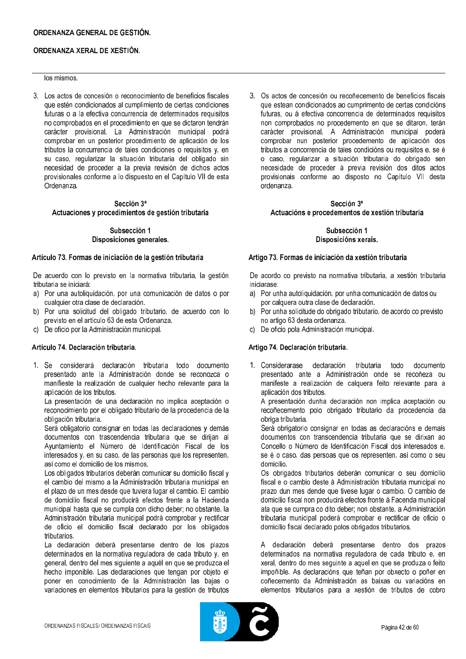## ORDENANZA GENERAL DE GESTIÓN.

## ORDENANZA XERAL DE XESTIÓN.

#### los mismos.

3. Los actos de concesión o reconocimiento de beneficios fiscales que estén condicionados al cumplimiento de ciertas condiciones futuras o a la efectiva concurrencia de determinados requisitos no comprobados en el procedimiento en que se dictaron tendrán carácter provisional. La Administración municipal podrá comprobar en un posterior procedimiento de aplicación de los tributos la concurrencia de tales condiciones o requisitos y, en su caso, regularizar la situación tributaria del obligado sin necesidad de proceder a la previa revisión de dichos actos provisionales conforme a lo dispuesto en el Capítulo VII de esta Ordenanza

## Sección 3ª Actuaciones y procedimientos de gestión tributaria

## Subsección 1 Disposiciones generales.

### Artículo 73. Formas de iniciación de la gestión tributaria

De acuerdo con lo previsto en la normativa tributaria, la gestión tributaria se iniciará:

- a) Por una autoliquidación, por una comunicación de datos o por cualquier otra clase de declaración.
- b) Por una solicitud del obligado tributario, de acuerdo con lo previsto en el artículo 63 de esta Ordenanza.
- c) De oficio por la Administración municipal.

## Artículo 74. Declaración tributaria.

1. Se considerará declaración tributaria todo documento presentado ante la Administración donde se reconozca o manifieste la realización de cualquier hecho relevante para la aplicación de los tributos.

La presentación de una declaración no implica aceptación o reconocimiento por el obligado tributario de la procedencia de la obligación tributaria.

Será obligatorio consignar en todas las declaraciones y demás documentos con trascendencia tributaria que se dirijan al Avuntamiento el Número de Identificación Fiscal de los interesados y, en su caso, de las personas que los representen, así como el domicilio de los mismos.

Los obligados tributarios deberán comunicar su domicilio fiscal y el cambio del mismo a la Administración tributaria municipal en el plazo de un mes desde que tuviera lugar el cambio. El cambio de domicilio fiscal no producirá efectos frente a la Hacienda municipal hasta que se cumpla con dicho deber; no obstante, la Administración tributaria municipal podrá comprobar y rectificar de oficio el domicilio fiscal declarado por los obligados tributarios.

La declaración deberá presentarse dentro de los plazos determinados en la normativa reguladora de cada tributo y, en general, dentro del mes siguiente a aquél en que se produzca el hecho imponible. Las declaraciones que tengan por objeto el poner en conocimiento de la Administración las bajas o variaciones en elementos tributarios para la gestión de tributos

3. Os actos de concesión ou recoñecemento de beneficios fiscais que estean condicionados ao cumprimento de certas condicións futuras, ou á efectiva concorrencia de determinados requisitos non comprobados no procedemento en que se ditaron, terán carácter provisional. A Administración municipal poderá comprobar nun posterior procedemento de aplicación dos tributos a concorrencia de tales condicións ou requisitos e, se é o caso, regularizar a situación tributaria do obrigado sen necesidade de proceder á previa revisión dos ditos actos provisionais conforme ao disposto no Capítulo VII desta ordenanza

## Sección 3ª Actuacións e procedementos de xestión tributaria

Subsección 1 Disposicións xerais.

### Artigo 73. Formas de iniciación da xestión tributaria

De acordo co previsto na normativa tributaria, a xestión tributaria iniciarase:

- a) Por unha autoliquidación, por unha comunicación de datos ou por calquera outra clase de declaración.
- b) Por unha solicitude do obrigado tributario, de acordo co previsto no artigo 63 desta ordenanza.
- c) De oficio pola Administración municipal.

## Artigo 74. Declaración tributaria.

1. Considerarase declaración tributaria todo documento presentado ante a Administración onde se recoñeza ou manifeste a realización de calquera feito relevante para a aplicación dos tributos.

A presentación dunha declaración non implica aceptación ou recoñecemento polo obrigado tributario da procedencia da obriga tributaria.

Será obrigatorio consignar en todas as declaracións e demais documentos con transcendencia tributaria que se dirixan ao Concello o Número de Identificación Fiscal dos interesados e se é o caso, das persoas que os representen, así como o seu domicilio.

Os obrigados tributarios deberán comunicar o seu domicilio fiscal e o cambio deste á Administración tributaria municipal no prazo dun mes dende que tivese lugar o cambio. O cambio de domicilio fiscal non producirá efectos fronte á Facenda municipal ata que se cumpra co dito deber; non obstante, a Administración tributaria municipal poderá comprobar e rectificar de oficio o domicilio fiscal declarado polos obrigados tributarios.

A declaración deberá presentarse dentro dos prazos determinados na normativa reguladora de cada tributo e, en xeral, dentro do mes seguinte a aquel en que se produza o feito impoñible. As declaracións que teñan por obxecto o poñer en coñecemento da Administración as baixas ou variacións en elementos tributarios para a xestión de tributos de cobro

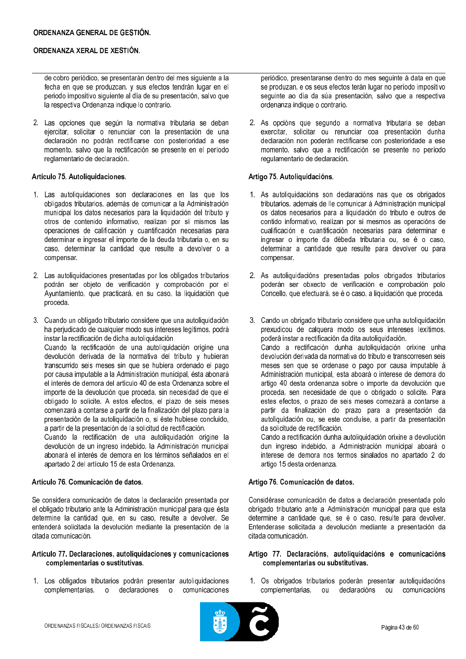de cobro periódico, se presentarán dentro del mes siguiente a la fecha en que se produzcan, y sus efectos tendrán lugar en el periodo impositivo siguiente al día de su presentación, salvo que la respectiva Ordenanza indique lo contrario.

2. Las opciones que según la normativa tributaria se deban ejercitar, solicitar o renunciar con la presentación de una declaración no podrán rectificarse con posterioridad a ese momento, salvo que la rectificación se presente en el período reglamentario de declaración.

## Artículo 75. Autoliquidaciones.

- 1. Las autoliquidaciones son declaraciones en las que los obligados tributarios, además de comunicar a la Administración municipal los datos necesarios para la liquidación del tributo y otros de contenido informativo, realizan por sí mismos las operaciones de calificación y cuantificación necesarias para determinar e ingresar el importe de la deuda tributaria o, en su caso, determinar la cantidad que resulte a devolver o a compensar.
- 2. Las autoliquidaciones presentadas por los obligados tributarios podrán ser objeto de verificación y comprobación por el Ayuntamiento, que practicará, en su caso, la liquidación que proceda.
- 3. Cuando un obligado tributario considere que una autoliquidación ha perjudicado de cualquier modo sus intereses legítimos, podrá instar la rectificación de dicha autoliquidación Cuando la rectificación de una autoliquidación origine una devolución derivada de la normativa del tributo y hubieran transcurrido seis meses sin que se hubiera ordenado el pago por causa imputable a la Administración municipal, ésta abonará el interés de demora del artículo 40 de esta Ordenanza sobre el importe de la devolución que proceda, sin necesidad de que el obligado lo solicite. A estos efectos, el plazo de seis meses comenzará a contarse a partir de la finalización del plazo para la presentación de la autoliquidación o, si éste hubiese concluido, a partir de la presentación de la solicitud de rectificación.
	- Cuando la rectificación de una autoliguidación origine la devolución de un ingreso indebido. la Administración municipal abonará el interés de demora en los términos señalados en el apartado 2 del artículo 15 de esta Ordenanza.

## Artículo 76, Comunicación de datos.

Se considera comunicación de datos la declaración presentada por el obligado tributario ante la Administración municipal para que ésta determine la cantidad que, en su caso, resulte a devolver. Se entenderá solicitada la devolución mediante la presentación de la citada comunicación.

### Artículo 77. Declaraciones, autoliquidaciones y comunicaciones complementarias o sustitutivas.

1. Los obligados tributarios podrán presentar autoliquidaciones complementarias, o declaraciones o comunicaciones

periódico, presentaranse dentro do mes seguinte á data en que se produzan, e os seus efectos terán lugar no período impositivo sequinte ao día da súa presentación, salvo que a respectiva ordenanza indique o contrario.

2. As opcións que segundo a normativa tributaria se deban exercitar, solicitar ou renunciar coa presentación dunha declaración non poderán rectificarse con posterioridade a ese momento, salvo que a rectificación se presente no período regulamentario de declaración.

## Artigo 75. Autoliquidacións.

- 1. As autoliquidacións son declaracións nas que os obrigados tributarios, ademais de lle comunicar á Administración municipal os datos necesarios para a liguidación do tributo e outros de contido informativo, realizan por si mesmos as operacións de cualificación e cuantificación necesarias para determinar e ingresar o importe da débeda tributaria ou, se é o caso, determinar a cantidade que resulte para devolver ou para compensar.
- 2. As autoliquidacións presentadas polos obrigados tributarios poderán ser obxecto de verificación e comprobación polo Concello, que efectuará, se é o caso, a liquidación que proceda.
- 3. Cando un obrigado tributario considere que unha autoliquidación prexudicou de calquera modo os seus intereses lexítimos, poderá instar a rectificación da dita autoliquidación. Cando a rectificación dunha autoliquidación orixine unha devolución derivada da normativa do tributo e transcorresen seis meses sen que se ordenase o pago por causa imputable á Administración municipal, esta aboará o interese de demora do artigo 40 desta ordenanza sobre o importe da devolución que proceda, sen necesidade de que o obrigado o solicite. Para estes efectos, o prazo de seis meses comezará a contarse a partir da finalización do prazo para a presentación da autoliquidación ou, se este concluíse, a partir da presentación da solicitude de rectificación. Cando a rectificación dunha autoliguidación orixine a devolución
	- dun ingreso indebido, a Administración municipal aboará o interese de demora nos termos sinalados no apartado 2 do artigo 15 desta ordenanza.

### Artigo 76. Comunicación de datos.

Considérase comunicación de datos a declaración presentada polo obrigado tributario ante a Administración municipal para que esta determine a cantidade que, se é o caso, resulte para devolver. Entenderase solicitada a devolución mediante a presentación da citada comunicación.

### Artigo 77. Declaracións, autoliquidacións e comunicacións complementarias ou substitutivas.

1. Os obrigados tributarios poderán presentar autoliquidacións complementarias, ou declaracións ou comunicacións

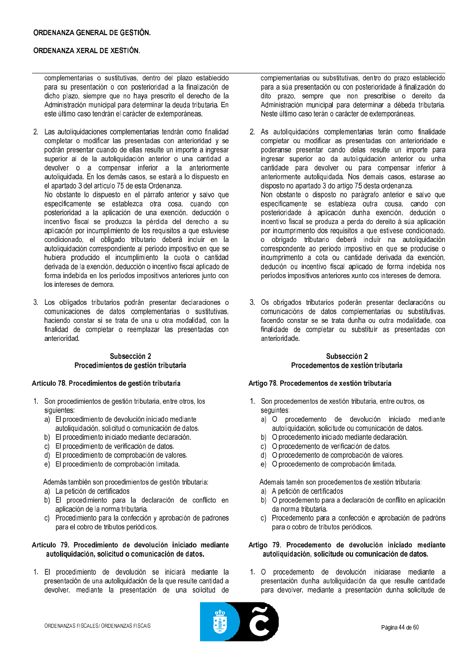complementarias o sustitutivas, dentro del plazo establecido para su presentación o con posterioridad a la finalización de dicho plazo, siempre que no haya prescrito el derecho de la Administración municipal para determinar la deuda tributaria. En este último caso tendrán el carácter de extemporáneas.

2. Las autoliquidaciones complementarias tendrán como finalidad completar o modificar las presentadas con anterioridad y se podrán presentar cuando de ellas resulte un importe a ingresar superior al de la autoliquidación anterior o una cantidad a devolver o a compensar inferior a la anteriormente autoliquidada. En los demás casos, se estará a lo dispuesto en el apartado 3 del artículo 75 de esta Ordenanza.

No obstante lo dispuesto en el párrafo anterior y salvo que específicamente se establezca otra cosa, cuando con posterioridad a la aplicación de una exención, deducción o incentivo fiscal se produzca la pérdida del derecho a su aplicación por incumplimiento de los requisitos a que estuviese condicionado, el obligado tributario deberá incluir en la autoliquidación correspondiente al período impositivo en que se hubiera producido el incumplimiento la cuota o cantidad derivada de la exención, deducción o incentivo fiscal aplicado de forma indebida en los períodos impositivos anteriores junto con los intereses de demora.

3. Los obligados tributarios podrán presentar declaraciones o comunicaciones de datos complementarias o sustitutivas, haciendo constar si se trata de una u otra modalidad, con la finalidad de completar o reemplazar las presentadas con anterioridad.

## Subsección 2 Procedimientos de gestión tributaria

#### Artículo 78. Procedimientos de gestión tributaria

- 1. Son procedimientos de gestión tributaria, entre otros, los siquientes:
	- a) El procedimiento de devolución iniciado mediante autoliquidación, solicitud o comunicación de datos.
	- b) El procedimiento iniciado mediante declaración.
	- c) El procedimiento de verificación de datos.
	- d) El procedimiento de comprobación de valores.
	- e) El procedimiento de comprobación limitada.

Además también son procedimientos de gestión tributaria: a) La petición de certificados

- b) El procedimiento para la declaración de conflicto en aplicación de la norma tributaria.
- c) Procedimiento para la confección y aprobación de padrones para el cobro de tributos periódicos.

### Artículo 79. Procedimiento de devolución iniciado mediante autoliquidación, solicitud o comunicación de datos.

1. El procedimiento de devolución se iniciará mediante la presentación de una autoliquidación de la que resulte cantidad a devolver, mediante la presentación de una solicitud de

complementarias ou substitutivas, dentro do prazo establecido para a súa presentación ou con posterioridade á finalización do dito prazo, sempre que non prescribise o dereito da Administración municipal para determinar a débeda tributaria. Neste último caso terán o carácter de extemporáneas.

- 2. As autoliquidacións complementarias terán como finalidade completar ou modificar as presentadas con anterioridade e poderanse presentar cando delas resulte un importe para ingresar superior ao da autoliquidación anterior ou unha cantidade para devolver ou para compensar inferior á anteriormente autoliquidada. Nos demais casos, estarase ao disposto no apartado 3 do artigo 75 desta ordenanza. Non obstante o disposto no parágrafo anterior e salvo que especificamente se estableza outra cousa, cando con posterioridade á aplicación dunha exención, dedución o incentivo fiscal se produza a perda do dereito á súa aplicación por incumprimento dos requisitos a que estivese condicionado. o obrigado tributario deberá incluír na autoliguidación correspondente ao período impositivo en que se producise o incumprimento a cota ou cantidade derivada da exención. dedución ou incentivo fiscal aplicado de forma indebida nos períodos impositivos anteriores xunto cos intereses de demora.
- 3. Os obrigados tributarios poderán presentar declaracións ou comunicacións de datos complementarias ou substitutivas, facendo constar se se trata dunha ou outra modalidade, coa finalidade de completar ou substituír as presentadas con anterioridade.

## Subsección 2 Procedementos de xestión tributaria

#### Artigo 78. Procedementos de xestión tributaria

- 1. Son procedementos de xestión tributaria, entre outros, os seguintes:
	- a) O procedemento de devolución iniciado mediante autoliquidación, solicitude ou comunicación de datos.
	- b) O procedemento iniciado mediante declaración.
	- c) O procedemento de verificación de datos.
	- d) O procedemento de comprobación de valores.
	- e) O procedemento de comprobación limitada.

Ademais tamén son procedementos de xestión tributaria: a) A petición de certificados

- b) O procedemento para a declaración de conflito en aplicación da norma tributaria.
- c) Procedemento para a confección e aprobación de padróns para o cobro de tributos periódicos.

#### Artigo 79. Procedemento de devolución iniciado mediante autoliquidación, solicitude ou comunicación de datos.

procedemento de devolución iniciarase mediante a  $1 \Omega$ presentación dunha autoliquidación da que resulte cantidade para devolver, mediante a presentación dunha solicitude de

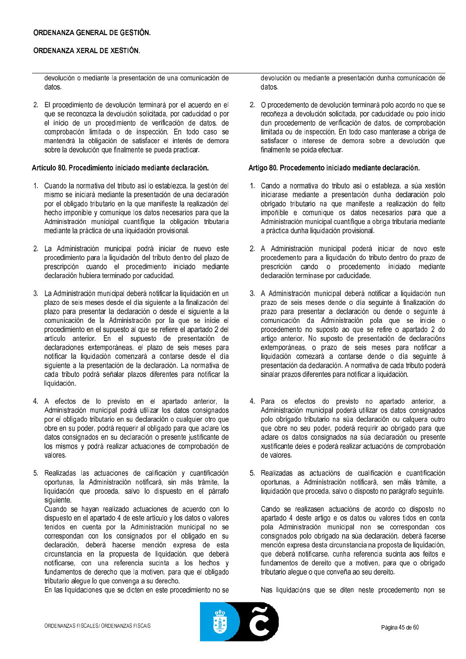devolución o mediante la presentación de una comunicación de datos.

2. El procedimiento de devolución terminará por el acuerdo en el que se reconozca la devolución solicitada, por caducidad o por el inicio de un procedimiento de verificación de datos, de comprobación limitada o de inspección. En todo caso se mantendrá la obligación de satisfacer el interés de demora sobre la devolución que finalmente se pueda practicar.

#### Artículo 80, Procedimiento iniciado mediante declaración.

- 1. Cuando la normativa del tributo así lo establezca, la gestión del mismo se iniciará mediante la presentación de una declaración por el obligado tributario en la que manifieste la realización del hecho imponible y comunique los datos necesarios para que la Administración municipal cuantifique la obligación tributaria mediante la práctica de una liquidación provisional.
- 2. La Administración municipal podrá iniciar de nuevo este procedimiento para la liquidación del tributo dentro del plazo de prescripción cuando el procedimiento iniciado mediante declaración hubiera terminado por caducidad.
- 3. La Administración municipal deberá notificar la liquidación en un plazo de seis meses desde el día siguiente a la finalización del plazo para presentar la declaración o desde el siguiente a la comunicación de la Administración por la que se inicie el procedimiento en el supuesto al que se refiere el apartado 2 del artículo anterior. En el supuesto de presentación de declaraciones extemporáneas, el plazo de seis meses para notificar la liquidación comenzará a contarse desde el día siquiente a la presentación de la declaración. La normativa de cada tributo podrá señalar plazos diferentes para notificar la liquidación.
- 4. A efectos de lo previsto en el apartado anterior, la Administración municipal podrá utilizar los datos consignados por el obligado tributario en su declaración o cualquier otro que obre en su poder, podrá requerir al obligado para que aclare los datos consignados en su declaración o presente iustificante de los mismos y podrá realizar actuaciones de comprobación de valores.
- 5. Realizadas las actuaciones de calificación y cuantificación oportunas, la Administración notificará, sin más trámite, la liquidación que proceda, salvo lo dispuesto en el párrafo siguiente

Cuando se hayan realizado actuaciones de acuerdo con lo dispuesto en el apartado 4 de este artículo y los datos o valores tenidos en cuenta por la Administración municipal no se correspondan con los consignados por el obligado en su declaración, deberá hacerse mención expresa de esta circunstancia en la propuesta de liquidación, que deberá notificarse, con una referencia sucinta a los hechos y fundamentos de derecho que la motiven, para que el obligado tributario alegue lo que convenga a su derecho.

En las liquidaciones que se dicten en este procedimiento no se

devolución ou mediante a presentación dunha comunicación de datos.

2. O procedemento de devolución terminará polo acordo no que se recoñeza a devolución solicitada, por caducidade ou polo inicio dun procedemento de verificación de datos, de comprobación limitada ou de inspección. En todo caso manterase a obriga de satisfacer o interese de demora sobre a devolución que finalmente se poida efectuar.

### Artigo 80, Procedemento iniciado mediante declaración.

- 1. Cando a normativa do tributo así o estableza, a súa xestión iniciarase mediante a presentación dunha declaración polo obrigado tributario na que manifeste a realización do feito impoñible e comunique os datos necesarios para que a Administración municipal cuantifique a obriga tributaria mediante a práctica dunha liquidación provisional.
- 2. A Administración municipal poderá iniciar de novo este procedemento para a liquidación do tributo dentro do prazo de prescrición cando o procedemento iniciado mediante declaración terminase por caducidade.
- 3. A Administración municipal deberá notificar a liquidación nun prazo de seis meses dende o día seguinte á finalización do prazo para presentar a declaración ou dende o seguinte á comunicación da Administración pola que se inicie o procedemento no suposto ao que se refire o apartado 2 do artigo anterior. No suposto de presentación de declaracións extemporáneas, o prazo de seis meses para notificar a liquidación comezará a contarse dende o día sequinte á presentación da declaración. A normativa de cada tributo poderá sinalar prazos diferentes para notificar a liquidación.
- 4. Para os efectos do previsto no apartado anterior, a Administración municipal poderá utilizar os datos consignados polo obrigado tributario na súa declaración ou calquera outro que obre no seu poder, poderá requirir ao obrigado para que aclare os datos consignados na súa declaración ou presente xustificante deles e poderá realizar actuacións de comprobación de valores.
- 5. Realizadas as actuacións de cualificación e cuantificación oportunas, a Administración notificará, sen máis trámite, a liquidación que proceda, salvo o disposto no parágrafo seguinte.

Cando se realizasen actuacións de acordo co disposto no apartado 4 deste artigo e os datos ou valores tidos en conta pola Administración municipal non se correspondan cos consignados polo obrigado na súa declaración, deberá facerse mención expresa desta circunstancia na proposta de liquidación. que deberá notificarse, cunha referencia sucinta aos feitos e fundamentos de dereito que a motiven, para que o obrigado tributario alegue o que conveña ao seu dereito.

Nas liquidacións que se diten neste procedemento non se

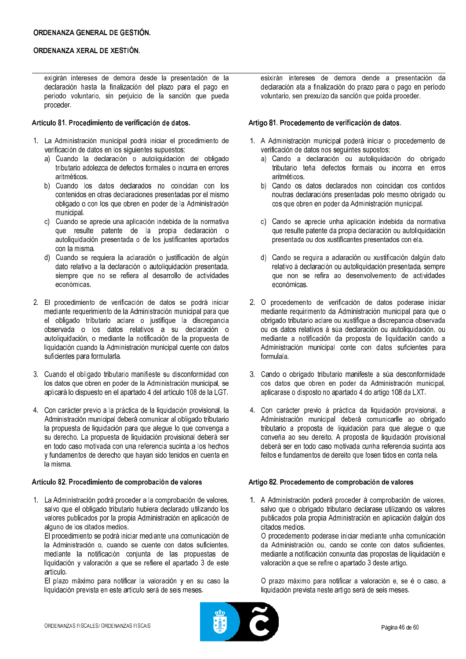exigirán intereses de demora desde la presentación de la declaración hasta la finalización del plazo para el pago en período voluntario, sin perjuicio de la sanción que pueda proceder.

### Artículo 81. Procedimiento de verificación de datos.

- 1. La Administración municipal podrá iniciar el procedimiento de verificación de datos en los siguientes supuestos:
	- a) Cuando la declaración o autoliquidación del obligado tributario adolezca de defectos formales o incurra en errores aritméticos
	- b) Cuando los datos declarados no coincidan con los contenidos en otras declaraciones presentadas por el mismo obligado o con los que obren en poder de la Administración municipal.
	- c) Cuando se aprecie una aplicación indebida de la normativa que resulte patente de la propia declaración o autoliquidación presentada o de los justificantes aportados con la misma.
	- d) Cuando se requiera la aclaración o iustificación de algún dato relativo a la declaración o autoliquidación presentada, siempre que no se refiera al desarrollo de actividades económicas.
- 2. El procedimiento de verificación de datos se podrá iniciar mediante requerimiento de la Administración municipal para que el obligado tributario aclare o justifique la discrepancia observada o los datos relativos a su declaración o autoliquidación, o mediante la notificación de la propuesta de liquidación cuando la Administración municipal cuente con datos suficientes para formularla.
- 3. Cuando el obligado tributario manifieste su disconformidad con los datos que obren en poder de la Administración municipal, se aplicará lo dispuesto en el apartado 4 del artículo 108 de la LGT.
- 4. Con carácter previo a la práctica de la liquidación provisional, la Administración municipal deberá comunicar al obligado tributario la propuesta de liquidación para que alegue lo que convenga a su derecho. La propuesta de liquidación provisional deberá ser en todo caso motivada con una referencia sucinta a los hechos y fundamentos de derecho que hayan sido tenidos en cuenta en la misma

### Artículo 82. Procedimiento de comprobación de valores

1. La Administración podrá proceder a la comprobación de valores, salvo que el obligado tributario hubiera declarado utilizando los valores publicados por la propia Administración en aplicación de alguno de los citados medios.

El procedimiento se podrá iniciar mediante una comunicación de la Administración o cuando se cuente con datos suficientes. mediante la notificación coniunta de las propuestas de liquidación y valoración a que se refiere el apartado 3 de este artículo

El plazo máximo para notificar la valoración y en su caso la liquidación prevista en este artículo será de seis meses.

esixirán intereses de demora dende a presentación da declaración ata a finalización do prazo para o pago en período voluntario, sen prexuízo da sanción que poida proceder.

### Artigo 81. Procedemento de verificación de datos.

- 1. A Administración municipal poderá iniciar o procedemento de verificación de datos nos seguintes supostos:
	- a) Cando a declaración ou autoliquidación do obrigado tributario teña defectos formais ou incorra en erros aritméticos.
	- b) Cando os datos declarados non coincidan cos contidos noutras declaracións presentadas polo mesmo obrigado ou cos que obren en poder da Administración municipal.
	- c) Cando se aprecie unha aplicación indebida da normativa que resulte patente da propia declaración ou autoliquidación presentada ou dos xustificantes presentados con ela.
	- d) Cando se requira a aclaración ou xustificación dalgún dato relativo á declaración ou autoliquidación presentada, sempre que non se refira ao desenvolvemento de actividades económicas.
- 2. O procedemento de verificación de datos poderase iniciar mediante requirimento da Administración municipal para que o obrigado tributario aclare ou xustifique a discrepancia observada ou os datos relativos á súa declaración ou autoliquidación, ou mediante a notificación da proposta de liquidación cando a Administración municipal conte con datos suficientes para formulala.
- 3. Cando o obrigado tributario manifeste a súa desconformidade cos datos que obren en poder da Administración municipal, aplicarase o disposto no apartado 4 do artigo 108 da LXT.
- 4. Con carácter previo á práctica da liquidación provisional, a Administración municipal deberá comunicarlle ao obrigado tributario a proposta de liquidación para que alegue o que conveña ao seu dereito. A proposta de liguidación provisional deberá ser en todo caso motivada cunha referencia sucinta aos feitos e fundamentos de dereito que fosen tidos en conta nela.

## Artigo 82. Procedemento de comprobación de valores

1. A Administración poderá proceder á comprobación de valores, salvo que o obrigado tributario declarase utilizando os valores publicados pola propia Administración en aplicación dalgún dos citados medios.

O procedemento poderase iniciar mediante unha comunicación da Administración ou, cando se conte con datos suficientes. mediante a notificación conxunta das propostas de liquidación e valoración a que se refire o apartado 3 deste artigo.

O prazo máximo para notificar a valoración e, se é o caso, a liquidación prevista neste artigo será de seis meses.

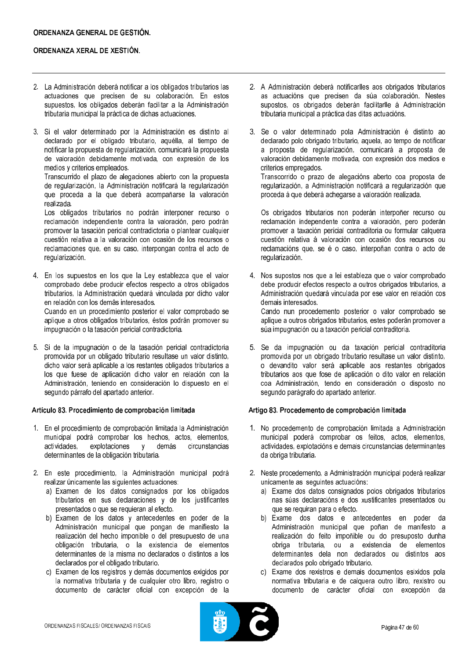- 2. La Administración deberá notificar a los obligados tributarios las actuaciones que precisen de su colaboración. En estos supuestos, los obligados deberán facilitar a la Administración tributaria municipal la práctica de dichas actuaciones.
- 3. Si el valor determinado por la Administración es distinto al declarado por el obligado tributario, aquélla, al tiempo de notificar la propuesta de regularización, comunicará la propuesta de valoración debidamente motivada, con expresión de los medios y criterios empleados.

Transcurrido el plazo de alegaciones abierto con la propuesta de regularización, la Administración notificará la regularización que proceda a la que deberá acompañarse la valoración realizada.

Los obligados tributarios no podrán interponer recurso o reclamación independiente contra la valoración, pero podrán promover la tasación pericial contradictoria o plantear cualquier cuestión relativa a la valoración con ocasión de los recursos o reclamaciones que, en su caso, interpongan contra el acto de regularización.

4. En los supuestos en los que la Ley establezca que el valor comprobado debe producir efectos respecto a otros obligados tributarios, la Administración quedará vinculada por dicho valor en relación con los demás interes ados. Cuando en un procedimiento posterior el valor comprobado se aplique a otros obligados tributarios, éstos podrán promover su impugnación o la tasación pericial contradictoria.

5. Si de la impugnación o de la tasación pericial contradictoria promovida por un obligado tributario resultase un valor distinto. dicho valor será aplicable a los restantes obligados tributarios a los que fuese de aplicación dicho valor en relación con la Administración, teniendo en consideración lo dispuesto en el segundo párrafo del apartado anterior.

### Artículo 83. Procedimiento de comprobación limitada

- 1. En el procedimiento de comprobación limitada la Administración municipal podrá comprobar los hechos, actos, elementos, actividades. explotaciones demás circunstancias  $y$ determinantes de la obligación tributaria.
- 2. En este procedimiento, la Administración municipal podrá realizar únicamente las siguientes actuaciones:
	- a) Examen de los datos consignados por los obligados tributarios en sus declaraciones y de los justificantes presentados o que se requieran al efecto.
	- b) Examen de los datos y antecedentes en poder de la Administración municipal que pongan de manifiesto la realización del hecho imponible o del presupuesto de una obligación tributaria, o la existencia de elementos determinantes de la misma no declarados o distintos a los declarados por el obligado tributario.
	- c) Examen de los registros y demás documentos exigidos por la normativa tributaria y de cualquier otro libro, registro o documento de carácter oficial con excepción de la
- 2. A Administración deberá notificarlles aos obrigados tributarios as actuacións que precisen da súa colaboración. Nestes supostos, os obrigados deberán facilitarlle á Administración tributaria municipal a práctica das ditas actuacións.
- 3. Se o valor determinado pola Administración é distinto ao declarado polo obrigado tributario, aquela, ao tempo de notificar a proposta de regularización, comunicará a proposta de valoración debidamente motivada, con expresión dos medios e criterios empregados. Transcorrido o prazo de alegacións aberto coa proposta de

regularización, a Administración notificará a regularización que proceda á que deberá achegarse a valoración realizada.

Os obrigados tributarios non poderán interpoñer recurso ou reclamación independente contra a valoración, pero poderán promover a taxación pericial contraditoria ou formular calquera cuestión relativa á valoración con ocasión dos recursos ou reclamacións que, se é o caso, interpoñan contra o acto de regularización.

- 4. Nos supostos nos que a lei estableza que o valor comprobado debe producir efectos respecto a outros obrigados tributarios, a Administración quedará vinculada por ese valor en relación cos demais interesados. Cando nun procedemento posterior o valor comprobado se aplique a outros obrigados tributarios, estes poderán promover a súa impugnación ou a taxación pericial contraditoria.
- 5. Se da impugnación ou da taxación pericial contraditoria promovida por un obrigado tributario resultase un valor distinto. o devandito valor será aplicable aos restantes obrigados tributarios aos que fose de aplicación o dito valor en relación coa Administración, tendo en consideración o disposto no segundo parágrafo do apartado anterior.

#### Artigo 83. Procedemento de comprobación limitada

- 1. No procedemento de comprobación limitada a Administración municipal poderá comprobar os feitos, actos, elementos, actividades, explotacións e demais circunstancias determinantes da obriga tributaria.
- 2. Neste procedemento, a Administración municipal poderá realizar unicamente as seguintes actuacións:
	- a) Exame dos datos consignados polos obrigados tributarios nas súas declaracións e dos xustificantes presentados ou que se requiran para o efecto.
	- b) Exame dos datos e antecedentes en poder da<br>Administración municipal que poñan de manifesto a realización do feito impoñible ou do presuposto dunha obriga tributaria, ou a existencia de elementos determinantes dela non declarados ou distintos aos declarados polo obrigado tributario.
	- c) Exame dos rexistros e demais documentos esixidos pola normativa tributaria e de calquera outro libro, rexistro ou documento de carácter oficial con excepción da

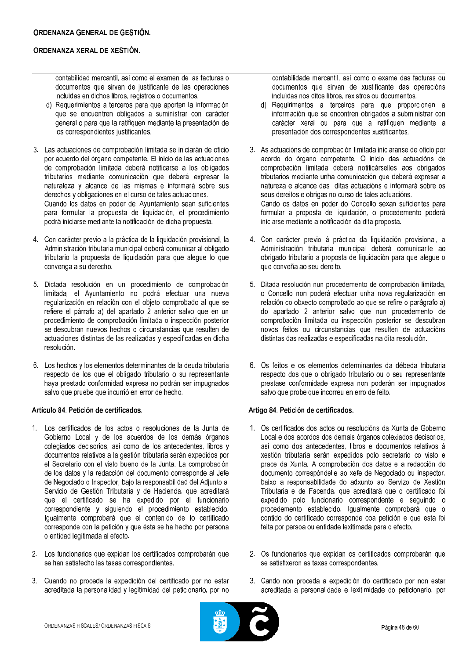contabilidad mercantil, así como el examen de las facturas o documentos que sirvan de justificante de las operaciones incluidas en dichos libros, registros o documentos.

- d) Requerimientos a terceros para que aporten la información que se encuentren obligados a suministrar con carácter general o para que la ratifiquen mediante la presentación de los correspondientes justificantes.
- 3. Las actuaciones de comprobación limitada se iniciarán de oficio por acuerdo del órgano competente. El inicio de las actuaciones de comprobación limitada deberá notificarse a los obligados tributarios mediante comunicación que deberá expresar la naturaleza y alcance de las mismas e informará sobre sus derechos y obligaciones en el curso de tales actuaciones. Cuando los datos en poder del Ayuntamiento sean suficientes para formular la propuesta de liquidación, el procedimiento podrá iniciarse mediante la notificación de dicha propuesta.
- 4. Con carácter previo a la práctica de la liquidación provisional, la Administración tributaria municipal deberá comunicar al obligado tributario la propuesta de liquidación para que alegue lo que convenga a su derecho.
- 5. Dictada resolución en un procedimiento de comprobación limitada, el Ayuntamiento no podrá efectuar una nueva regularización en relación con el objeto comprobado al que se refiere el párrafo a) del apartado 2 anterior salvo que en un procedimiento de comprobación limitada o inspección posterior se descubran nuevos hechos o circunstancias que resulten de actuaciones distintas de las realizadas y especificadas en dicha resolución.
- 6. Los hechos y los elementos determinantes de la deuda tributaria respecto de los que el obligado tributario o su representante haya prestado conformidad expresa no podrán ser impugnados salvo que pruebe que incurrió en error de hecho.

### Artículo 84. Petición de certificados.

- 1. Los certificados de los actos o resoluciones de la Junta de Gobierno Local y de los acuerdos de los demás órganos colegiados decisorios, así como de los antecedentes, libros y documentos relativos a la gestión tributaria serán expedidos por el Secretario con el visto bueno de la Junta. La comprobación de los datos y la redacción del documento corresponde al Jefe de Negociado o Inspector, bajo la responsabilidad del Adjunto al Servicio de Gestión Tributaria y de Hacienda, que acreditará que el certificado se ha expedido por el funcionario correspondiente y siguiendo el procedimiento establecido. Igualmente comprobará que el contenido de lo certificado corresponde con la petición y que ésta se ha hecho por persona o entidad legitimada al efecto.
- 2. Los funcionarios que expidan los certificados comprobarán que se han satisfecho las tasas correspondientes.
- 3. Cuando no proceda la expedición del certificado por no estar acreditada la personalidad y legitimidad del peticionario, por no

contabilidade mercantil, así como o exame das facturas ou documentos que sirvan de xustificante das operacións incluídas nos ditos libros, rexistros ou documentos.

- Requirimentos a terceiros para que proporcionen a  $\mathsf{d}$ información que se encontren obrigados a subministrar con carácter xeral ou para que a ratifiquen mediante a presentación dos correspondentes xustificantes.
- 3. As actuacións de comprobación limitada iniciaranse de oficio por acordo do órgano competente. O inicio das actuacións de comprobación limitada deberá notificárselles aos obrigados tributarios mediante unha comunicación que deberá expresar a natureza e alcance das ditas actuacións e informará sobre os seus dereitos e obrigas no curso de tales actuacións. Cando os datos en poder do Concello sexan suficientes para formular a proposta de liquidación, o procedemento poderá iniciarse mediante a notificación da dita proposta.
- 4. Con carácter previo á práctica da liquidación provisional, a Administración tributaria municipal deberá comunicarlle ao obrigado tributario a proposta de liquidación para que alegue o que conveña ao seu dereito.
- 5. Ditada resolución nun procedemento de comprobación limitada, o Concello non poderá efectuar unha nova regularización en relación co obxecto comprobado ao que se refire o parágrafo a) do apartado 2 anterior salvo que nun procedemento de comprobación limitada ou inspección posterior se descubran novos feitos ou circunstancias que resulten de actuacións distintas das realizadas e especificadas na dita resolución.
- 6. Os feitos e os elementos determinantes da débeda tributaria respecto dos que o obrigado tributario ou o seu representante prestase conformidade expresa non poderán ser impugnados salvo que probe que incorreu en erro de feito.

### Artigo 84. Petición de certificados.

- 1. Os certificados dos actos ou resolucións da Xunta de Goberno Local e dos acordos dos demais órganos colexiados decisorios. así como dos antecedentes, libros e documentos relativos á xestión tributaria serán expedidos polo secretario co visto e prace da Xunta. A comprobación dos datos e a redacción do documento correspóndelle ao xefe de Negociado ou inspector, baixo a responsabilidade do adxunto ao Servizo de Xestión Tributaria e de Facenda, que acreditará que o certificado foi expedido polo funcionario correspondente e seguindo o procedemento establecido. Igualmente comprobará que o contido do certificado corresponde coa petición e que esta foi feita por persoa ou entidade lexitimada para o efecto.
- 2. Os funcionarios que expidan os certificados comprobarán que se satisfixeron as taxas correspondentes.
- 3. Cando non proceda a expedición do certificado por non estar acreditada a personalidade e lexitimidade do peticionario, por

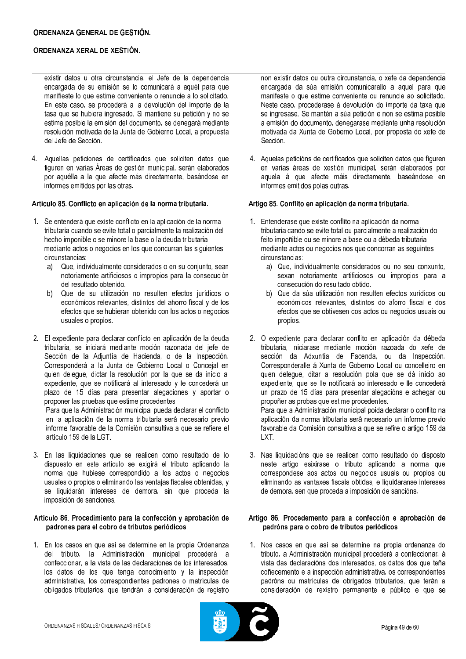- existir datos u otra circunstancia, el Jefe de la dependencia encargada de su emisión se lo comunicará a aquél para que manifieste lo que estime conveniente o renuncie a lo solicitado. En este caso, se procederá a la devolución del importe de la tasa que se hubiera ingresado. Si mantiene su petición y no se estima posible la emisión del documento, se denegará mediante resolución motivada de la Junta de Gobierno Local, a propuesta del Jefe de Sección.
- 4. Aquellas peticiones de certificados que soliciten datos que figuren en varias Áreas de gestión municipal, serán elaborados por aquélla a la que afecte más directamente, basándose en informes emitidos por las otras.

## Artículo 85. Conflicto en aplicación de la norma tributaria.

- 1. Se entenderá que existe conflicto en la aplicación de la norma tributaria cuando se evite total o parcialmente la realización del hecho imponible o se minore la base o la deuda tributaria mediante actos o negocios en los que concurran las siguientes circunstancias:
	- a) Que, individualmente considerados o en su conjunto, sean notoriamente artificiosos o impropios para la consecución del resultado obtenido.
	- b) Que de su utilización no resulten efectos jurídicos o económicos relevantes, distintos del ahorro fiscal y de los efectos que se hubieran obtenido con los actos o negocios usuales o propios.
- 2. El expediente para declarar conflicto en aplicación de la deuda tributaria, se iniciará mediante moción razonada del jefe de Sección de la Adiuntía de Hacienda, o de la Inspección, Corresponderá a la Junta de Gobierno Local o Concejal en quien delegue, dictar la resolución por la que se da inicio al expediente, que se notificará al interesado y le concederá un plazo de 15 días para presentar alegaciones y aportar o proponer las pruebas que estime procedentes

Para que la Administración municipal pueda declarar el conflicto en la aplicación de la norma tributaria será necesario previo informe favorable de la Comisión consultiva a que se refiere el artículo 159 de la LGT.

3. En las liquidaciones que se realicen como resultado de lo dispuesto en este artículo se exigirá el tributo aplicando la norma que hubiese correspondido a los actos o negocios usuales o propios o eliminando las ventajas fiscales obtenidas, y se liquidarán intereses de demora, sin que proceda la imposición de sanciones.

### Artículo 86. Procedimiento para la confección y aprobación de padrones para el cobro de tributos periódicos

1. En los casos en que así se determine en la propia Ordenanza del tributo. la Administración municipal procederá a confeccionar, a la vista de las declaraciones de los interesados. los datos de los que tenga conocimiento y la inspección administrativa, los correspondientes padrones o matrículas de obligados tributarios, que tendrán la consideración de registro non existir datos ou outra circunstancia, o xefe da dependencia encargada da súa emisión comunicarallo a aquel para que manifeste o que estime conveniente ou renuncie ao solicitado. Neste caso, procederase á devolución do importe da taxa que se ingresase. Se mantén a súa petición e non se estima posible a emisión do documento, denegarase mediante unha resolución motivada da Xunta de Goberno Local, por proposta do xefe de Sección.

4. Aquelas peticións de certificados que soliciten datos que figuren en varias áreas de xestión municipal, serán elaborados por aquela á que afecte máis directamente, baseándose en informes emitidos polas outras.

## Artigo 85. Conflito en aplicación da norma tributaria.

- 1. Entenderase que existe conflito na aplicación da norma tributaria cando se evite total ou parcialmente a realización do feito impoñible ou se minore a base ou a débeda tributaria mediante actos ou negocios nos que concorran as seguintes circunstancias:
	- a) Que, individualmente considerados ou no seu conxunto, sexan notoriamente artificiosos ou impropios para a consecución do resultado obtido.
	- b) Que da súa utilización non resulten efectos xurídicos ou económicos relevantes, distintos do aforro fiscal e dos efectos que se obtivesen cos actos ou negocios usuais ou propios.
- 2. O expediente para declarar conflito en aplicación da débeda tributaria, iniciarase mediante moción razoada do xefe de sección da Adxuntía de Facenda, ou da Inspección. Corresponderalle à Xunta de Goberno Local ou concelleiro en quen delegue, ditar a resolución pola que se dá inicio ao expediente, que se lle notificará ao interesado e lle concederá un prazo de 15 días para presentar alegacións e achegar ou propoñer as probas que estime procedentes. Para que a Administración municipal poida declarar o conflito na

aplicación da norma tributaria será necesario un informe previo favorable da Comisión consultiva a que se refire o artigo 159 da LXT.

3. Nas liquidacións que se realicen como resultado do disposto neste artigo esixirase o tributo aplicando a norma que correspondese aos actos ou negocios usuais ou propios ou eliminando as vantaxes fiscais obtidas, e liquidaranse intereses de demora, sen que proceda a imposición de sancións.

## Artigo 86. Procedemento para a confección e aprobación de padróns para o cobro de tributos periódicos

1. Nos casos en que así se determine na propia ordenanza do tributo, a Administración municipal procederá a confeccionar, á vista das declaracións dos interesados, os datos dos que teña coñecemento e a inspección administrativa, os correspondentes padróns ou matrículas de obrigados tributarios, que terán a consideración de rexistro permanente e público e que se

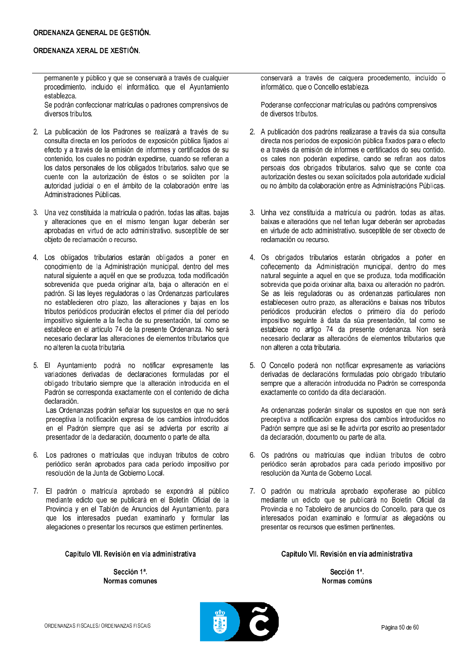permanente y público y que se conservará a través de cualquier procedimiento, incluido el informático, que el Ayuntamiento establezca.

Se podrán confeccionar matrículas o padrones comprensivos de diversos tributos.

- 2. La publicación de los Padrones se realizará a través de su consulta directa en los períodos de exposición pública fijados al efecto y a través de la emisión de informes y certificados de su contenido, los cuales no podrán expedirse, cuando se refieran a los datos personales de los obligados tributarios, salvo que se cuente con la autorización de éstos o se soliciten por la autoridad judicial o en el ámbito de la colaboración entre las Administraciones Públicas
- 3. Una vez constituida la matrícula o padrón, todas las altas, bajas y alteraciones que en el mismo tengan lugar deberán ser aprobadas en virtud de acto administrativo, susceptible de ser objeto de reclamación o recurso.
- 4. Los obligados tributarios estarán obligados a poner en conocimiento de la Administración municipal, dentro del mes natural siguiente a aquél en que se produzca, toda modificación sobrevenida que pueda originar alta, baja o alteración en el padrón. Si las leyes reguladoras o las Ordenanzas particulares no establecieren otro plazo, las alteraciones y bajas en los tributos periódicos producirán efectos el primer día del período impositivo siguiente a la fecha de su presentación, tal como se establece en el artículo 74 de la presente Ordenanza. No será necesario declarar las alteraciones de elementos tributarios que no alteren la cuota tributaria.
- 5. El Ayuntamiento podrá no notificar expresamente las variaciones derivadas de declaraciones formuladas por el obligado tributario siempre que la alteración introducida en el Padrón se corresponda exactamente con el contenido de dicha declaración.

Las Ordenanzas podrán señalar los supuestos en que no será preceptiva la notificación expresa de los cambios introducidos en el Padrón siempre que así se advierta por escrito al presentador de la declaración, documento o parte de alta.

- 6. Los padrones o matrículas que incluyan tributos de cobro periódico serán aprobados para cada período impositivo por resolución de la Junta de Gobierno Local.
- 7. El padrón o matrícula aprobado se expondrá al público mediante edicto que se publicará en el Boletín Oficial de la Provincia y en el Tablón de Anuncios del Ayuntamiento, para que los interesados puedan examinarlo y formular las alegaciones o presentar los recursos que estimen pertinentes.

Capítulo VII. Revisión en vía administrativa

Sección 1ª. Normas comunes

conservará a través de calquera procedemento, incluído o informático, que o Concello estableza.

Poderanse confeccionar matrículas ou padróns comprensivos de diversos tributos.

- 2. A publicación dos padróns realizarase a través da súa consulta directa nos períodos de exposición pública fixados para o efecto e a través da emisión de informes e certificados do seu contido. os cales non poderán expedirse, cando se refiran aos datos persoais dos obrigados tributarios, salvo que se conte coa autorización destes ou sexan solicitados pola autoridade xudicial ou no ámbito da colaboración entre as Administracións Públicas.
- 3. Unha vez constituída a matrícula ou padrón, todas as altas, baixas e alteracións que nel teñan lugar deberán ser aprobadas en virtude de acto administrativo, susceptible de ser obxecto de reclamación ou recurso.
- 4. Os obrigados tributarios estarán obrigados a poñer en coñecemento da Administración municipal, dentro do mes natural seguinte a aquel en que se produza, toda modificación sobrevida que poida orixinar alta, baixa ou alteración no padrón. Se as leis reguladoras ou as ordenanzas particulares non establecesen outro prazo, as alteracións e baixas nos tributos periódicos producirán efectos o primeiro día do período impositivo seguinte á data da súa presentación, tal como se establece no artigo 74 da presente ordenanza. Non será necesario declarar as alteracións de elementos tributarios que non alteren a cota tributaria.
- 5. O Concello poderá non notificar expresamente as variacións derivadas de declaracións formuladas polo obrigado tributario sempre que a alteración introducida no Padrón se corresponda exactamente co contido da dita declaración.

As ordenanzas poderán sinalar os supostos en que non será preceptiva a notificación expresa dos cambios introducidos no Padrón sempre que así se lle advirta por escrito ao presentador da declaración, documento ou parte de alta.

- 6. Os padróns ou matrículas que inclúan tributos de cobro periódico serán aprobados para cada período impositivo por resolución da Xunta de Goberno Local.
- 7. O padrón ou matrícula aprobado expoñerase ao público mediante un edicto que se publicará no Boletín Oficial da Provincia e no Taboleiro de anuncios do Concello, para que os interesados poidan examinalo e formular as alegacións ou presentar os recursos que estimen pertinentes.

Capítulo VII. Revisión en vía administrativa

Sección 1ª. Normas comúns

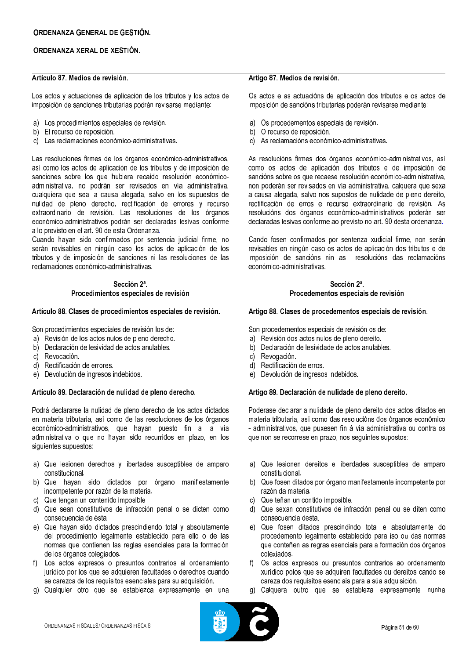## Artículo 87 Medios de revisión

Los actos y actuaciones de aplicación de los tributos y los actos de imposición de sanciones tributarias podrán revisarse mediante:

- a) Los procedimientos especiales de revisión.
- b) El recurso de reposición.
- c) Las reclamaciones económico-administrativas.

Las resoluciones firmes de los órganos económico-administrativos, así como los actos de aplicación de los tributos y de imposición de sanciones sobre los que hubiera recaído resolución económicoadministrativa, no podrán ser revisados en vía administrativa, cualquiera que sea la causa alegada, salvo en los supuestos de nulidad de pleno derecho, rectificación de errores y recurso extraordinario de revisión. Las resoluciones de los órganos económico-administrativos podrán ser declaradas lesivas conforme a lo previsto en el art. 90 de esta Ordenanza.

Cuando hayan sido confirmados por sentencia judicial firme, no serán revisables en ningún caso los actos de aplicación de los tributos y de imposición de sanciones ni las resoluciones de las reclamaciones económico-administrativas.

### Sección 2ª. Procedimientos especiales de revisión

#### Artículo 88. Clases de procedimientos especiales de revisión.

Son procedimientos especiales de revisión los de:

- a) Revisión de los actos nulos de pleno derecho.
- b) Declaración de lesividad de actos anulables.
- c) Revocación.
- d) Rectificación de errores.
- e) Devolución de ingresos indebidos.

### Artículo 89. Declaración de nulidad de pleno derecho.

Podrá declararse la nulidad de pleno derecho de los actos dictados en materia tributaria, así como de las resoluciones de los órganos económico-administrativos, que hayan puesto fin a la vía administrativa o que no hayan sido recurridos en plazo, en los siguientes supuestos:

- a) Que lesionen derechos y libertades susceptibles de amparo constitucional.
- b) Que hayan sido dictados por órgano manifiestamente incompetente por razón de la materia.
- c) Que tengan un contenido imposible
- d) Que sean constitutivos de infracción penal o se dicten como consecuencia de ésta.
- e) Que hayan sido dictados prescindiendo total y absolutamente del procedimiento legalmente establecido para ello o de las normas que contienen las reglas esenciales para la formación de los órganos colegiados.
- f) Los actos expresos o presuntos contrarios al ordenamiento jurídico por los que se adquieren facultades o derechos cuando se carezca de los requisitos esenciales para su adquisición.
- g) Cualquier otro que se establezca expresamente en una

#### Artigo 87, Medios de revisión.

Os actos e as actuacións de aplicación dos tributos e os actos de imposición de sancións tributarias poderán revisarse mediante:

- a) Os procedementos especiais de revisión.
- b) O recurso de reposición.
- c) As reclamacións económico-administrativas.

As resolucións firmes dos órganos económico-administrativos, así como os actos de aplicación dos tributos e de imposición de sancións sobre os que recaese resolución económico-administrativa, non poderán ser revisados en vía administrativa, calquera que sexa a causa alegada, salvo nos supostos de nulidade de pleno dereito, rectificación de erros e recurso extraordinario de revisión. As resolucións dos órganos económico-administrativos poderán ser declaradas lesivas conforme ao previsto no art. 90 desta ordenanza.

Cando fosen confirmados por sentenza xudicial firme, non serán revisables en ningún caso os actos de aplicación dos tributos e de imposición de sancións nin as resolucións das reclamacións económico-administrativas

### Sección 2ª. Procedementos especiais de revisión

#### Artigo 88. Clases de procedementos especiais de revisión.

Son procedementos especiais de revisión os de:

- Revisión dos actos nulos de pleno dereito.  $a)$
- Declaración de lesividade de actos anulables.  $b)$
- Revogación.  $c)$
- Rectificación de erros.  $d)$
- e) Devolución de ingresos indebidos.

### Artigo 89. Declaración de nulidade de pleno dereito.

Poderase declarar a nulidade de pleno dereito dos actos ditados en materia tributaria, así como das resolucións dos órganos económico - administrativos, que puxesen fin á vía administrativa ou contra os que non se recorrese en prazo, nos seguintes supostos:

- a) Que lesionen dereitos e liberdades susceptibles de amparo constitucional.
- b) Que fosen ditados por órgano manifestamente incompetente por razón da materia.
- c) Que teñan un contido imposible.
- d) Que sexan constitutivos de infracción penal ou se diten como consecuencia desta.
- e) Que fosen ditados prescindindo total e absolutamente do procedemento legalmente establecido para iso ou das normas que conteñen as regras esenciais para a formación dos órganos colexiados.
- f) Os actos expresos ou presuntos contrarios ao ordenamento xurídico polos que se adquiren facultades ou dereitos cando se careza dos requisitos esenciais para a súa adquisición.
- g) Calquera outro que se estableza expresamente nunha

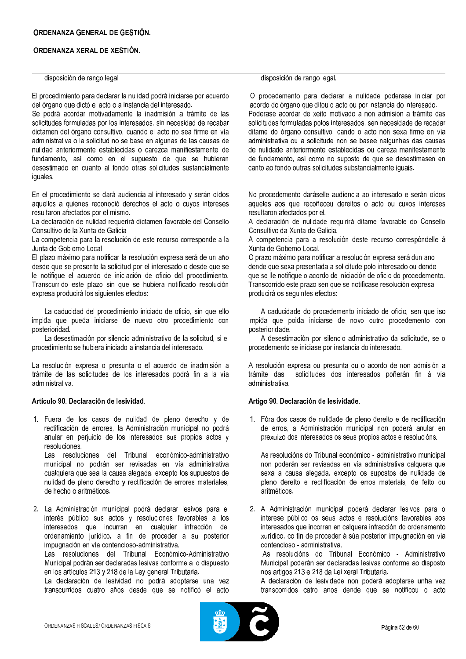disposición de rango legal

El procedimiento para declarar la nulidad podrá iniciarse por acuerdo del órgano que dictó el acto o a instancia del interesado.

Se podrá acordar motivadamente la inadmisión a trámite de las solicitudes formuladas por los interesados, sin necesidad de recabar dictamen del órgano consultivo, cuando el acto no sea firme en vía administrativa o la solicitud no se base en algunas de las causas de nulidad anteriormente establecidas o carezca manifiestamente de fundamento, así como en el supuesto de que se hubieran desestimado en cuanto al fondo otras solicitudes sustancialmente iguales.

En el procedimiento se dará audiencia al interesado y serán oídos aquellos a quienes reconoció derechos el acto o cuyos intereses resultaron afectados por el mismo.

La declaración de nulidad requerirá dictamen favorable del Consello Consultivo de la Xunta de Galicia

La competencia para la resolución de este recurso corresponde a la Junta de Gobierno Local

El plazo máximo para notificar la resolución expresa será de un año desde que se presente la solicitud por el interesado o desde que se le notifique el acuerdo de iniciación de oficio del procedimiento. Transcurrido este plazo sin que se hubiera notificado resolución expresa producirá los siguientes efectos:

La caducidad del procedimiento iniciado de oficio, sin que ello impida que pueda iniciarse de nuevo otro procedimiento con posterioridad.

La desestimación por silencio administrativo de la solicitud, si el procedimiento se hubiera iniciado a instancia del interesado.

La resolución expresa o presunta o el acuerdo de inadmisión a trámite de las solicitudes de los interesados podrá fin a la vía administrativa.

### Artículo 90, Declaración de lesividad.

1. Fuera de los casos de nulidad de pleno derecho y de rectificación de errores, la Administración municipal no podrá anular en perjuicio de los interesados sus propios actos v resoluciones.

Las resoluciones del Tribunal económico-administrativo municipal no podrán ser revisadas en vía administrativa cualquiera que sea la causa alegada, excepto los supuestos de nulidad de pleno derecho y rectificación de errores materiales, de hecho o aritméticos.

2. La Administración municipal podrá declarar lesivos para el interés público sus actos y resoluciones favorables a los<br>interesados que incurran en cualquier infracción del ordenamiento iurídico, a fin de proceder a su posterior impugnación en vía contencioso-administrativa.

Las resoluciones del Tribunal Económico-Administrativo Municipal podrán ser declaradas lesivas conforme a lo dispuesto en los artículos 213 y 218 de la Ley general Tributaria.

La declaración de lesividad no podrá adoptarse una vez transcurridos cuatro años desde que se notificó el acto

disposición de rango legal.

O procedemento para declarar a nulidade poderase iniciar por acordo do órgano que ditou o acto ou por instancia do interesado. Poderase acordar de xeito motivado a non admisión a trámite das solicitudes formuladas polos interesados, sen necesidade de recadar ditame do órgano consultivo, cando o acto non sexa firme en vía administrativa ou a solicitude non se basee nalgunhas das causas de nulidade anteriormente establecidas ou careza manifestamente de fundamento, así como no suposto de que se desestimasen en canto ao fondo outras solicitudes substancialmente iguais.

No procedemento daráselle audiencia ao interesado e serán oídos aqueles aos que recoñeceu dereitos o acto ou cuxos intereses resultaron afectados por el.

A declaración de nulidade requirirá ditame favorable do Consello Consultivo da Xunta de Galicia.

A competencia para a resolución deste recurso correspóndelle á Xunta de Goberno Local.

O prazo máximo para notificar a resolución expresa será dun ano dende que sexa presentada a solicitude polo interesado ou dende que se lle notifique o acordo de iniciación de oficio do procedemento. Transcorrido este prazo sen que se notificase resolución expresa producirá os seguintes efectos:

A caducidade do procedemento iniciado de oficio, sen que iso impida que poida iniciarse de novo outro procedemento con posterioridade.

A desestimación por silencio administrativo da solicitude, se o procedemento se iniciase por instancia do interesado.

A resolución expresa ou presunta ou o acordo de non admisión a trámite das solicitudes dos interesados poñerán fin á vía administrativa.

### Artigo 90. Declaración de lesividade.

1. Fóra dos casos de nulidade de pleno dereito e de rectificación de erros, a Administración municipal non poderá anular en prexuízo dos interesados os seus propios actos e resolucións.

As resolucións do Tribunal económico - administrativo municipal non poderán ser revisadas en vía administrativa calquera que sexa a causa alegada, excepto os supostos de nulidade de pleno dereito e rectificación de erros materiais, de feito ou aritméticos.

2. A Administración municipal poderá declarar lesivos para o interese público os seus actos e resolucións favorables aos interesados que incorran en calquera infracción do ordenamento xurídico, co fin de proceder á súa posterior impugnación en vía contencioso - administrativa.

As resolucións do Tribunal Económico - Administrativo Municipal poderán ser declaradas lesivas conforme ao disposto nos artigos 213 e 218 da Lei xeral Tributaria.

A declaración de lesividade non poderá adoptarse unha vez transcorridos catro anos dende que se notificou o acto

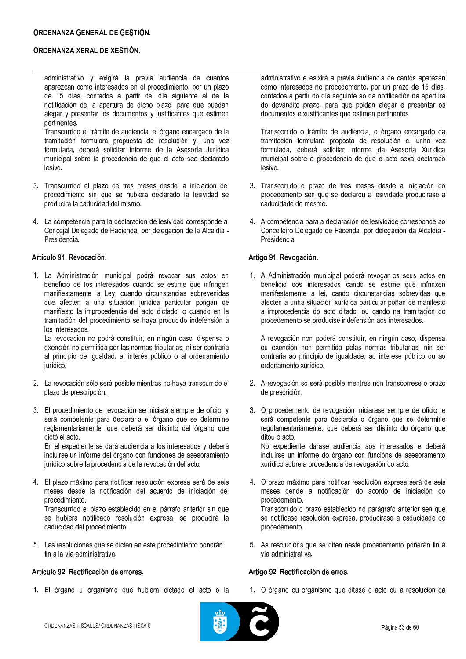administrativo y exigirá la previa audiencia de cuantos aparezcan como interesados en el procedimiento, por un plazo de 15 días, contados a partir del día siguiente al de la notificación de la apertura de dicho plazo, para que puedan alegar y presentar los documentos y justificantes que estimen pertinentes.

Transcurrido el trámite de audiencia, el órgano encargado de la tramitación formulará propuesta de resolución y, una vez formulada, deberá solicitar informe de la Asesoría Jurídica municipal sobre la procedencia de que el acto sea declarado lesivo.

- 3. Transcurrido el plazo de tres meses desde la iniciación del procedimiento sin que se hubiera declarado la lesividad se producirá la caducidad del mismo.
- 4. La competencia para la declaración de lesividad corresponde al Concejal Delegado de Hacienda, por delegación de la Alcaldía -Presidencia.

### Artículo 91, Revocación.

1. La Administración municipal podrá revocar sus actos en beneficio de los interesados cuando se estime que infringen manifiestamente la Ley, cuando circunstancias sobrevenidas que afecten a una situación jurídica particular pongan de manifiesto la improcedencia del acto dictado, o cuando en la tramitación del procedimiento se haya producido indefensión a los interesados.

La revocación no podrá constituir, en ningún caso, dispensa o exención no permitida por las normas tributarias, ni ser contraria al principio de igualdad, al interés público o al ordenamiento iurídico.

- 2. La revocación sólo será posible mientras no haya transcurrido el plazo de prescripción.
- 3. El procedimiento de revocación se iniciará siempre de oficio, y será competente para declararla el órgano que se determine reglamentariamente, que deberá ser distinto del órgano que dictó el acto.

En el expediente se dará audiencia a los interesados y deberá incluirse un informe del órgano con funciones de asesoramiento jurídico sobre la procedencia de la revocación del acto.

4. El plazo máximo para notificar resolución expresa será de seis meses desde la notificación del acuerdo de iniciación del procedimiento. Transcurrido el plazo establecido en el párrafo anterior sin que

se hubiera notificado resolución expresa, se producirá la caducidad del procedimiento.

5. Las resoluciones que se dicten en este procedimiento pondrán fin a la vía administrativa

## Artículo 92, Rectificación de errores.

1. El órgano u organismo que hubiera dictado el acto o la

administrativo e esixirá a previa audiencia de cantos aparezan como interesados no procedemento, por un prazo de 15 días, contados a partir do día seguinte ao da notificación da apertura do devandito prazo, para que poidan alegar e presentar os documentos e xustificantes que estimen pertinentes

Transcorrido o trámite de audiencia, o órgano encargado da tramitación formulará proposta de resolución e, unha vez formulada, deberá solicitar informe da Asesoría Xurídica municipal sobre a procedencia de que o acto sexa declarado lesivo.

- 3. Transcorrido o prazo de tres meses desde a iniciación do procedemento sen que se declarou a lesividade producirase a caducidade do mesmo.
- 4. A competencia para a declaración de lesividade corresponde ao Concelleiro Delegado de Facenda, por delegación da Alcaldía -Presidencia.

## Artigo 91, Revogación,

1. A Administración municipal poderá revogar os seus actos en beneficio dos interesados cando se estime que infrinxen manifestamente a lei, cando circunstancias sobrevidas que afecten a unha situación xurídica particular poñan de manifesto a improcedencia do acto ditado, ou cando na tramitación do procedemento se producise indefensión aos interesados.

A revogación non poderá constituír, en ningún caso, dispensa ou exención non permitida polas normas tributarias, nin ser contraria ao principio de joualdade, ao interese público ou ao ordenamento xurídico.

- 2. A revogación só será posible mentres non transcorrese o prazo de prescrición.
- 3. O procedemento de revogación iniciarase sempre de oficio, e será competente para declarala o órgano que se determine regulamentariamente, que deberá ser distinto do órgano que ditou o acto.

No expediente darase audiencia aos interesados e deberá incluírse un informe do órgano con funcións de asesoramento xurídico sobre a procedencia da revogación do acto.

- 4. O prazo máximo para notificar resolución expresa será de seis meses dende a notificación do acordo de iniciación do procedemento. Transcorrido o prazo establecido no parágrafo anterior sen que se notificase resolución expresa, producirase a caducidade do
- 5. As resolucións que se diten neste procedemento poñerán fin á vía administrativa.

## Artigo 92. Rectificación de erros.

procedemento.

1. O órgano ou organismo que ditase o acto ou a resolución da

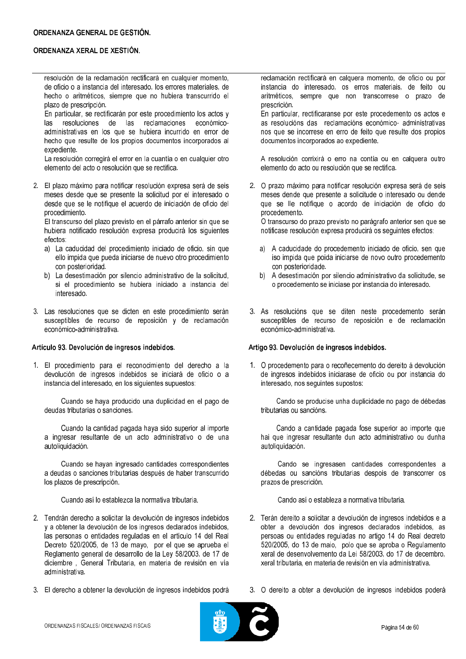## ORDENANZA GENERAL DE GESTIÓN.

## ORDENANZA XERAL DE XESTIÓN.

resolución de la reclamación rectificará en cualquier momento, de oficio o a instancia del interesado, los errores materiales, de hecho o aritméticos, siempre que no hubiera transcurrido el plazo de prescripción.

En particular, se rectificarán por este procedimiento los actos y las resoluciones de las reclamaciones económicoadministrativas en los que se hubiera incurrido en error de hecho que resulte de los propios documentos incorporados al expediente.

La resolución corregirá el error en la cuantía o en cualquier otro elemento del acto o resolución que se rectifica.

2. El plazo máximo para notificar resolución expresa será de seis meses desde que se presente la solicitud por el interesado o desde que se le notifique el acuerdo de iniciación de oficio del procedimiento.

El transcurso del plazo previsto en el párrafo anterior sin que se hubiera notificado resolución expresa producirá los siguientes efectos:

- a) La caducidad del procedimiento iniciado de oficio, sin que ello impida que pueda iniciarse de nuevo otro procedimiento con posterioridad.
- b) La desestimación por silencio administrativo de la solicitud, si el procedimiento se hubiera iniciado a instancia del interesado.
- 3. Las resoluciones que se dicten en este procedimiento serán susceptibles de recurso de reposición y de reclamación económico-administrativa.

### Artículo 93. Devolución de ingresos indebidos.

1. El procedimiento para el reconocimiento del derecho a la devolución de ingresos indebidos se iniciará de oficio o a instancia del interesado, en los siguientes supuestos:

Cuando se haya producido una duplicidad en el pago de deudas tributarias o sanciones.

Cuando la cantidad pagada haya sido superior al importe a ingresar resultante de un acto administrativo o de una autoliquidación.

Cuando se hayan ingresado cantidades correspondientes a deudas o sanciones tributarias después de haber transcurrido los plazos de prescripción.

Cuando así lo establezca la normativa tributaria.

- 2. Tendrán derecho a solicitar la devolución de ingresos indebidos y a obtener la devolución de los ingresos declarados indebidos, las personas o entidades reguladas en el artículo 14 del Real Decreto 520/2005, de 13 de mayo, por el que se aprueba el Reglamento general de desarrollo de la Ley 58/2003, de 17 de diciembre. General Tributaria, en materia de revisión en vía administrativa
- 3. El derecho a obtener la devolución de ingresos indebidos podrá

reclamación rectificará en calquera momento, de oficio ou por instancia do interesado, os erros materiais, de feito ou aritméticos, sempre que non transcorrese o prazo de prescrición.

En particular, rectificaranse por este procedemento os actos e as resolucións das reclamacións económico- administrativas nos que se incorrese en erro de feito que resulte dos propios documentos incorporados ao expediente.

A resolución corrixirá o erro na contía ou en calquera outro elemento do acto ou resolución que se rectifica.

2. O prazo máximo para notificar resolución expresa será de seis meses dende que presente a solicitude o interesado ou dende que se lle notifique o acordo de iniciación de oficio do procedemento.

O transcurso do prazo previsto no parágrafo anterior sen que se notificase resolución expresa producirá os seguintes efectos:

- a) A caducidade do procedemento iniciado de oficio, sen que iso impida que poida iniciarse de novo outro procedemento con posterioridade.
- b) A desestimación por silencio administrativo da solicitude, se o procedemento se iniciase por instancia do interesado.
- 3. As resolucións que se diten neste procedemento serán susceptibles de recurso de reposición e de reclamación económico-administrativa.

### Artigo 93. Devolución de ingresos indebidos.

1. O procedemento para o recoñecemento do dereito á devolución de ingresos indebidos iniciarase de oficio ou por instancia do interesado, nos seguintes supostos:

Cando se producise unha duplicidade no pago de débedas tributarias ou sancións.

Cando a cantidade pagada fose superior ao importe que hai que ingresar resultante dun acto administrativo ou dunha autoliquidación.

Cando se ingresasen cantidades correspondentes a débedas ou sancións tributarias despois de transcorrer os prazos de prescrición.

Cando así o estableza a normativa tributaria.

- 2. Terán dereito a solicitar a devolución de ingresos indebidos e a obter a devolución dos ingresos declarados indebidos, as persoas ou entidades reguladas no artigo 14 do Real decreto 520/2005, do 13 de maio, polo que se aproba o Regulamento xeral de desenvolvemento da Lei 58/2003, do 17 de decembro. xeral tributaria, en materia de revisión en vía administrativa
- 3. O dereito a obter a devolución de ingresos indebidos poderá

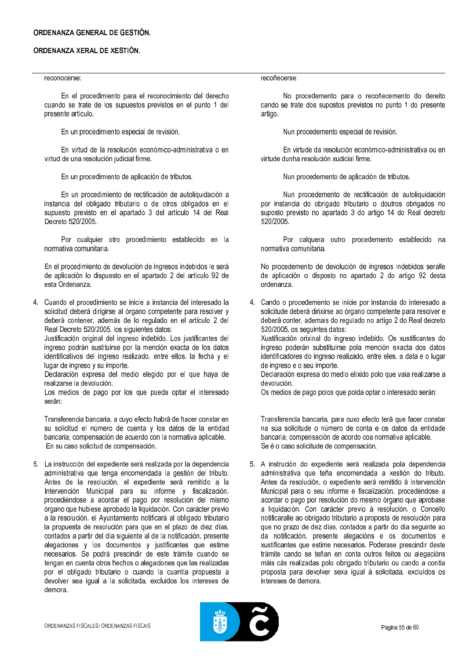#### reconocerse:

En el procedimiento para el reconocimiento del derecho cuando se trate de los supuestos previstos en el punto 1 del presente artículo.

En un procedimiento especial de revisión.

En virtud de la resolución económico-administrativa o en virtud de una resolución judicial firme.

En un procedimiento de aplicación de tributos.

En un procedimiento de rectificación de autoliquidación a instancia del obligado tributario o de otros obligados en el supuesto previsto en el apartado 3 del artículo 14 del Real Decreto 520/2005

Por cualquier otro procedimiento establecido en la normativa comunitaria.

En el procedimiento de devolución de ingresos indebidos le será de aplicación lo dispuesto en el apartado 2 del artículo 92 de esta Ordenanza.

4. Cuando el procedimiento se inicie a instancia del interesado la solicitud deberá dirigirse al órgano competente para resolver y deberá contener, además de lo regulado en el artículo 2 del Real Decreto 520/2005, los siguientes datos:

Justificación original del ingreso indebido. Los justificantes del ingreso podrán sustituirse por la mención exacta de los datos identificativos del ingreso realizado, entre ellos, la fecha y el lugar de ingreso y su importe.

Declaración expresa del medio elegido por el que haya de realizarse la devolución.

Los medios de pago por los que pueda optar el interesado serán:

Transferencia bancaria, a cuyo efecto habrá de hacer constar en su solicitud el número de cuenta y los datos de la entidad bancaria: compensación de acuerdo con la normativa aplicable. En su caso solicitud de compensación.

5. La instrucción del expediente será realizada por la dependencia administrativa que tenga encomendada la gestión del tributo. Antes de la resolución, el expediente será remitido a la Intervención Municipal para su informe y fiscalización, procediéndose a acordar el pago por resolución del mismo órgano que hubiese aprobado la liquidación. Con carácter previo a la resolución, el Ayuntamiento notificará al obligado tributario la propuesta de resolución para que en el plazo de diez días, contados a partir del día siguiente al de la notificación, presente alegaciones y los documentos y justificantes que estime necesarios. Se podrá prescindir de este trámite cuando se tengan en cuenta otros hechos o alegaciones que las realizadas por el obligado tributario o cuando la cuantía propuesta a devolver sea joual a la solicitada, excluidos los intereses de demora.

recoñecerse:

No procedemento para o recoñecemento do dereito cando se trate dos supostos previstos no punto 1 do presente artigo.

Nun procedemento especial de revisión.

En virtude da resolución económico-administrativa ou en virtude dunha resolución xudicial firme.

Nun procedemento de aplicación de tributos.

Nun procedemento de rectificación de autoliquidación por instancia do obrigado tributario o doutros obrigados no suposto previsto no apartado 3 do artigo 14 do Real decreto 520/2005

Por calquera outro procedemento establecido na normativa comunitaria.

No procedemento de devolución de ingresos indebidos seralle de aplicación o disposto no apartado 2 do artigo 92 desta ordenanza.

4. Cando o procedemento se inicie por instancia do interesado a solicitude deberá dirixirse ao órgano competente para resolver e deberá conter, ademais do regulado no artigo 2 do Real decreto 520/2005, os seguintes datos:

Xustificación orixinal do ingreso indebido. Os xustificantes do ingreso poderán substituírse pola mención exacta dos datos identificadores do ingreso realizado, entre eles, a data e o lugar de ingreso e o seu importe.

Declaración expresa do medio elixido polo que vaia realizarse a devolución.

Os medios de pago polos que poida optar o interesado serán:

Transferencia bancaria, para cuxo efecto terá que facer constar na súa solicitude o número de conta e os datos da entidade bancaria: compensación de acordo coa normativa aplicable. Se é o caso solicitude de compensación.

5. A instrución do expediente será realizada pola dependencia administrativa que teña encomendada a xestión do tributo. Antes da resolución, o expediente será remitido á Intervención Municipal para o seu informe e fiscalización, procedéndose a acordar o pago por resolución do mesmo órgano que aprobase a liquidación. Con carácter previo á resolución, o Concello notificaralle ao obrigado tributario a proposta de resolución para que no prazo de dez días, contados a partir do día seguinte ao da notificación, presente alegacións e os documentos e xustificantes que estime necesarios. Poderase prescindir deste trámite cando se teñan en conta outros feitos ou alegacións máis cás realizadas polo obrigado tributario ou cando a contía proposta para devolver sexa igual á solicitada, excluídos os intereses de demora

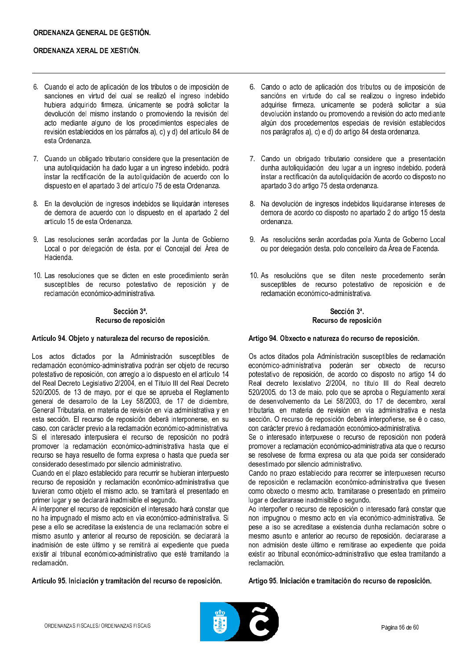- 6. Cuando el acto de aplicación de los tributos o de imposición de sanciones en virtud del cual se realizó el ingreso indebido hubiera adquirido firmeza, únicamente se podrá solicitar la devolución del mismo instando o promoviendo la revisión del acto mediante alguno de los procedimientos especiales de revisión establecidos en los párrafos a), c) y d) del artículo 84 de esta Ordenanza.
- 7. Cuando un obligado tributario considere que la presentación de una autoliquidación ha dado lugar a un ingreso indebido, podrá instar la rectificación de la autoliquidación de acuerdo con lo dispuesto en el apartado 3 del artículo 75 de esta Ordenanza.
- 8. En la devolución de ingresos indebidos se liquidarán intereses de demora de acuerdo con lo dispuesto en el apartado 2 del artículo 15 de esta Ordenanza.
- 9. Las resoluciones serán acordadas por la Junta de Gobierno Local o por delegación de ésta, por el Concejal del Área de Hacienda.
- 10. Las resoluciones que se dicten en este procedimiento serán susceptibles de recurso potestativo de reposición y de reclamación económico-administrativa.

## Sección 3ª. Recurso de reposición

### Artículo 94. Objeto y naturaleza del recurso de reposición.

Los actos dictados por la Administración susceptibles de reclamación económico-administrativa podrán ser objeto de recurso potestativo de reposición, con arreglo a lo dispuesto en el artículo 14 del Real Decreto Legislativo 2/2004, en el Título III del Real Decreto 520/2005, de 13 de mayo, por el que se aprueba el Reglamento general de desarrollo de la Ley 58/2003, de 17 de diciembre, General Tributaria, en materia de revisión en vía administrativa y en esta sección. El recurso de reposición deberá interponerse, en su caso, con carácter previo a la reclamación económico-administrativa. Si el interesado interpusiera el recurso de reposición no podrá promover la reclamación económico-administrativa hasta que el recurso se haya resuelto de forma expresa o hasta que pueda ser considerado desestimado por silencio administrativo.

Cuando en el plazo establecido para recurrir se hubieran interpuesto recurso de reposición y reclamación económico-administrativa que tuvieran como objeto el mismo acto, se tramitará el presentado en primer lugar y se declarará inadmisible el segundo.

Al interponer el recurso de reposición el interesado hará constar que no ha impugnado el mismo acto en vía económico-administrativa. Si pese a ello se acreditase la existencia de una reclamación sobre el mismo asunto y anterior al recurso de reposición, se declarará la inadmisión de este último y se remitirá al expediente que pueda existir al tribunal económico-administrativo que esté tramitando la reclamación

Artículo 95, Iniciación y tramitación del recurso de reposición.

- 6. Cando o acto de aplicación dos tributos ou de imposición de sancións en virtude do cal se realizou o ingreso indebido adquirise firmeza, unicamente se poderá solicitar a súa devolución instando ou promovendo a revisión do acto mediante algún dos procedementos especiais de revisión establecidos nos parágrafos a), c) e d) do artigo 84 desta ordenanza.
- 7. Cando un obrigado tributario considere que a presentación dunha autoliquidación deu lugar a un ingreso indebido, poderá instar a rectificación da autoliquidación de acordo co disposto no apartado 3 do artigo 75 desta ordenanza.
- 8. Na devolución de ingresos indebidos liquidaranse intereses de demora de acordo co disposto no apartado 2 do artigo 15 desta ordenanza.
- 9. As resolucións serán acordadas pola Xunta de Goberno Local ou por delegación desta, polo concelleiro da Área de Facenda.
- 10. As resolucións que se diten neste procedemento serán susceptibles de recurso potestativo de reposición e de reclamación económico-administrativa.

## Sección 3ª. Recurso de reposición

### Artigo 94. Obxecto e natureza do recurso de reposición.

Os actos ditados pola Administración susceptibles de reclamación económico-administrativa poderán ser obxecto de recurso potestativo de reposición, de acordo co disposto no artigo 14 do Real decreto lexislativo 2/2004, no título III do Real decreto 520/2005, do 13 de maio, polo que se aproba o Regulamento xeral de desenvolvemento da Lei 58/2003, do 17 de decembro, xeral tributaria, en materia de revisión en vía administrativa e nesta sección. O recurso de reposición deberá interpoñerse, se é o caso, con carácter previo á reclamación económico-administrativa.

Se o interesado interpuxese o recurso de reposición non poderá promover a reclamación económico-administrativa ata que o recurso se resolvese de forma expresa ou ata que poida ser considerado desestimado por silencio administrativo.

Cando no prazo establecido para recorrer se interpuxesen recurso de reposición e reclamación económico-administrativa que tivesen como obxecto o mesmo acto, tramitarase o presentado en primeiro lugar e declararase inadmisible o segundo.

Ao interpoñer o recurso de reposición o interesado fará constar que non impugnou o mesmo acto en vía económico-administrativa. Se pese a iso se acreditase a existencia dunha reclamación sobre o mesmo asunto e anterior ao recurso de reposición, declararase a non admisión deste último e remitirase ao expediente que poida existir ao tribunal económico-administrativo que estea tramitando a reclamación

Artigo 95, Iniciación e tramitación do recurso de reposición.

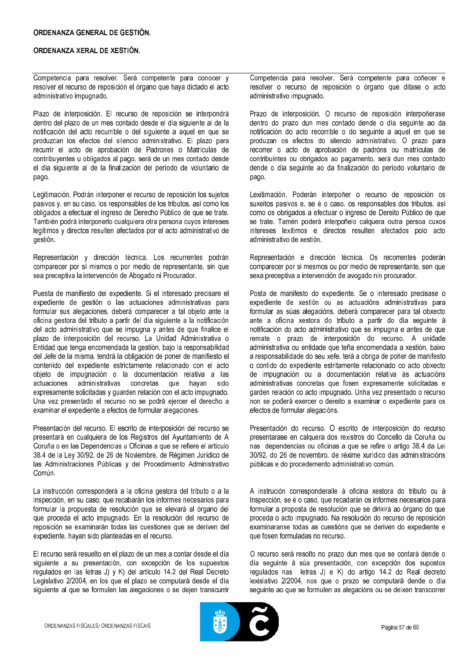Competencia para resolver. Será competente para conocer y resolver el recurso de reposición el órgano que haya dictado el acto administrativo impugnado.

Plazo de interposición. El recurso de reposición se interpondrá dentro del plazo de un mes contado desde el día siguiente al de la notificación del acto recurrible o del siguiente a aquel en que se produzcan los efectos del silencio administrativo. El plazo para recurrir el acto de aprobación de Padrones o Matrículas de contribuyentes u obligados al pago, será de un mes contado desde el día siguiente al de la finalización del período de voluntario de pago.

Legitimación. Podrán interponer el recurso de reposición los sujetos pasivos y, en su caso, los responsables de los tributos, así como los obligados a efectuar el ingreso de Derecho Público de que se trate. También podrá interponerlo cualquiera otra persona cuyos intereses legítimos y directos resulten afectados por el acto administrativo de gestión.

Representación y dirección técnica. Los recurrentes podrán comparecer por sí mismos o por medio de representante, sin que sea preceptiva la intervención de Abogado ni Procurador.

Puesta de manifiesto del expediente. Si el interesado precisare el expediente de gestión o las actuaciones administrativas para formular sus alegaciones, deberá comparecer a tal objeto ante la oficina gestora del tributo a partir del día siguiente a la notificación del acto administrativo que se impugna y antes de que finalice el plazo de interposición del recurso. La Unidad Administrativa o Entidad que tenga encomendada la gestión, bajo la responsabilidad del Jefe de la misma, tendrá la obligación de poner de manifiesto el contenido del expediente estrictamente relacionado con el acto objeto de impugnación o la documentación relativa a las actuaciones administrativas concretas que hayan sido expresamente solicitadas y guarden relación con el acto impugnado. Una vez presentado el recurso no se podrá ejercer el derecho a examinar el expediente a efectos de formular alegaciones.

Presentación del recurso. El escrito de interposición del recurso se presentará en cualquiera de los Registros del Avuntamiento de A Coruña o en las Dependencias u Oficinas a que se refiere el artículo 38.4 de la Ley 30/92, de 26 de Noviembre, de Régimen Jurídico de las Administraciones Públicas y del Procedimiento Administrativo Común.

La instrucción corresponderá a la oficina gestora del tributo o a la Inspección, en su caso; que recabarán los informes necesarios para formular la propuesta de resolución que se elevará al órgano del que proceda el acto impugnado. En la resolución del recurso de reposición se examinarán todas las cuestiones que se deriven del expediente, havan sido planteadas en el recurso.

El recurso será resuelto en el plazo de un mes a contar desde el día siguiente a su presentación, con excepción de los supuestos regulados en las letras J) y K) del artículo 14.2 del Real Decreto Legislativo 2/2004, en los que el plazo se computará desde el día siguiente al que se formulen las alegaciones o se dejen transcurrir

Competencia para resolver. Será competente para coñecer e resolver o recurso de reposición o órgano que ditase o acto administrativo impugnado.

Prazo de interposición. O recurso de reposición interpoñerase dentro do prazo dun mes contado dende o día seguinte ao da notificación do acto recorrible o do seguinte a aquel en que se produzan os efectos do silencio administrativo. O prazo para recorrer o acto de aprobación de padróns ou matrículas de contribuíntes ou obrigados ao pagamento, será dun mes contado dende o día seguinte ao da finalización do período voluntario de pago.

Lexitimación. Poderán interpoñer o recurso de reposición os suxeitos pasivos e, se é o caso, os responsables dos tributos, así como os obrigados a efectuar o ingreso de Dereito Público de que se trate. Tamén poderá interpoñelo calquera outra persoa cuxos intereses lexítimos e directos resulten afectados polo acto administrativo de xestión.

Representación e dirección técnica. Os recorrentes poderán comparecer por si mesmos ou por medio de representante, sen que sexa preceptiva a intervención de avogado nin procurador.

Posta de manifesto do expediente. Se o interesado precisase o expediente de xestión ou as actuacións administrativas para formular as súas alegacións, deberá comparecer para tal obxecto ante a oficina xestora do tributo a partir do día seguinte á notificación do acto administrativo que se impugna e antes de que remate o prazo de interposición do recurso. A unidade administrativa ou entidade que teña encomendada a xestión, baixo a responsabilidade do seu xefe, terá a obriga de poñer de manifesto o contido do expediente estritamente relacionado co acto obxecto de impugnación ou a documentación relativa ás actuacións administrativas concretas que fosen expresamente solicitadas e garden relación co acto impugnado. Unha vez presentado o recurso non se poderá exercer o dereito a examinar o expediente para os efectos de formular alegacións.

Presentación do recurso. O escrito de interposición do recurso presentarase en calquera dos rexistros do Concello da Coruña ou nas dependencias ou oficinas a que se refire o artigo 38.4 da Lei 30/92, do 26 de novembro, de réxime xurídico das administracións públicas e do procedemento administrativo común.

A instrución corresponderalle á oficina xestora do tributo ou á Inspección, se é o caso, que recadarán os informes necesarios para formular a proposta de resolución que se dirixirá ao órgano do que proceda o acto impugnado. Na resolución do recurso de reposición examinaranse todas as cuestións que se deriven do expediente e que fosen formuladas no recurso.

O recurso será resolto no prazo dun mes que se contará dende o día seguinte á súa presentación, con excepción dos supostos regulados nas letras J) e K) do artigo 14.2 do Real decreto lexislativo 2/2004, nos que o prazo se computará dende o día seguinte ao que se formulen as alegacións ou se deixen transcorrer

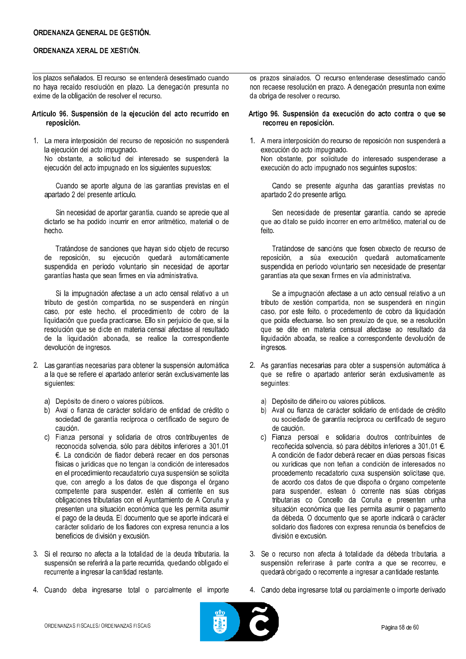los plazos señalados. El recurso se entenderá desestimado cuando no haya recaído resolución en plazo. La denegación presunta no exime de la obligación de resolver el recurso.

- Artículo 96. Suspensión de la ejecución del acto recurrido en reposición.
- 1. La mera interposición del recurso de reposición no suspenderá la ejecución del acto impugnado. No obstante, a solicitud del interesado se suspenderá la ejecución del acto impugnado en los siguientes supuestos:

Cuando se aporte alguna de las garantías previstas en el apartado 2 del presente artículo.

Sin necesidad de aportar garantía, cuando se aprecie que al dictarlo se ha podido incurrir en error aritmético, material o de hecho.

Tratándose de sanciones que hayan sido objeto de recurso de reposición, su ejecución quedará automáticamente suspendida en período voluntario sin necesidad de aportar garantías hasta que sean firmes en vía administrativa.

Si la impugnación afectase a un acto censal relativo a un tributo de gestión compartida, no se suspenderá en ningún caso, por este hecho, el procedimiento de cobro de la liquidación que pueda practicarse. Ello sin perjuicio de que, si la resolución que se dicte en materia censal afectase al resultado de la liquidación abonada, se realice la correspondiente devolución de ingresos.

- 2. Las garantías necesarias para obtener la suspensión automática a la que se refiere el apartado anterior serán exclusivamente las siguientes:
	- a) Depósito de dinero o valores públicos.
	- b) Aval o fianza de carácter solidario de entidad de crédito o sociedad de garantía recíproca o certificado de seguro de caución.
	- c) Fianza personal y solidaria de otros contribuventes de reconocida solvencia, sólo para débitos inferiores a 301,01 €. La condición de fiador deberá recaer en dos personas físicas o jurídicas que no tengan la condición de interesados en el procedimiento recaudatorio cuya suspensión se solicita que, con arreglo a los datos de que disponga el órgano competente para suspender, estén al corriente en sus obligaciones tributarias con el Ayuntamiento de A Coruña y presenten una situación económica que les permita asumir el pago de la deuda. El documento que se aporte indicará el carácter solidario de los fiadores con expresa renuncia a los beneficios de división y excusión.
- 3. Si el recurso no afecta a la totalidad de la deuda tributaria, la suspensión se referirá a la parte recurrida, quedando obligado el recurrente a ingresar la cantidad restante.
- 4. Cuando deba ingresarse total o parcialmente el importe

os prazos sinalados. O recurso entenderase desestimado cando non recaese resolución en prazo. A denegación presunta non exime da obriga de resolver o recurso.

### Artigo 96. Suspensión da execución do acto contra o que se recorreu en reposición.

1. A mera interposición do recurso de reposición non suspenderá a execución do acto impugnado. Non obstante, por solicitude do interesado suspenderase a execución do acto impugnado nos seguintes supostos:

Cando se presente algunha das garantías previstas no apartado 2 do presente artigo.

Sen necesidade de presentar garantía, cando se aprecie que ao ditalo se puido incorrer en erro aritmético, material ou de feito.

Tratándose de sancións que fosen obxecto de recurso de reposición, a súa execución quedará automaticamente suspendida en período voluntario sen necesidade de presentar garantías ata que sexan firmes en vía administrativa.

Se a impugnación afectase a un acto censual relativo a un tributo de xestión compartida, non se suspenderá en ningún caso, por este feito, o procedemento de cobro da liquidación que poida efectuarse. Iso sen prexuízo de que, se a resolución que se dite en materia censual afectase ao resultado da liquidación aboada, se realice a correspondente devolución de ingresos.

- 2. As garantías necesarias para obter a suspensión automática á que se refire o apartado anterior serán exclusivamente as seguintes:
	- Depósito de diñeiro ou valores públicos. al
	- b) Aval ou fianza de carácter solidario de entidade de crédito ou sociedade de garantía recíproca ou certificado de seguro de caución.
	- c) Fianza persoal e solidaria doutros contribuíntes de recoñecida solvencia, só para débitos inferiores a 301,01 €. A condición de fiador deberá recaer en dúas persoas físicas ou xurídicas que non teñan a condición de interesados no procedemento recadatorio cuxa suspensión solicítase que, de acordo cos datos de que dispoña o órgano competente para suspender, estean ó corrente nas súas obrigas tributarias co Concello da Coruña e presenten unha situación económica que lles permita asumir o pagamento da débeda. O documento que se aporte indicará o carácter solidario dos fiadores con expresa renuncia ós beneficios de división e excusión.
- 3. Se o recurso non afecta á totalidade da débeda tributaria, a suspensión referirase á parte contra a que se recorreu, e quedará obrigado o recorrente a ingresar a cantidade restante.
- 4. Cando deba ingresarse total ou parcialmente o importe derivado

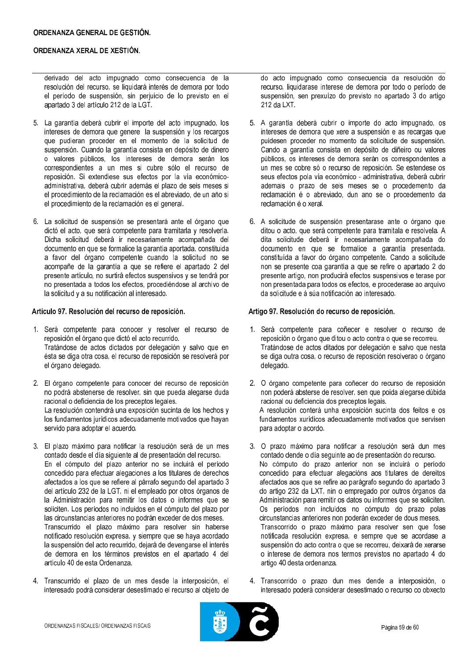derivado del acto impugnado como consecuencia de la resolución del recurso, se liquidará interés de demora por todo el período de suspensión, sin perjuicio de lo previsto en el apartado 3 del artículo 212 de la LGT.

- 5. La garantía deberá cubrir el importe del acto impugnado, los intereses de demora que genere la suspensión y los recargos que pudieran proceder en el momento de la solicitud de suspensión. Cuando la garantía consista en depósito de dinero o valores públicos, los intereses de demora serán los correspondientes a un mes si cubre sólo el recurso de reposición. Si extendiese sus efectos por la vía económicoadministrativa, deberá cubrir además el plazo de seis meses si el procedimiento de la reclamación es el abreviado, de un año si el procedimiento de la reclamación es el general.
- 6. La solicitud de suspensión se presentará ante el órgano que dictó el acto, que será competente para tramitarla y resolverla. Dicha solicitud deberá ir necesariamente acompañada del documento en que se formalice la garantía aportada, constituida a favor del órgano competente cuando la solicitud no se acompañe de la garantía a que se refiere el apartado 2 del presente artículo, no surtirá efectos suspensivos y se tendrá por no presentada a todos los efectos, procediéndose al archivo de la solicitud y a su notificación al interesado.

### Artículo 97. Resolución del recurso de reposición.

- 1. Será competente para conocer y resolver el recurso de reposición el órgano que dictó el acto recurrido. Tratándose de actos dictados por delegación y salvo que en ésta se diga otra cosa, el recurso de reposición se resolverá por el órgano delegado.
- 2. El órgano competente para conocer del recurso de reposición no podrá abstenerse de resolver, sin que pueda alegarse duda racional o deficiencia de los preceptos legales. La resolución contendrá una exposición sucinta de los hechos y los fundamentos jurídicos adecuadamente motivados que hayan servido para adoptar el acuerdo.
- 3. El plazo máximo para notificar la resolución será de un mes contado desde el día siguiente al de presentación del recurso. En el cómputo del plazo anterior no se incluirá el período concedido para efectuar alegaciones a los titulares de derechos afectados a los que se refiere al párrafo segundo del apartado 3 del artículo 232 de la LGT, ni el empleado por otros órganos de la Administración para remitir los datos o informes que se soliciten. Los períodos no incluidos en el cómputo del plazo por las circunstancias anteriores no podrán exceder de dos meses. Transcurrido el plazo máximo para resolver sin haberse notificado resolución expresa, y siempre que se haya acordado la suspensión del acto recurrido, dejará de devengarse el interés de demora en los términos previstos en el apartado 4 del artículo 40 de esta Ordenanza
- 4. Transcurrido el plazo de un mes desde la interposición, el interesado podrá considerar desestimado el recurso al objeto de

do acto impugnado como consecuencia da resolución do recurso, liquidarase interese de demora por todo o período de suspensión, sen prexuízo do previsto no apartado 3 do artigo  $212$  da LXT.

- 5. A garantía deberá cubrir o importe do acto impugnado, os intereses de demora que xere a suspensión e as recargas que puidesen proceder no momento da solicitude de suspensión. Cando a garantía consista en depósito de diñeiro ou valores públicos, os intereses de demora serán os correspondentes a un mes se cobre só o recurso de reposición. Se estendese os seus efectos pola vía económico - administrativa, deberá cubrir ademais o prazo de seis meses se o procedemento da reclamación é o abreviado, dun ano se o procedemento da reclamación é o xeral.
- 6. A solicitude de suspensión presentarase ante o órgano que ditou o acto, que será competente para tramitala e resolvela. A dita solicitude deberá ir necesariamente acompañada do documento en que se formalice a garantía presentada, constituída a favor do órgano competente. Cando a solicitude non se presente coa garantía a que se refire o apartado 2 do presente artigo, non producirá efectos suspensivos e terase por non presentada para todos os efectos, e procederase ao arquivo da solicitude e á súa notificación ao interesado.

### Artigo 97. Resolución do recurso de reposición.

- 1. Será competente para coñecer e resolver o recurso de reposición o órgano que ditou o acto contra o que se recorreu. Tratándose de actos ditados por delegación e salvo que nesta se diga outra cosa, o recurso de reposición resolverao o órgano delegado.
- 2. O órgano competente para coñecer do recurso de reposición non poderá absterse de resolver, sen que poida alegarse dúbida racional ou deficiencia dos preceptos legais. A resolución conterá unha exposición sucinta dos feitos e os fundamentos xurídicos adecuadamente motivados que servisen para adoptar o acordo.
- 3. O prazo máximo para notificar a resolución será dun mes contado dende o día seguinte ao de presentación do recurso. No cómputo do prazo anterior non se incluirá o período concedido para efectuar alegacións aos titulares de dereitos afectados aos que se refire ao parágrafo segundo do apartado 3 do artigo 232 da LXT, nin o empregado por outros órganos da Administración para remitir os datos ou informes que se soliciten. Os períodos non incluídos no cómputo do prazo polas circunstancias anteriores non poderán exceder de dous meses. Transcorrido o prazo máximo para resolver sen que fose notificada resolución expresa, e sempre que se acordase a suspensión do acto contra o que se recorreu, deixará de xerarse o interese de demora nos termos previstos no apartado 4 do artigo 40 desta ordenanza.
- 4. Transcorrido o prazo dun mes dende a interposición, o interesado poderá considerar desestimado o recurso co obxecto